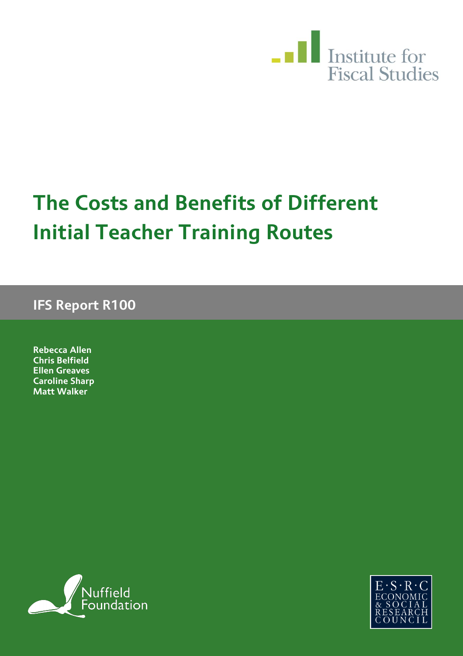

# **The Costs and Benefits of Different Initial Teacher Training Routes**

**IFS Report R100**

**Rebecca Allen Chris Belfield Ellen Greaves Caroline Sharp Matt Walker**



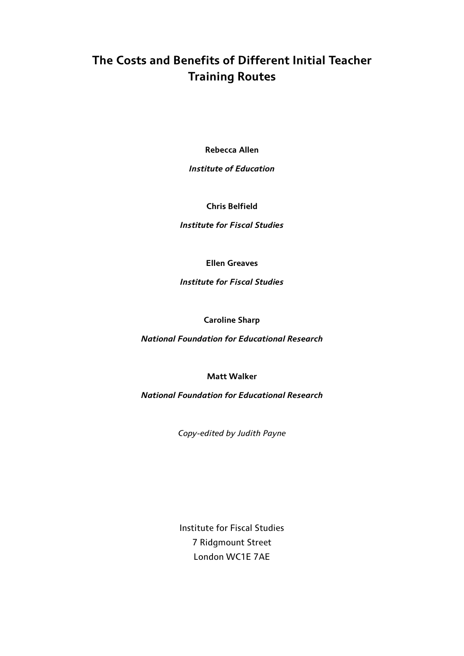### **The Costs and Benefits of Different Initial Teacher Training Routes**

**Rebecca Allen**

*Institute of Education*

**Chris Belfield**

*Institute for Fiscal Studies*

**Ellen Greaves**

*Institute for Fiscal Studies*

**Caroline Sharp**

*National Foundation for Educational Research*

**Matt Walker**

*National Foundation for Educational Research*

*Copy-edited by Judith Payne*

Institute for Fiscal Studies 7 Ridgmount Street London WC1E 7AE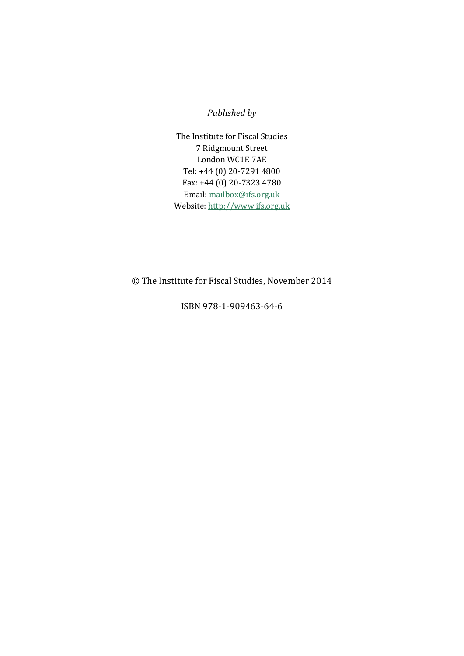#### *Published by*

The Institute for Fiscal Studies 7 Ridgmount Street London WC1E 7AE Tel: +44 (0) 20-7291 4800 Fax: +44 (0) 20-7323 4780 Email: mailbox@ifs.org.uk Website: http://www.ifs.org.uk

© The Institute for Fiscal Studies, November 2014

ISBN 978-1-909463-64-6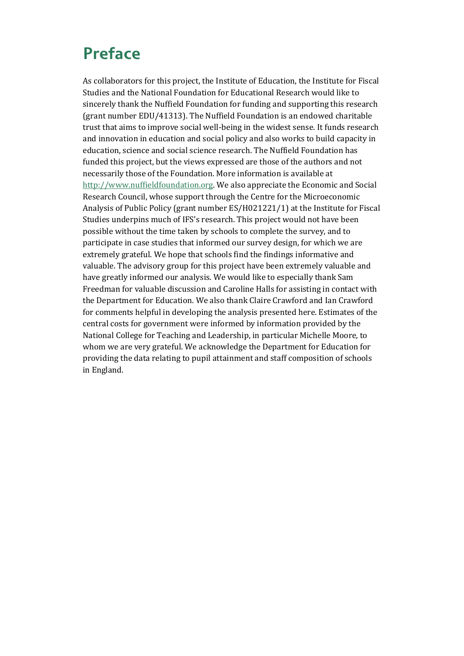## **Preface**

As collaborators for this project, the Institute of Education, the Institute for Fiscal Studies and the National Foundation for Educational Research would like to sincerely thank the Nuffield Foundation for funding and supporting this research (grant number EDU/41313). The Nuffield Foundation is an endowed charitable trust that aims to improve social well-being in the widest sense. It funds research and innovation in education and social policy and also works to build capacity in education, science and social science research. The Nuffield Foundation has funded this project, but the views expressed are those of the authors and not necessarily those of the Foundation. More information is available at [http://www.nuffieldfoundation.org.](http://www.nuffieldfoundation.org/) We also appreciate the Economic and Social Research Council, whose support through the Centre for the Microeconomic Analysis of Public Policy (grant number ES/H021221/1) at the Institute for Fiscal Studies underpins much of IFS's research. This project would not have been possible without the time taken by schools to complete the survey, and to participate in case studies that informed our survey design, for which we are extremely grateful. We hope that schools find the findings informative and valuable. The advisory group for this project have been extremely valuable and have greatly informed our analysis. We would like to especially thank Sam Freedman for valuable discussion and Caroline Halls for assisting in contact with the Department for Education. We also thank Claire Crawford and Ian Crawford for comments helpful in developing the analysis presented here. Estimates of the central costs for government were informed by information provided by the National College for Teaching and Leadership, in particular Michelle Moore, to whom we are very grateful. We acknowledge the Department for Education for providing the data relating to pupil attainment and staff composition of schools in England.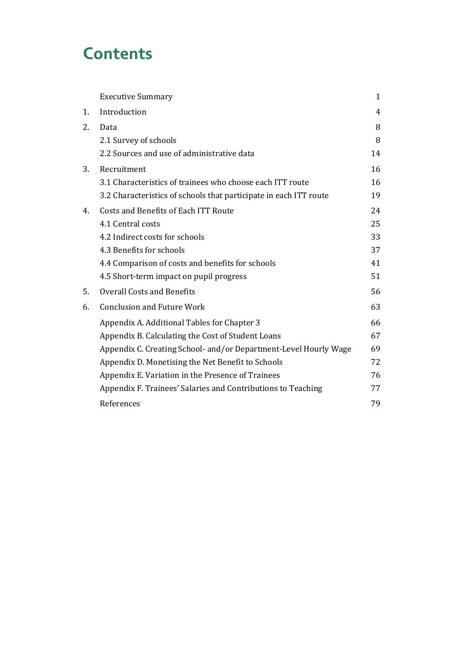## **Contents**

|    | <b>Executive Summary</b>                                          | 1  |
|----|-------------------------------------------------------------------|----|
| 1. | Introduction                                                      | 4  |
| 2. | Data                                                              | 8  |
|    | 2.1 Survey of schools                                             | 8  |
|    | 2.2 Sources and use of administrative data                        | 14 |
| 3. | Recruitment                                                       | 16 |
|    | 3.1 Characteristics of trainees who choose each ITT route         | 16 |
|    | 3.2 Characteristics of schools that participate in each ITT route | 19 |
| 4. | Costs and Benefits of Each ITT Route                              | 24 |
|    | 4.1 Central costs                                                 | 25 |
|    | 4.2 Indirect costs for schools                                    | 33 |
|    | 4.3 Benefits for schools                                          | 37 |
|    | 4.4 Comparison of costs and benefits for schools                  | 41 |
|    | 4.5 Short-term impact on pupil progress                           | 51 |
| 5. | <b>Overall Costs and Benefits</b>                                 | 56 |
| 6. | <b>Conclusion and Future Work</b>                                 | 63 |
|    | Appendix A. Additional Tables for Chapter 3                       | 66 |
|    | Appendix B. Calculating the Cost of Student Loans                 | 67 |
|    | Appendix C. Creating School- and/or Department-Level Hourly Wage  | 69 |
|    | Appendix D. Monetising the Net Benefit to Schools                 | 72 |
|    | Appendix E. Variation in the Presence of Trainees                 | 76 |
|    | Appendix F. Trainees' Salaries and Contributions to Teaching      | 77 |
|    | References                                                        | 79 |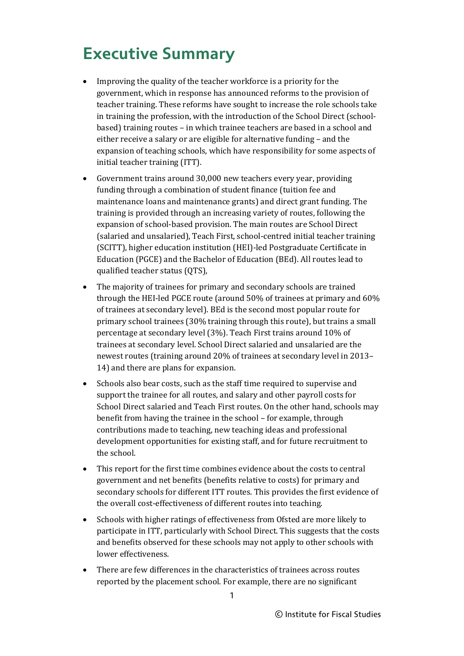## <span id="page-5-0"></span>**Executive Summary**

- Improving the quality of the teacher workforce is a priority for the government, which in response has announced reforms to the provision of teacher training. These reforms have sought to increase the role schools take in training the profession, with the introduction of the School Direct (schoolbased) training routes – in which trainee teachers are based in a school and either receive a salary or are eligible for alternative funding – and the expansion of teaching schools, which have responsibility for some aspects of initial teacher training (ITT).
- Government trains around 30,000 new teachers every year, providing funding through a combination of student finance (tuition fee and maintenance loans and maintenance grants) and direct grant funding. The training is provided through an increasing variety of routes, following the expansion of school-based provision. The main routes are School Direct (salaried and unsalaried), Teach First, school-centred initial teacher training (SCITT), higher education institution (HEI)-led Postgraduate Certificate in Education (PGCE) and the Bachelor of Education (BEd). All routes lead to qualified teacher status (QTS),
- The majority of trainees for primary and secondary schools are trained through the HEI-led PGCE route (around 50% of trainees at primary and 60% of trainees at secondary level). BEd is the second most popular route for primary school trainees (30% training through this route), but trains a small percentage at secondary level (3%). Teach First trains around 10% of trainees at secondary level. School Direct salaried and unsalaried are the newest routes (training around 20% of trainees at secondary level in 2013– 14) and there are plans for expansion.
- Schools also bear costs, such as the staff time required to supervise and support the trainee for all routes, and salary and other payroll costs for School Direct salaried and Teach First routes. On the other hand, schools may benefit from having the trainee in the school – for example, through contributions made to teaching, new teaching ideas and professional development opportunities for existing staff, and for future recruitment to the school.
- This report for the first time combines evidence about the costs to central government and net benefits (benefits relative to costs) for primary and secondary schools for different ITT routes. This provides the first evidence of the overall cost-effectiveness of different routes into teaching.
- Schools with higher ratings of effectiveness from Ofsted are more likely to participate in ITT, particularly with School Direct. This suggests that the costs and benefits observed for these schools may not apply to other schools with lower effectiveness.

1

• There are few differences in the characteristics of trainees across routes reported by the placement school. For example, there are no significant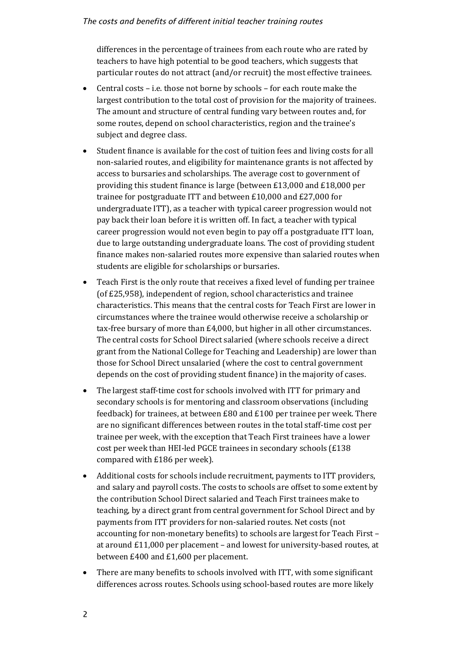#### *The costs and benefits of different initial teacher training routes*

differences in the percentage of trainees from each route who are rated by teachers to have high potential to be good teachers, which suggests that particular routes do not attract (and/or recruit) the most effective trainees.

- Central costs i.e. those not borne by schools for each route make the largest contribution to the total cost of provision for the majority of trainees. The amount and structure of central funding vary between routes and, for some routes, depend on school characteristics, region and the trainee's subject and degree class.
- Student finance is available for the cost of tuition fees and living costs for all non-salaried routes, and eligibility for maintenance grants is not affected by access to bursaries and scholarships. The average cost to government of providing this student finance is large (between £13,000 and £18,000 per trainee for postgraduate ITT and between £10,000 and £27,000 for undergraduate ITT), as a teacher with typical career progression would not pay back their loan before it is written off. In fact, a teacher with typical career progression would not even begin to pay off a postgraduate ITT loan, due to large outstanding undergraduate loans. The cost of providing student finance makes non-salaried routes more expensive than salaried routes when students are eligible for scholarships or bursaries.
- Teach First is the only route that receives a fixed level of funding per trainee (of £25,958), independent of region, school characteristics and trainee characteristics. This means that the central costs for Teach First are lower in circumstances where the trainee would otherwise receive a scholarship or tax-free bursary of more than £4,000, but higher in all other circumstances. The central costs for School Direct salaried (where schools receive a direct grant from the National College for Teaching and Leadership) are lower than those for School Direct unsalaried (where the cost to central government depends on the cost of providing student finance) in the majority of cases.
- The largest staff-time cost for schools involved with ITT for primary and secondary schools is for mentoring and classroom observations (including feedback) for trainees, at between £80 and £100 per trainee per week. There are no significant differences between routes in the total staff-time cost per trainee per week, with the exception that Teach First trainees have a lower cost per week than HEI-led PGCE trainees in secondary schools (£138 compared with £186 per week).
- Additional costs for schools include recruitment, payments to ITT providers, and salary and payroll costs. The costs to schools are offset to some extent by the contribution School Direct salaried and Teach First trainees make to teaching, by a direct grant from central government for School Direct and by payments from ITT providers for non-salaried routes. Net costs (not accounting for non-monetary benefits) to schools are largest for Teach First – at around £11,000 per placement – and lowest for university-based routes, at between £400 and £1,600 per placement.
- There are many benefits to schools involved with ITT, with some significant differences across routes. Schools using school-based routes are more likely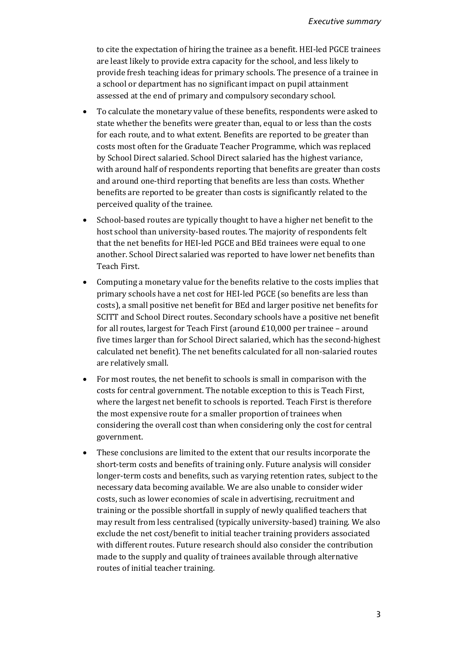to cite the expectation of hiring the trainee as a benefit. HEI-led PGCE trainees are least likely to provide extra capacity for the school, and less likely to provide fresh teaching ideas for primary schools. The presence of a trainee in a school or department has no significant impact on pupil attainment assessed at the end of primary and compulsory secondary school.

- To calculate the monetary value of these benefits, respondents were asked to state whether the benefits were greater than, equal to or less than the costs for each route, and to what extent. Benefits are reported to be greater than costs most often for the Graduate Teacher Programme, which was replaced by School Direct salaried. School Direct salaried has the highest variance, with around half of respondents reporting that benefits are greater than costs and around one-third reporting that benefits are less than costs. Whether benefits are reported to be greater than costs is significantly related to the perceived quality of the trainee.
- School-based routes are typically thought to have a higher net benefit to the host school than university-based routes. The majority of respondents felt that the net benefits for HEI-led PGCE and BEd trainees were equal to one another. School Direct salaried was reported to have lower net benefits than Teach First.
- Computing a monetary value for the benefits relative to the costs implies that primary schools have a net cost for HEI-led PGCE (so benefits are less than costs), a small positive net benefit for BEd and larger positive net benefits for SCITT and School Direct routes. Secondary schools have a positive net benefit for all routes, largest for Teach First (around £10,000 per trainee – around five times larger than for School Direct salaried, which has the second-highest calculated net benefit). The net benefits calculated for all non-salaried routes are relatively small.
- For most routes, the net benefit to schools is small in comparison with the costs for central government. The notable exception to this is Teach First, where the largest net benefit to schools is reported. Teach First is therefore the most expensive route for a smaller proportion of trainees when considering the overall cost than when considering only the cost for central government.
- These conclusions are limited to the extent that our results incorporate the short-term costs and benefits of training only. Future analysis will consider longer-term costs and benefits, such as varying retention rates, subject to the necessary data becoming available. We are also unable to consider wider costs, such as lower economies of scale in advertising, recruitment and training or the possible shortfall in supply of newly qualified teachers that may result from less centralised (typically university-based) training. We also exclude the net cost/benefit to initial teacher training providers associated with different routes. Future research should also consider the contribution made to the supply and quality of trainees available through alternative routes of initial teacher training.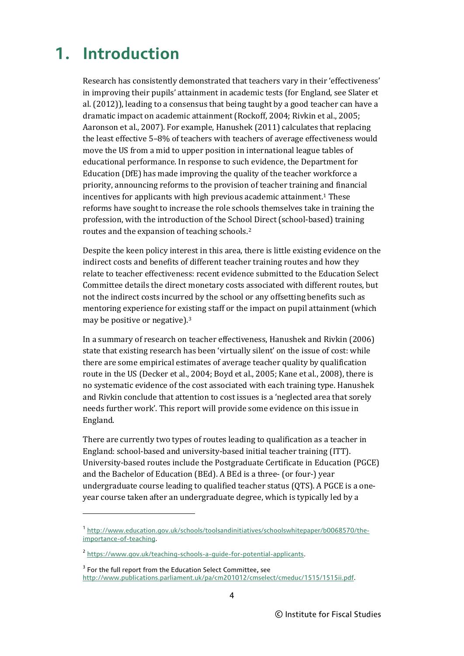## <span id="page-8-0"></span>**1. Introduction**

Research has consistently demonstrated that teachers vary in their 'effectiveness' in improving their pupils' attainment in academic tests (for England, see Slater et al. (2012)), leading to a consensus that being taught by a good teacher can have a dramatic impact on academic attainment (Rockoff, 2004; Rivkin et al., 2005; Aaronson et al., 2007). For example, Hanushek (2011) calculates that replacing the least effective 5–8% of teachers with teachers of average effectiveness would move the US from a mid to upper position in international league tables of educational performance. In response to such evidence, the Department for Education (DfE) has made improving the quality of the teacher workforce a priority, announcing reforms to the provision of teacher training and financial incentives for applicants with high previous academic attainment.[1](#page-8-1) These reforms have sought to increase the role schools themselves take in training the profession, with the introduction of the Scho[ol](#page-8-2) Direct (school-based) training routes and the expansion of teaching schools.2

Despite the keen policy interest in this area, there is little existing evidence on the indirect costs and benefits of different teacher training routes and how they relate to teacher effectiveness: recent evidence submitted to the Education Select Committee details the direct monetary costs associated with different routes, but not the indirect costs incurred by the school or any offsetting benefits such as mentoring experience for existing staff or the impact on pupil attainment (which may be positive or negative).[3](#page-8-3)

In a summary of research on teacher effectiveness, Hanushek and Rivkin (2006) state that existing research has been 'virtually silent' on the issue of cost: while there are some empirical estimates of average teacher quality by qualification route in the US (Decker et al., 2004; Boyd et al., 2005; Kane et al., 2008), there is no systematic evidence of the cost associated with each training type. Hanushek and Rivkin conclude that attention to cost issues is a 'neglected area that sorely needs further work'. This report will provide some evidence on this issue in England.

There are currently two types of routes leading to qualification as a teacher in England: school-based and university-based initial teacher training (ITT). University-based routes include the Postgraduate Certificate in Education (PGCE) and the Bachelor of Education (BEd). A BEd is a three- (or four-) year undergraduate course leading to qualified teacher status (QTS). A PGCE is a oneyear course taken after an undergraduate degree, which is typically led by a

<span id="page-8-1"></span><sup>&</sup>lt;sup>1</sup> [http://www.education.gov.uk/schools/toolsandinitiatives/schoolswhitepaper/b0068570/the](http://www.education.gov.uk/schools/toolsandinitiatives/schoolswhitepaper/b0068570/the-importance-of-teaching)[importance-of-teaching.](http://www.education.gov.uk/schools/toolsandinitiatives/schoolswhitepaper/b0068570/the-importance-of-teaching) 

<span id="page-8-2"></span><sup>&</sup>lt;sup>2</sup> [https://www.gov.uk/teaching-schools-a-guide-for-potential-applicants.](https://www.gov.uk/teaching-schools-a-guide-for-potential-applicants)

<span id="page-8-3"></span><sup>&</sup>lt;sup>3</sup> For the full report from the Education Select Committee, see [http://www.publications.parliament.uk/pa/cm201012/cmselect/cmeduc/1515/1515ii.pdf.](http://www.publications.parliament.uk/pa/cm201012/cmselect/cmeduc/1515/1515ii.pdf)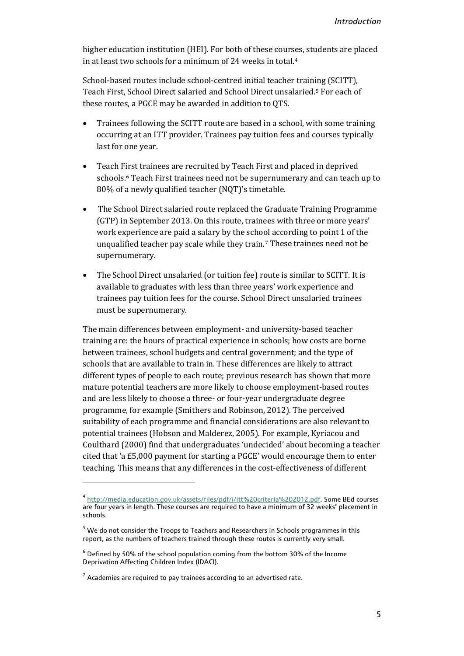higher education institution (HEI). For both of these courses, students are placed in at least two schools for a minimum of 24 weeks in total.[4](#page-9-0)

School-based routes include school-centred initial teacher training (SCITT), Teach First, School Direct salaried and School Direct unsalaried[.5](#page-9-1) For each of these routes, a PGCE may be awarded in addition to QTS.

- Trainees following the SCITT route are based in a school, with some training occurring at an ITT provider. Trainees pay tuition fees and courses typically last for one year.
- Teach First trainees are recruited by Teach First and placed in deprived schools.[6](#page-9-2) Teach First trainees need not be supernumerary and can teach up to 80% of a newly qualified teacher (NQT)'s timetable.
- The School Direct salaried route replaced the Graduate Training Programme (GTP) in September 2013. On this route, trainees with three or more years' work experience are paid a salary by the school according to point 1 of the unqualified teacher pay scale while they train.[7](#page-9-3) These trainees need not be supernumerary.
- The School Direct unsalaried (or tuition fee) route is similar to SCITT. It is available to graduates with less than three years' work experience and trainees pay tuition fees for the course. School Direct unsalaried trainees must be supernumerary.

The main differences between employment- and university-based teacher training are: the hours of practical experience in schools; how costs are borne between trainees, school budgets and central government; and the type of schools that are available to train in. These differences are likely to attract different types of people to each route; previous research has shown that more mature potential teachers are more likely to choose employment-based routes and are less likely to choose a three- or four-year undergraduate degree programme, for example (Smithers and Robinson, 2012). The perceived suitability of each programme and financial considerations are also relevant to potential trainees (Hobson and Malderez, 2005). For example, Kyriacou and Coulthard (2000) find that undergraduates 'undecided' about becoming a teacher cited that 'a £5,000 payment for starting a PGCE' would encourage them to enter teaching. This means that any differences in the cost-effectiveness of different

<span id="page-9-0"></span><sup>4</sup> [http://media.education.gov.uk/assets/files/pdf/i/itt%20criteria%202012.pdf.](http://media.education.gov.uk/assets/files/pdf/i/itt%20criteria%202012.pdf) Some BEd courses are four years in length. These courses are required to have a minimum of 32 weeks' placement in schools.

<span id="page-9-1"></span><sup>&</sup>lt;sup>5</sup> We do not consider the Troops to Teachers and Researchers in Schools programmes in this report, as the numbers of teachers trained through these routes is currently very small.

<span id="page-9-2"></span> $6$  Defined by 50% of the school population coming from the bottom 30% of the Income Deprivation Affecting Children Index (IDACI).

<span id="page-9-3"></span> $7$  Academies are required to pay trainees according to an advertised rate.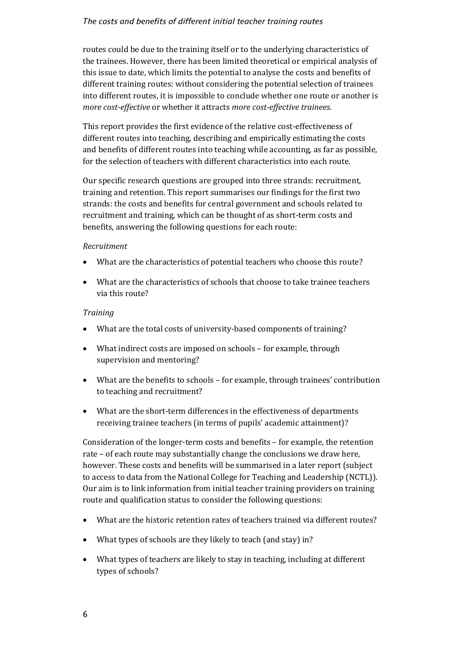#### *The costs and benefits of different initial teacher training routes*

routes could be due to the training itself or to the underlying characteristics of the trainees. However, there has been limited theoretical or empirical analysis of this issue to date, which limits the potential to analyse the costs and benefits of different training routes: without considering the potential selection of trainees into different routes, it is impossible to conclude whether one route or another is *more cost-effective* or whether it attracts *more cost-effective trainees*.

This report provides the first evidence of the relative cost-effectiveness of different routes into teaching, describing and empirically estimating the costs and benefits of different routes into teaching while accounting, as far as possible, for the selection of teachers with different characteristics into each route.

Our specific research questions are grouped into three strands: recruitment, training and retention. This report summarises our findings for the first two strands: the costs and benefits for central government and schools related to recruitment and training, which can be thought of as short-term costs and benefits, answering the following questions for each route:

#### *Recruitment*

- What are the characteristics of potential teachers who choose this route?
- What are the characteristics of schools that choose to take trainee teachers via this route?

#### *Training*

- What are the total costs of university-based components of training?
- What indirect costs are imposed on schools for example, through supervision and mentoring?
- What are the benefits to schools for example, through trainees' contribution to teaching and recruitment?
- What are the short-term differences in the effectiveness of departments receiving trainee teachers (in terms of pupils' academic attainment)?

Consideration of the longer-term costs and benefits – for example, the retention rate – of each route may substantially change the conclusions we draw here, however. These costs and benefits will be summarised in a later report (subject to access to data from the National College for Teaching and Leadership (NCTL)). Our aim is to link information from initial teacher training providers on training route and qualification status to consider the following questions:

- What are the historic retention rates of teachers trained via different routes?
- What types of schools are they likely to teach (and stay) in?
- What types of teachers are likely to stay in teaching, including at different types of schools?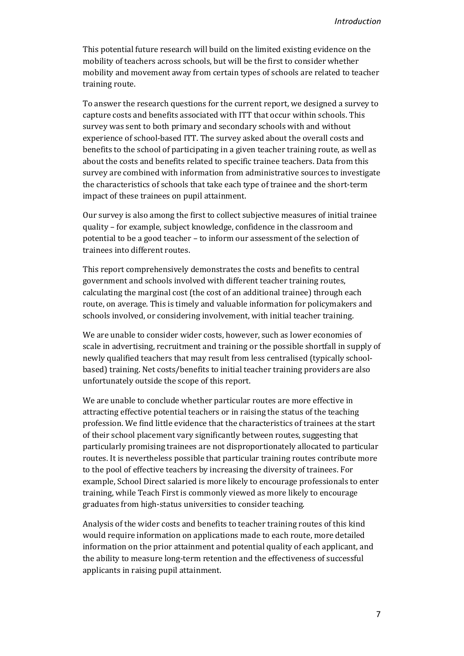This potential future research will build on the limited existing evidence on the mobility of teachers across schools, but will be the first to consider whether mobility and movement away from certain types of schools are related to teacher training route.

To answer the research questions for the current report, we designed a survey to capture costs and benefits associated with ITT that occur within schools. This survey was sent to both primary and secondary schools with and without experience of school-based ITT. The survey asked about the overall costs and benefits to the school of participating in a given teacher training route, as well as about the costs and benefits related to specific trainee teachers. Data from this survey are combined with information from administrative sources to investigate the characteristics of schools that take each type of trainee and the short-term impact of these trainees on pupil attainment.

Our survey is also among the first to collect subjective measures of initial trainee quality – for example, subject knowledge, confidence in the classroom and potential to be a good teacher – to inform our assessment of the selection of trainees into different routes.

This report comprehensively demonstrates the costs and benefits to central government and schools involved with different teacher training routes, calculating the marginal cost (the cost of an additional trainee) through each route, on average. This is timely and valuable information for policymakers and schools involved, or considering involvement, with initial teacher training.

We are unable to consider wider costs, however, such as lower economies of scale in advertising, recruitment and training or the possible shortfall in supply of newly qualified teachers that may result from less centralised (typically schoolbased) training. Net costs/benefits to initial teacher training providers are also unfortunately outside the scope of this report.

We are unable to conclude whether particular routes are more effective in attracting effective potential teachers or in raising the status of the teaching profession. We find little evidence that the characteristics of trainees at the start of their school placement vary significantly between routes, suggesting that particularly promising trainees are not disproportionately allocated to particular routes. It is nevertheless possible that particular training routes contribute more to the pool of effective teachers by increasing the diversity of trainees. For example, School Direct salaried is more likely to encourage professionals to enter training, while Teach First is commonly viewed as more likely to encourage graduates from high-status universities to consider teaching.

Analysis of the wider costs and benefits to teacher training routes of this kind would require information on applications made to each route, more detailed information on the prior attainment and potential quality of each applicant, and the ability to measure long-term retention and the effectiveness of successful applicants in raising pupil attainment.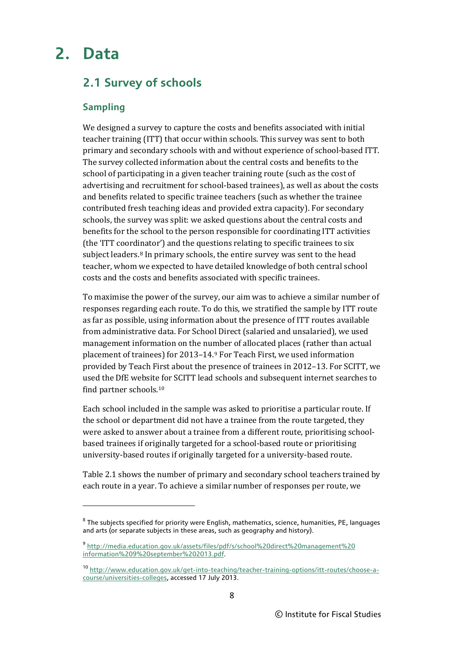## <span id="page-12-0"></span>**2. Data**

j

### <span id="page-12-1"></span>**2.1 Survey of schools**

#### **Sampling**

We designed a survey to capture the costs and benefits associated with initial teacher training (ITT) that occur within schools. This survey was sent to both primary and secondary schools with and without experience of school-based ITT. The survey collected information about the central costs and benefits to the school of participating in a given teacher training route (such as the cost of advertising and recruitment for school-based trainees), as well as about the costs and benefits related to specific trainee teachers (such as whether the trainee contributed fresh teaching ideas and provided extra capacity). For secondary schools, the survey was split: we asked questions about the central costs and benefits for the school to the person responsible for coordinating ITT activities (the 'ITT coordinator') and the questions relating to specific trainees to six subject leaders.[8](#page-12-2) In primary schools, the entire survey was sent to the head teacher, whom we expected to have detailed knowledge of both central school costs and the costs and benefits associated with specific trainees.

To maximise the power of the survey, our aim was to achieve a similar number of responses regarding each route. To do this, we stratified the sample by ITT route as far as possible, using information about the presence of ITT routes available from administrative data. For School Direct (salaried and unsalaried), we used management information on the number of allocated places (rather than actual placement of trainees) for 2013–14.[9](#page-12-3) For Teach First, we used information provided by Teach First about the presence of trainees in 2012–13. For SCITT, we used the DfE website for SCITT lead schools and subsequent internet searches to find partner schools[.10](#page-12-4)

Each school included in the sample was asked to prioritise a particular route. If the school or department did not have a trainee from the route targeted, they were asked to answer about a trainee from a different route, prioritising schoolbased trainees if originally targeted for a school-based route or prioritising university-based routes if originally targeted for a university-based route.

Table 2.1 shows the number of primary and secondary school teachers trained by each route in a year. To achieve a similar number of responses per route, we

<span id="page-12-2"></span> $8$  The subjects specified for priority were English, mathematics, science, humanities, PE, languages and arts (or separate subjects in these areas, such as geography and history).

<span id="page-12-3"></span><sup>9</sup> [http://media.education.gov.uk/assets/files/pdf/s/school%20direct%20management%20](http://media.education.gov.uk/assets/files/pdf/s/school%20direct%20management%20information%209%20september%202013.pdf) [information%209%20september%202013.pdf.](http://media.education.gov.uk/assets/files/pdf/s/school%20direct%20management%20information%209%20september%202013.pdf)

<span id="page-12-4"></span><sup>10</sup> [http://www.education.gov.uk/get-into-teaching/teacher-training-options/itt-routes/choose-a](http://www.education.gov.uk/get-into-teaching/teacher-training-options/itt-routes/choose-a-course/universities-colleges)[course/universities-colleges,](http://www.education.gov.uk/get-into-teaching/teacher-training-options/itt-routes/choose-a-course/universities-colleges) accessed 17 July 2013.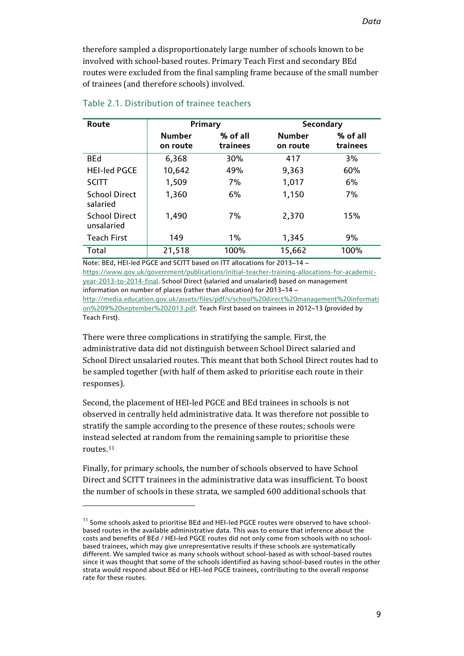therefore sampled a disproportionately large number of schools known to be involved with school-based routes. Primary Teach First and secondary BEd routes were excluded from the final sampling frame because of the small number of trainees (and therefore schools) involved.

| Route                              |                           | Primary              | Secondary                 |                      |  |  |
|------------------------------------|---------------------------|----------------------|---------------------------|----------------------|--|--|
|                                    | <b>Number</b><br>on route | % of all<br>trainees | <b>Number</b><br>on route | % of all<br>trainees |  |  |
| <b>BEd</b>                         | 6,368                     | 30%                  | 417                       | 3%                   |  |  |
| <b>HEI-led PGCE</b>                | 10,642                    | 49%                  | 9,363                     | 60%                  |  |  |
| <b>SCITT</b>                       | 1,509                     | 7%                   | 1,017                     | 6%                   |  |  |
| <b>School Direct</b><br>salaried   | 1,360                     | 6%                   | 1,150                     | 7%                   |  |  |
| <b>School Direct</b><br>unsalaried | 1,490                     | 7%                   | 2,370                     | 15%                  |  |  |
| <b>Teach First</b>                 | 149                       | $1\%$                | 1,345                     | 9%                   |  |  |
| Total                              | 21,518                    | 100%                 | 15,662                    | 100%                 |  |  |

#### Table 2.1. Distribution of trainee teachers

Note: BEd, HEI-led PGCE and SCITT based on ITT allocations for 2013–14 – [https://www.gov.uk/government/publications/initial-teacher-training-allocations-for-academic](https://www.gov.uk/government/publications/initial-teacher-training-allocations-for-academic-year-2013-to-2014-final)[year-2013-to-2014-final.](https://www.gov.uk/government/publications/initial-teacher-training-allocations-for-academic-year-2013-to-2014-final) School Direct (salaried and unsalaried) based on management information on number of places (rather than allocation) for 2013–14 – [http://media.education.gov.uk/assets/files/pdf/s/school%20direct%20management%20informati](http://media.education.gov.uk/assets/files/pdf/s/school%20direct%20management%20information%209%20september%202013.pdf) [on%209%20september%202013.pdf.](http://media.education.gov.uk/assets/files/pdf/s/school%20direct%20management%20information%209%20september%202013.pdf) Teach First based on trainees in 2012–13 (provided by Teach First).

There were three complications in stratifying the sample. First, the administrative data did not distinguish between School Direct salaried and School Direct unsalaried routes. This meant that both School Direct routes had to be sampled together (with half of them asked to prioritise each route in their responses).

Second, the placement of HEI-led PGCE and BEd trainees in schools is not observed in centrally held administrative data. It was therefore not possible to stratify the sample according to the presence of these routes; schools were instead selected at random from the remaining sample to prioritise these routes.[11](#page-13-0)

Finally, for primary schools, the number of schools observed to have School Direct and SCITT trainees in the administrative data was insufficient. To boost the number of schools in these strata, we sampled 600 additional schools that

<span id="page-13-0"></span> $11$  Some schools asked to prioritise BEd and HEI-led PGCE routes were observed to have schoolbased routes in the available administrative data. This was to ensure that inference about the costs and benefits of BEd / HEI-led PGCE routes did not only come from schools with no schoolbased trainees, which may give unrepresentative results if these schools are systematically different. We sampled twice as many schools without school-based as with school-based routes since it was thought that some of the schools identified as having school-based routes in the other strata would respond about BEd or HEI-led PGCE trainees, contributing to the overall response rate for these routes.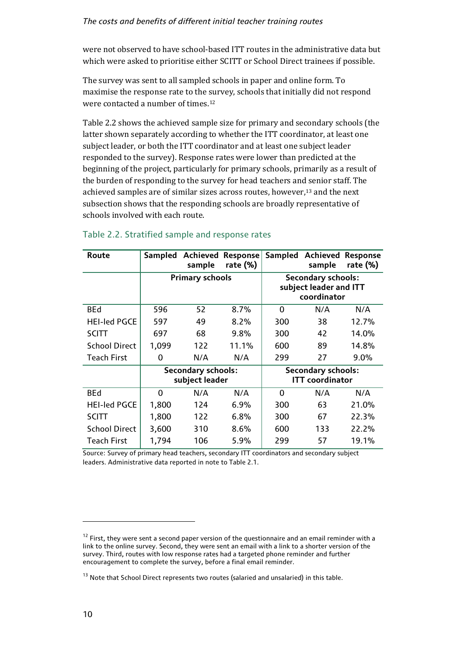#### *The costs and benefits of different initial teacher training routes*

were not observed to have school-based ITT routes in the administrative data but which were asked to prioritise either SCITT or School Direct trainees if possible.

The survey was sent to all sampled schools in paper and online form. To maximise the response rate to the [su](#page-14-0)rvey, schools that initially did not respond were contacted a number of times.12

Table 2.2 shows the achieved sample size for primary and secondary schools (the latter shown separately according to whether the ITT coordinator, at least one subject leader, or both the ITT coordinator and at least one subject leader responded to the survey). Response rates were lower than predicted at the beginning of the project, particularly for primary schools, primarily as a result of the burden of responding to the survey for head teachers and senior staff. The achieved samples are of similar sizes across routes, however,<sup>[13](#page-14-1)</sup> and the next subsection shows that the responding schools are broadly representative of schools involved with each route.

| Route                | Sampled  | sample                                      | <b>Achieved Response</b><br>rate $(\%)$ |                                                     | sample                                                             | Sampled Achieved Response<br>rate $(\%)$ |  |
|----------------------|----------|---------------------------------------------|-----------------------------------------|-----------------------------------------------------|--------------------------------------------------------------------|------------------------------------------|--|
|                      |          | <b>Primary schools</b>                      |                                         |                                                     | <b>Secondary schools:</b><br>subject leader and ITT<br>coordinator |                                          |  |
| <b>BEd</b>           | 596      | 52                                          | 8.7%                                    | 0                                                   | N/A                                                                | N/A                                      |  |
| <b>HEI-led PGCE</b>  | 597      | 49                                          | 8.2%                                    | 300                                                 | 38                                                                 | 12.7%                                    |  |
| <b>SCITT</b>         | 697      | 68                                          | 9.8%                                    | 300                                                 | 42                                                                 | 14.0%                                    |  |
| <b>School Direct</b> | 1,099    | 122                                         | 11.1%                                   | 600                                                 | 89                                                                 | 14.8%                                    |  |
| Teach First          | 0        | N/A                                         | N/A                                     | 299                                                 | 27                                                                 | 9.0%                                     |  |
|                      |          | <b>Secondary schools:</b><br>subject leader |                                         | <b>Secondary schools:</b><br><b>ITT</b> coordinator |                                                                    |                                          |  |
| <b>BEd</b>           | $\Omega$ | N/A                                         | N/A                                     | 0                                                   | N/A                                                                | N/A                                      |  |
| <b>HEI-led PGCE</b>  | 1,800    | 124                                         | 6.9%                                    | 300                                                 | 63                                                                 | 21.0%                                    |  |
| <b>SCITT</b>         | 1,800    | 122                                         | 6.8%                                    | 300                                                 | 67                                                                 | 22.3%                                    |  |
| <b>School Direct</b> | 3,600    | 310                                         | 8.6%                                    | 600                                                 | 133                                                                | 22.2%                                    |  |
| Teach First          | 1,794    | 106                                         | 5.9%                                    | 299                                                 | 57                                                                 | 19.1%                                    |  |

#### Table 2.2. Stratified sample and response rates

Source: Survey of primary head teachers, secondary ITT coordinators and secondary subject leaders. Administrative data reported in note to Table 2.1.

<span id="page-14-0"></span> $12$  First, they were sent a second paper version of the questionnaire and an email reminder with a link to the online survey. Second, they were sent an email with a link to a shorter version of the survey. Third, routes with low response rates had a targeted phone reminder and further encouragement to complete the survey, before a final email reminder.

<span id="page-14-1"></span> $13$  Note that School Direct represents two routes (salaried and unsalaried) in this table.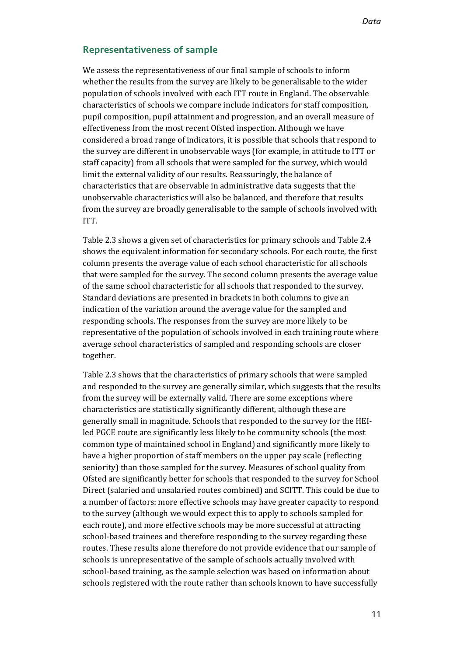#### **Representativeness of sample**

We assess the representativeness of our final sample of schools to inform whether the results from the survey are likely to be generalisable to the wider population of schools involved with each ITT route in England. The observable characteristics of schools we compare include indicators for staff composition, pupil composition, pupil attainment and progression, and an overall measure of effectiveness from the most recent Ofsted inspection. Although we have considered a broad range of indicators, it is possible that schools that respond to the survey are different in unobservable ways (for example, in attitude to ITT or staff capacity) from all schools that were sampled for the survey, which would limit the external validity of our results. Reassuringly, the balance of characteristics that are observable in administrative data suggests that the unobservable characteristics will also be balanced, and therefore that results from the survey are broadly generalisable to the sample of schools involved with ITT.

Table 2.3 shows a given set of characteristics for primary schools and Table 2.4 shows the equivalent information for secondary schools. For each route, the first column presents the average value of each school characteristic for all schools that were sampled for the survey. The second column presents the average value of the same school characteristic for all schools that responded to the survey. Standard deviations are presented in brackets in both columns to give an indication of the variation around the average value for the sampled and responding schools. The responses from the survey are more likely to be representative of the population of schools involved in each training route where average school characteristics of sampled and responding schools are closer together.

Table 2.3 shows that the characteristics of primary schools that were sampled and responded to the survey are generally similar, which suggests that the results from the survey will be externally valid. There are some exceptions where characteristics are statistically significantly different, although these are generally small in magnitude. Schools that responded to the survey for the HEIled PGCE route are significantly less likely to be community schools (the most common type of maintained school in England) and significantly more likely to have a higher proportion of staff members on the upper pay scale (reflecting seniority) than those sampled for the survey. Measures of school quality from Ofsted are significantly better for schools that responded to the survey for School Direct (salaried and unsalaried routes combined) and SCITT. This could be due to a number of factors: more effective schools may have greater capacity to respond to the survey (although we would expect this to apply to schools sampled for each route), and more effective schools may be more successful at attracting school-based trainees and therefore responding to the survey regarding these routes. These results alone therefore do not provide evidence that our sample of schools is unrepresentative of the sample of schools actually involved with school-based training, as the sample selection was based on information about schools registered with the route rather than schools known to have successfully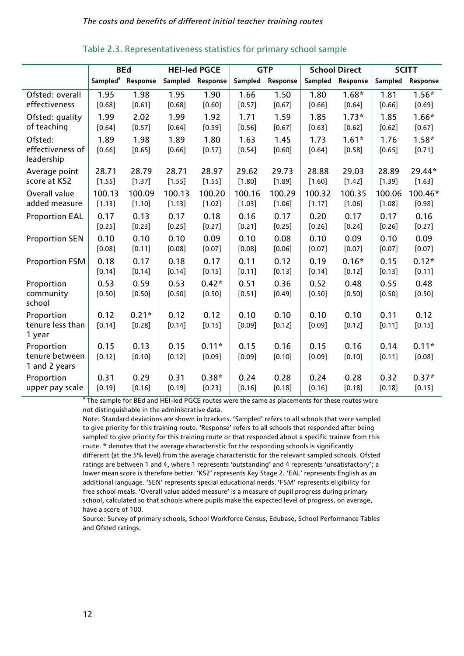|                                               |                      | <b>BEd</b>          | <b>HEI-led PGCE</b> |                     |                  | <b>GTP</b>       | <b>School Direct</b> |                     | <b>SCITT</b>     |                     |
|-----------------------------------------------|----------------------|---------------------|---------------------|---------------------|------------------|------------------|----------------------|---------------------|------------------|---------------------|
|                                               | Sampled <sup>a</sup> | Response            | Sampled             | Response            | Sampled          | Response         | Sampled              | Response            | Sampled          | Response            |
| Ofsted: overall                               | 1.95                 | 1.98                | 1.95                | 1.90                | 1.66             | 1.50             | 1.80                 | $1.68*$             | 1.81             | $1.56*$             |
| effectiveness                                 | $[0.68]$             | $[0.61]$            | $[0.68]$            | $[0.60]$            | $[0.57]$         | $[0.67]$         | $[0.66]$             | $[0.64]$            | $[0.66]$         | $[0.69]$            |
| Ofsted: quality                               | 1.99                 | 2.02                | 1.99                | 1.92                | 1.71             | 1.59             | 1.85                 | $1.73*$             | 1.85             | $1.66*$             |
| of teaching                                   | $[0.64]$             | $[0.57]$            | $[0.64]$            | $[0.59]$            | $[0.56]$         | $[0.67]$         | $[0.63]$             | $[0.62]$            | $[0.62]$         | $[0.67]$            |
| Ofsted:<br>effectiveness of<br>leadership     | 1.89<br>$[0.66]$     | 1.98<br>$[0.65]$    | 1.89<br>$[0.66]$    | 1.80<br>$[0.57]$    | 1.63<br>$[0.54]$ | 1.45<br>$[0.60]$ | 1.73<br>$[0.64]$     | $1.61*$<br>$[0.58]$ | 1.76<br>$[0.65]$ | $1.58*$<br>$[0.71]$ |
| Average point                                 | 28.71                | 28.79               | 28.71               | 28.97               | 29.62            | 29.73            | 28.88                | 29.03               | 28.89            | 29.44*              |
| score at KS2                                  | $[1.55]$             | $[1.37]$            | $[1.55]$            | $[1.55]$            | $[1.80]$         | $[1.89]$         | $[1.60]$             | $[1.42]$            | $[1.39]$         | $[1.63]$            |
| Overall value                                 | 100.13               | 100.09              | 100.13              | 100.20              | 100.16           | 100.29           | 100.32               | 100.35              | 100.06           | 100.46*             |
| added measure                                 | [1.13]               | [1.10]              | [1.13]              | $[1.02]$            | [1.03]           | [1.06]           | [1.17]               | [1.06]              | [1.08]           | [0.98]              |
| <b>Proportion EAL</b>                         | 0.17                 | 0.13                | 0.17                | 0.18                | 0.16             | 0.17             | 0.20                 | 0.17                | 0.17             | 0.16                |
|                                               | $[0.25]$             | $[0.23]$            | $[0.25]$            | $[0.27]$            | $[0.21]$         | $[0.25]$         | $[0.26]$             | $[0.24]$            | $[0.26]$         | $[0.27]$            |
| <b>Proportion SEN</b>                         | 0.10                 | 0.10                | 0.10                | 0.09                | 0.10             | 0.08             | 0.10                 | 0.09                | 0.10             | 0.09                |
|                                               | [0.08]               | [0.11]              | [0.08]              | $[0.07]$            | [0.08]           | [0.06]           | $[0.07]$             | $[0.07]$            | $[0.07]$         | $[0.07]$            |
| <b>Proportion FSM</b>                         | 0.18                 | 0.17                | 0.18                | 0.17                | 0.11             | 0.12             | 0.19                 | $0.16*$             | 0.15             | $0.12*$             |
|                                               | $[0.14]$             | $[0.14]$            | $[0.14]$            | $[0.15]$            | $[0.11]$         | $[0.13]$         | $[0.14]$             | $[0.12]$            | $[0.13]$         | [0.11]              |
| Proportion<br>community<br>school             | 0.53<br>$[0.50]$     | 0.59<br>$[0.50]$    | 0.53<br>$[0.50]$    | $0.42*$<br>$[0.50]$ | 0.51<br>$[0.51]$ | 0.36<br>$[0.49]$ | 0.52<br>$[0.50]$     | 0.48<br>$[0.50]$    | 0.55<br>$[0.50]$ | 0.48<br>$[0.50]$    |
| Proportion<br>tenure less than<br>1 year      | 0.12<br>$[0.14]$     | $0.21*$<br>$[0.28]$ | 0.12<br>$[0.14]$    | 0.12<br>$[0.15]$    | 0.10<br>$[0.09]$ | 0.10<br>[0.12]   | 0.10<br>[0.09]       | 0.10<br>[0.12]      | 0.11<br>$[0.11]$ | 0.12<br>$[0.15]$    |
| Proportion<br>tenure between<br>1 and 2 years | 0.15<br>$[0.12]$     | 0.13<br>$[0.10]$    | 0.15<br>$[0.12]$    | $0.11*$<br>$[0.09]$ | 0.15<br>$[0.09]$ | 0.16<br>$[0.10]$ | 0.15<br>[0.09]       | 0.16<br>$[0.10]$    | 0.14<br>$[0.11]$ | $0.11*$<br>[0.08]   |
| Proportion                                    | 0.31                 | 0.29                | 0.31                | $0.38*$             | 0.24             | 0.28             | 0.24                 | 0.28                | 0.32             | $0.37*$             |
| upper pay scale                               | $[0.19]$             | $[0.16]$            | $[0.19]$            | $[0.23]$            | $[0.16]$         | [0.18]           | $[0.16]$             | $[0.18]$            | $[0.18]$         | $[0.15]$            |

#### Table 2.3. Representativeness statistics for primary school sample

<sup>a</sup> The sample for BEd and HEI-led PGCE routes were the same as placements for these routes were not distinguishable in the administrative data.

Note: Standard deviations are shown in brackets. 'Sampled' refers to all schools that were sampled to give priority for this training route. 'Response' refers to all schools that responded after being sampled to give priority for this training route or that responded about a specific trainee from this route. \* denotes that the average characteristic for the responding schools is significantly different (at the 5% level) from the average characteristic for the relevant sampled schools. Ofsted ratings are between 1 and 4, where 1 represents 'outstanding' and 4 represents 'unsatisfactory'; a lower mean score is therefore better. 'KS2' represents Key Stage 2. 'EAL' represents English as an additional language. 'SEN' represents special educational needs. 'FSM' represents eligibility for free school meals. 'Overall value added measure' is a measure of pupil progress during primary school, calculated so that schools where pupils make the expected level of progress, on average, have a score of 100.

Source: Survey of primary schools, School Workforce Census, Edubase, School Performance Tables and Ofsted ratings.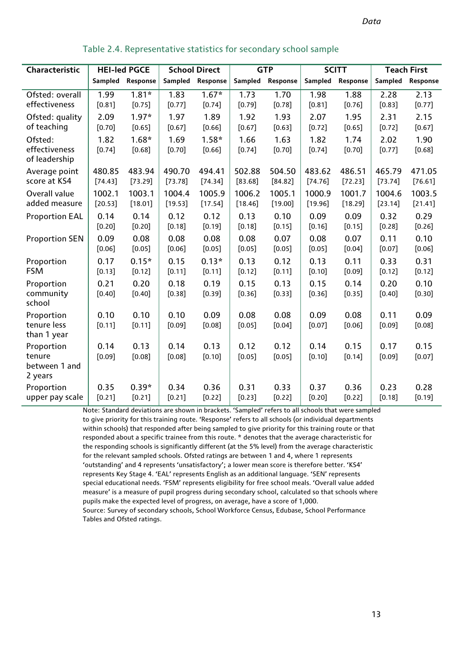| Characteristic                                   |                  | <b>HEI-led PGCE</b> | <b>School Direct</b> |                     |                  | <b>GTP</b>       |                  | <b>SCITT</b>     |                  | <b>Teach First</b> |
|--------------------------------------------------|------------------|---------------------|----------------------|---------------------|------------------|------------------|------------------|------------------|------------------|--------------------|
|                                                  | Sampled          | Response            | Sampled              | Response            | Sampled          | Response         | Sampled          | Response         | Sampled          | Response           |
| Ofsted: overall                                  | 1.99             | $1.81*$             | 1.83                 | $1.67*$             | 1.73             | 1.70             | 1.98             | 1.88             | 2.28             | 2.13               |
| effectiveness                                    | $[0.81]$         | $[0.75]$            | $[0.77]$             | $[0.74]$            | $[0.79]$         | $[0.78]$         | $[0.81]$         | $[0.76]$         | $[0.83]$         | $[0.77]$           |
| Ofsted: quality                                  | 2.09             | $1.97*$             | 1.97                 | 1.89                | 1.92             | 1.93             | 2.07             | 1.95             | 2.31             | 2.15               |
| of teaching                                      | $[0.70]$         | $[0.65]$            | $[0.67]$             | [0.66]              | $[0.67]$         | $[0.63]$         | $[0.72]$         | $[0.65]$         | $[0.72]$         | $[0.67]$           |
| Ofsted:<br>effectiveness<br>of leadership        | 1.82<br>$[0.74]$ | $1.68*$<br>$[0.68]$ | 1.69<br>$[0.70]$     | $1.58*$<br>$[0.66]$ | 1.66<br>$[0.74]$ | 1.63<br>$[0.70]$ | 1.82<br>$[0.74]$ | 1.74<br>$[0.70]$ | 2.02<br>$[0.77]$ | 1.90<br>$[0.68]$   |
| Average point                                    | 480.85           | 483.94              | 490.70               | 494.41              | 502.88           | 504.50           | 483.62           | 486.51           | 465.79           | 471.05             |
| score at KS4                                     | $[74.43]$        | [73.29]             | [73.78]              | $[74.34]$           | [83.68]          | [84.82]          | $[74.76]$        | [72.23]          | [73.74]          | [76.61]            |
| Overall value                                    | 1002.1           | 1003.1              | 1004.4               | 1005.9              | 1006.2           | 1005.1           | 1000.9           | 1001.7           | 1004.6           | 1003.5             |
| added measure                                    | $[20.53]$        | [18.01]             | [19.53]              | [17.54]             | [18.46]          | [19.00]          | [19.96]          | [18.29]          | [23.14]          | [21.41]            |
| <b>Proportion EAL</b>                            | 0.14             | 0.14                | 0.12                 | 0.12                | 0.13             | 0.10             | 0.09             | 0.09             | 0.32             | 0.29               |
|                                                  | $[0.20]$         | $[0.20]$            | $[0.18]$             | $[0.19]$            | $[0.18]$         | $[0.15]$         | $[0.16]$         | $[0.15]$         | $[0.28]$         | $[0.26]$           |
| <b>Proportion SEN</b>                            | 0.09             | 0.08                | 0.08                 | 0.08                | 0.08             | 0.07             | 0.08             | 0.07             | 0.11             | 0.10               |
|                                                  | $[0.06]$         | $[0.05]$            | $[0.06]$             | $[0.05]$            | $[0.05]$         | $[0.05]$         | $[0.05]$         | $[0.04]$         | $[0.07]$         | $[0.06]$           |
| Proportion                                       | 0.17             | $0.15*$             | 0.15                 | $0.13*$             | 0.13             | 0.12             | 0.13             | 0.11             | 0.33             | 0.31               |
| <b>FSM</b>                                       | $[0.13]$         | $[0.12]$            | $[0.11]$             | $[0.11]$            | $[0.12]$         | [0.11]           | $[0.10]$         | [0.09]           | [0.12]           | $[0.12]$           |
| Proportion<br>community<br>school                | 0.21<br>$[0.40]$ | 0.20<br>$[0.40]$    | 0.18<br>$[0.38]$     | 0.19<br>$[0.39]$    | 0.15<br>$[0.36]$ | 0.13<br>$[0.33]$ | 0.15<br>$[0.36]$ | 0.14<br>$[0.35]$ | 0.20<br>$[0.40]$ | 0.10<br>$[0.30]$   |
| Proportion<br>tenure less<br>than 1 year         | 0.10<br>[0.11]   | 0.10<br>$[0.11]$    | 0.10<br>$[0.09]$     | 0.09<br>[0.08]      | 0.08<br>$[0.05]$ | 0.08<br>$[0.04]$ | 0.09<br>$[0.07]$ | 0.08<br>[0.06]   | 0.11<br>[0.09]   | 0.09<br>[0.08]     |
| Proportion<br>tenure<br>between 1 and<br>2 years | 0.14<br>$[0.09]$ | 0.13<br>[0.08]      | 0.14<br>$[0.08]$     | 0.13<br>$[0.10]$    | 0.12<br>$[0.05]$ | 0.12<br>$[0.05]$ | 0.14<br>$[0.10]$ | 0.15<br>$[0.14]$ | 0.17<br>$[0.09]$ | 0.15<br>$[0.07]$   |
| Proportion                                       | 0.35             | $0.39*$             | 0.34                 | 0.36                | 0.31             | 0.33             | 0.37             | 0.36             | 0.23             | 0.28               |
| upper pay scale                                  | $[0.21]$         | $[0.21]$            | $[0.21]$             | $[0.22]$            | $[0.23]$         | $[0.22]$         | $[0.20]$         | $[0.22]$         | $[0.18]$         | $[0.19]$           |

Table 2.4. Representative statistics for secondary school sample

Note: Standard deviations are shown in brackets. 'Sampled' refers to all schools that were sampled to give priority for this training route. 'Response' refers to all schools (or individual departments within schools) that responded after being sampled to give priority for this training route or that responded about a specific trainee from this route. \* denotes that the average characteristic for the responding schools is significantly different (at the 5% level) from the average characteristic for the relevant sampled schools. Ofsted ratings are between 1 and 4, where 1 represents 'outstanding' and 4 represents 'unsatisfactory'; a lower mean score is therefore better. 'KS4' represents Key Stage 4. 'EAL' represents English as an additional language. 'SEN' represents special educational needs. 'FSM' represents eligibility for free school meals. 'Overall value added measure' is a measure of pupil progress during secondary school, calculated so that schools where pupils make the expected level of progress, on average, have a score of 1,000. Source: Survey of secondary schools, School Workforce Census, Edubase, School Performance Tables and Ofsted ratings.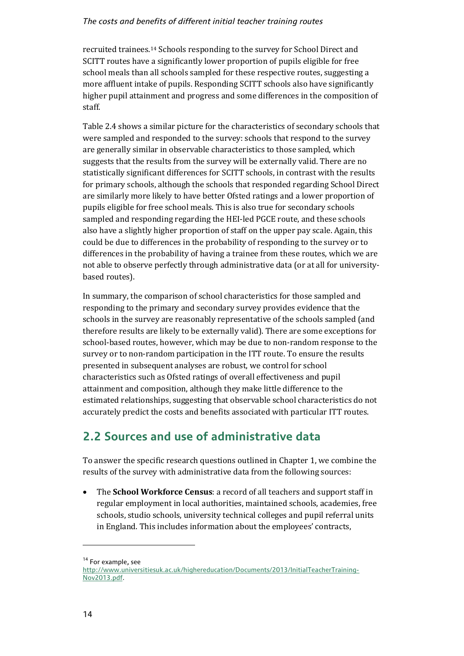#### *The costs and benefits of different initial teacher training routes*

recruited trainees[.14](#page-18-1) Schools responding to the survey for School Direct and SCITT routes have a significantly lower proportion of pupils eligible for free school meals than all schools sampled for these respective routes, suggesting a more affluent intake of pupils. Responding SCITT schools also have significantly higher pupil attainment and progress and some differences in the composition of staff.

Table 2.4 shows a similar picture for the characteristics of secondary schools that were sampled and responded to the survey: schools that respond to the survey are generally similar in observable characteristics to those sampled, which suggests that the results from the survey will be externally valid. There are no statistically significant differences for SCITT schools, in contrast with the results for primary schools, although the schools that responded regarding School Direct are similarly more likely to have better Ofsted ratings and a lower proportion of pupils eligible for free school meals. This is also true for secondary schools sampled and responding regarding the HEI-led PGCE route, and these schools also have a slightly higher proportion of staff on the upper pay scale. Again, this could be due to differences in the probability of responding to the survey or to differences in the probability of having a trainee from these routes, which we are not able to observe perfectly through administrative data (or at all for universitybased routes).

In summary, the comparison of school characteristics for those sampled and responding to the primary and secondary survey provides evidence that the schools in the survey are reasonably representative of the schools sampled (and therefore results are likely to be externally valid). There are some exceptions for school-based routes, however, which may be due to non-random response to the survey or to non-random participation in the ITT route. To ensure the results presented in subsequent analyses are robust, we control for school characteristics such as Ofsted ratings of overall effectiveness and pupil attainment and composition, although they make little difference to the estimated relationships, suggesting that observable school characteristics do not accurately predict the costs and benefits associated with particular ITT routes.

### <span id="page-18-0"></span>**2.2 Sources and use of administrative data**

To answer the specific research questions outlined in Chapter 1, we combine the results of the survey with administrative data from the following sources:

• The **School Workforce Census**: a record of all teachers and support staff in regular employment in local authorities, maintained schools, academies, free schools, studio schools, university technical colleges and pupil referral units in England. This includes information about the employees' contracts,

<span id="page-18-1"></span> $14$  For example, see

[http://www.universitiesuk.ac.uk/highereducation/Documents/2013/InitialTeacherTraining-](http://www.universitiesuk.ac.uk/highereducation/Documents/2013/InitialTeacherTraining-Nov2013.pdf)[Nov2013.pdf.](http://www.universitiesuk.ac.uk/highereducation/Documents/2013/InitialTeacherTraining-Nov2013.pdf)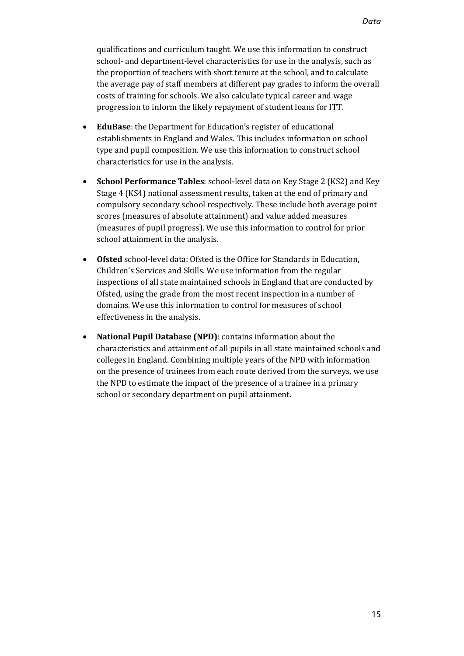qualifications and curriculum taught. We use this information to construct school- and department-level characteristics for use in the analysis, such as the proportion of teachers with short tenure at the school, and to calculate the average pay of staff members at different pay grades to inform the overall costs of training for schools. We also calculate typical career and wage progression to inform the likely repayment of student loans for ITT.

- **EduBase**: the Department for Education's register of educational establishments in England and Wales. This includes information on school type and pupil composition. We use this information to construct school characteristics for use in the analysis.
- **School Performance Tables**: school-level data on Key Stage 2 (KS2) and Key Stage 4 (KS4) national assessment results, taken at the end of primary and compulsory secondary school respectively. These include both average point scores (measures of absolute attainment) and value added measures (measures of pupil progress). We use this information to control for prior school attainment in the analysis.
- **Ofsted** school-level data: Ofsted is the Office for Standards in Education, Children's Services and Skills. We use information from the regular inspections of all state maintained schools in England that are conducted by Ofsted, using the grade from the most recent inspection in a number of domains. We use this information to control for measures of school effectiveness in the analysis.
- **National Pupil Database (NPD)**: contains information about the characteristics and attainment of all pupils in all state maintained schools and colleges in England. Combining multiple years of the NPD with information on the presence of trainees from each route derived from the surveys, we use the NPD to estimate the impact of the presence of a trainee in a primary school or secondary department on pupil attainment.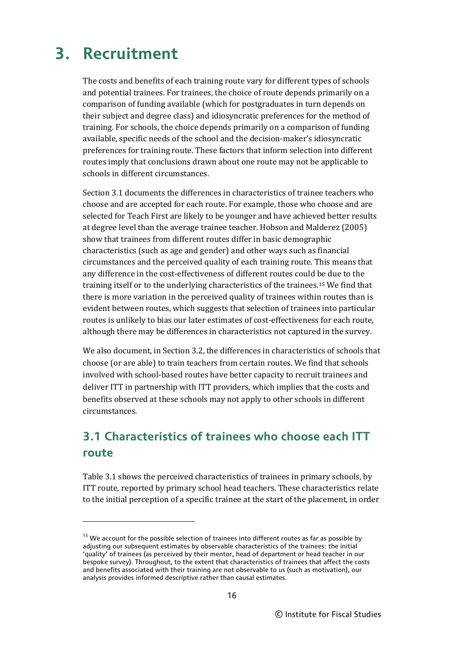## <span id="page-20-0"></span>**3. Recruitment**

j

The costs and benefits of each training route vary for different types of schools and potential trainees. For trainees, the choice of route depends primarily on a comparison of funding available (which for postgraduates in turn depends on their subject and degree class) and idiosyncratic preferences for the method of training. For schools, the choice depends primarily on a comparison of funding available, specific needs of the school and the decision-maker's idiosyncratic preferences for training route. These factors that inform selection into different routes imply that conclusions drawn about one route may not be applicable to schools in different circumstances.

Section 3.1 documents the differences in characteristics of trainee teachers who choose and are accepted for each route. For example, those who choose and are selected for Teach First are likely to be younger and have achieved better results at degree level than the average trainee teacher. Hobson and Malderez (2005) show that trainees from different routes differ in basic demographic characteristics (such as age and gender) and other ways such as financial circumstances and the perceived quality of each training route. This means that any difference in the cost-effectiveness of different routes could be due to the training itself or to the underlying characteristics of the trainees.[15](#page-20-2) We find that there is more variation in the perceived quality of trainees within routes than is evident between routes, which suggests that selection of trainees into particular routes is unlikely to bias our later estimates of cost-effectiveness for each route, although there may be differences in characteristics not captured in the survey.

We also document, in Section 3.2, the differences in characteristics of schools that choose (or are able) to train teachers from certain routes. We find that schools involved with school-based routes have better capacity to recruit trainees and deliver ITT in partnership with ITT providers, which implies that the costs and benefits observed at these schools may not apply to other schools in different circumstances.

### <span id="page-20-1"></span>**3.1 Characteristics of trainees who choose each ITT route**

Table 3.1 shows the perceived characteristics of trainees in primary schools, by ITT route, reported by primary school head teachers. These characteristics relate to the initial perception of a specific trainee at the start of the placement, in order

<span id="page-20-2"></span> $15$  We account for the possible selection of trainees into different routes as far as possible by adjusting our subsequent estimates by observable characteristics of the trainees: the initial 'quality' of trainees (as perceived by their mentor, head of department or head teacher in our bespoke survey). Throughout, to the extent that characteristics of trainees that affect the costs and benefits associated with their training are not observable to us (such as motivation), our analysis provides informed descriptive rather than causal estimates.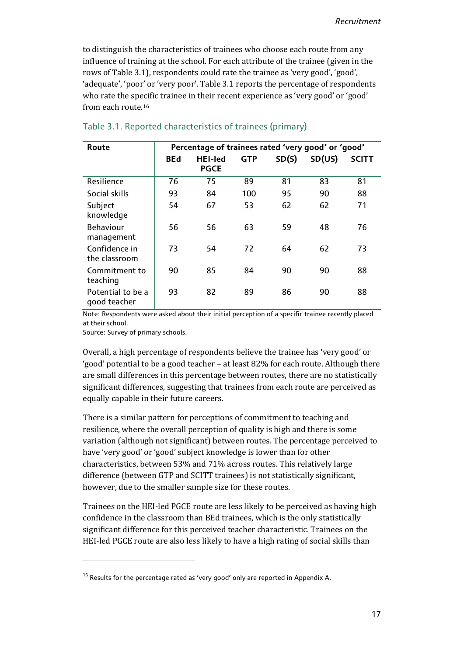to distinguish the characteristics of trainees who choose each route from any influence of training at the school. For each attribute of the trainee (given in the rows of Table 3.1), respondents could rate the trainee as 'very good', 'good', 'adequate', 'poor' or 'very poor'. Table 3.1 reports the percentage of respondents who rate the sp[eci](#page-21-0)fic trainee in their recent experience as 'very good' or 'good' from each route.16

| Route                             | Percentage of trainees rated 'very good' or 'good' |                               |            |       |        |              |  |  |  |
|-----------------------------------|----------------------------------------------------|-------------------------------|------------|-------|--------|--------------|--|--|--|
|                                   | <b>BEd</b>                                         | <b>HEI-led</b><br><b>PGCE</b> | <b>GTP</b> | SD(S) | SD(US) | <b>SCITT</b> |  |  |  |
| Resilience                        | 76                                                 | 75                            | 89         | 81    | 83     | 81           |  |  |  |
| Social skills                     | 93                                                 | 84                            | 100        | 95    | 90     | 88           |  |  |  |
| Subject<br>knowledge              | 54                                                 | 67                            | 53         | 62    | 62     | 71           |  |  |  |
| <b>Behaviour</b><br>management    | 56                                                 | 56                            | 63         | 59    | 48     | 76           |  |  |  |
| Confidence in<br>the classroom    | 73                                                 | 54                            | 72         | 64    | 62     | 73           |  |  |  |
| Commitment to<br>teaching         | 90                                                 | 85                            | 84         | 90    | 90     | 88           |  |  |  |
| Potential to be a<br>good teacher | 93                                                 | 82                            | 89         | 86    | 90     | 88           |  |  |  |

#### Table 3.1. Reported characteristics of trainees (primary)

Note: Respondents were asked about their initial perception of a specific trainee recently placed at their school.

Source: Survey of primary schools.

j

Overall, a high percentage of respondents believe the trainee has 'very good' or 'good' potential to be a good teacher – at least 82% for each route. Although there are small differences in this percentage between routes, there are no statistically significant differences, suggesting that trainees from each route are perceived as equally capable in their future careers.

There is a similar pattern for perceptions of commitment to teaching and resilience, where the overall perception of quality is high and there is some variation (although not significant) between routes. The percentage perceived to have 'very good' or 'good' subject knowledge is lower than for other characteristics, between 53% and 71% across routes. This relatively large difference (between GTP and SCITT trainees) is not statistically significant, however, due to the smaller sample size for these routes.

Trainees on the HEI-led PGCE route are less likely to be perceived as having high confidence in the classroom than BEd trainees, which is the only statistically significant difference for this perceived teacher characteristic. Trainees on the HEI-led PGCE route are also less likely to have a high rating of social skills than

<span id="page-21-0"></span> $16$  Results for the percentage rated as 'very good' only are reported in Appendix A.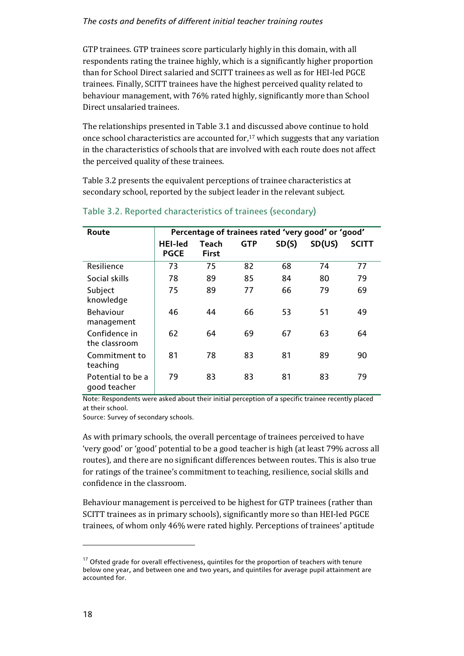#### *The costs and benefits of different initial teacher training routes*

GTP trainees. GTP trainees score particularly highly in this domain, with all respondents rating the trainee highly, which is a significantly higher proportion than for School Direct salaried and SCITT trainees as well as for HEI-led PGCE trainees. Finally, SCITT trainees have the highest perceived quality related to behaviour management, with 76% rated highly, significantly more than School Direct unsalaried trainees.

The relationships presented in Table 3.1 and discussed above continue to hold once school characteristics are accounted for, $17$  which suggests that any variation in the characteristics of schools that are involved with each route does not affect the perceived quality of these trainees.

Table 3.2 presents the equivalent perceptions of trainee characteristics at secondary school, reported by the subject leader in the relevant subject.

| Route                             |                               | Percentage of trainees rated 'very good' or 'good' |            |       |        |              |  |  |  |  |  |
|-----------------------------------|-------------------------------|----------------------------------------------------|------------|-------|--------|--------------|--|--|--|--|--|
|                                   | <b>HEI-led</b><br><b>PGCE</b> | Teach<br><b>First</b>                              | <b>GTP</b> | SD(S) | SD(US) | <b>SCITT</b> |  |  |  |  |  |
| Resilience                        | 73                            | 75                                                 | 82         | 68    | 74     | 77           |  |  |  |  |  |
| Social skills                     | 78                            | 89                                                 | 85         | 84    | 80     | 79           |  |  |  |  |  |
| Subject<br>knowledge              | 75                            | 89                                                 | 77         | 66    | 79     | 69           |  |  |  |  |  |
| <b>Behaviour</b><br>management    | 46                            | 44                                                 | 66         | 53    | 51     | 49           |  |  |  |  |  |
| Confidence in<br>the classroom    | 62                            | 64                                                 | 69         | 67    | 63     | 64           |  |  |  |  |  |
| Commitment to<br>teaching         | 81                            | 78                                                 | 83         | 81    | 89     | 90           |  |  |  |  |  |
| Potential to be a<br>good teacher | 79                            | 83                                                 | 83         | 81    | 83     | 79           |  |  |  |  |  |

#### Table 3.2. Reported characteristics of trainees (secondary)

Note: Respondents were asked about their initial perception of a specific trainee recently placed at their school.

Source: Survey of secondary schools.

As with primary schools, the overall percentage of trainees perceived to have 'very good' or 'good' potential to be a good teacher is high (at least 79% across all routes), and there are no significant differences between routes. This is also true for ratings of the trainee's commitment to teaching, resilience, social skills and confidence in the classroom.

Behaviour management is perceived to be highest for GTP trainees (rather than SCITT trainees as in primary schools), significantly more so than HEI-led PGCE trainees, of whom only 46% were rated highly. Perceptions of trainees' aptitude

<span id="page-22-0"></span><sup>&</sup>lt;sup>17</sup> Ofsted grade for overall effectiveness, quintiles for the proportion of teachers with tenure below one year, and between one and two years, and quintiles for average pupil attainment are accounted for.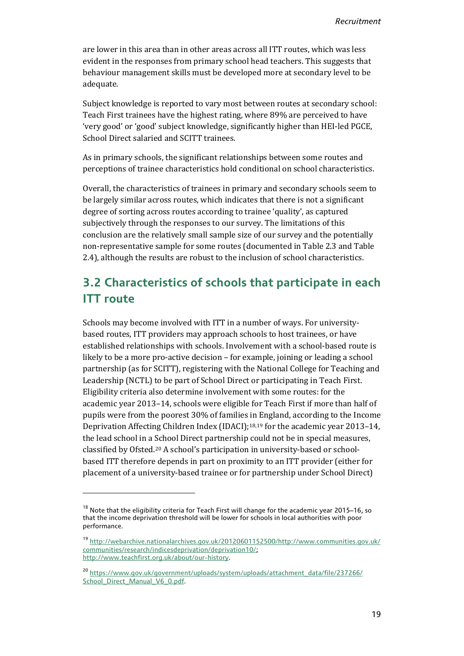are lower in this area than in other areas across all ITT routes, which was less evident in the responses from primary school head teachers. This suggests that behaviour management skills must be developed more at secondary level to be adequate.

Subject knowledge is reported to vary most between routes at secondary school: Teach First trainees have the highest rating, where 89% are perceived to have 'very good' or 'good' subject knowledge, significantly higher than HEI-led PGCE, School Direct salaried and SCITT trainees.

As in primary schools, the significant relationships between some routes and perceptions of trainee characteristics hold conditional on school characteristics.

Overall, the characteristics of trainees in primary and secondary schools seem to be largely similar across routes, which indicates that there is not a significant degree of sorting across routes according to trainee 'quality', as captured subjectively through the responses to our survey. The limitations of this conclusion are the relatively small sample size of our survey and the potentially non-representative sample for some routes (documented in Table 2.3 and Table 2.4), although the results are robust to the inclusion of school characteristics.

### <span id="page-23-0"></span>**3.2 Characteristics of schools that participate in each ITT route**

Schools may become involved with ITT in a number of ways. For universitybased routes, ITT providers may approach schools to host trainees, or have established relationships with schools. Involvement with a school-based route is likely to be a more pro-active decision – for example, joining or leading a school partnership (as for SCITT), registering with the National College for Teaching and Leadership (NCTL) to be part of School Direct or participating in Teach First. Eligibility criteria also determine involvement with some routes: for the academic year 2013–14, schools were eligible for Teach First if more than half of pupils were from the poorest 30% of families i[n E](#page-23-2)ngland, according to the Income Deprivation Affecting Children Index (IDACI)[;18](#page-23-1),19 for the academic year 2013–14, the lead school in a School Direct partnership could not be in special measures, classified by Ofsted.[20](#page-23-3) A school's participation in university-based or schoolbased ITT therefore depends in part on proximity to an ITT provider (either for placement of a university-based trainee or for partnership under School Direct)

<span id="page-23-1"></span> $18$  Note that the eligibility criteria for Teach First will change for the academic year  $2015-16$ , so that the income deprivation threshold will be lower for schools in local authorities with poor performance.

<span id="page-23-2"></span><sup>19</sup> [http://webarchive.nationalarchives.gov.uk/20120601152500/http://www.communities.gov.uk/](http://webarchive.nationalarchives.gov.uk/20120601152500/http:/www.communities.gov.uk/communities/research/indicesdeprivation/deprivation10/) [communities/research/indicesdeprivation/deprivation10/;](http://webarchive.nationalarchives.gov.uk/20120601152500/http:/www.communities.gov.uk/communities/research/indicesdeprivation/deprivation10/) [http://www.teachfirst.org.uk/about/our-history.](http://www.teachfirst.org.uk/about/our-history) 

<span id="page-23-3"></span><sup>&</sup>lt;sup>20</sup> [https://www.gov.uk/government/uploads/system/uploads/attachment\\_data/file/237266/](https://www.gov.uk/government/uploads/system/uploads/attachment_data/file/237266/School_Direct_Manual_V6_0.pdf) School\_Direct\_Manual\_V6\_0.pdf.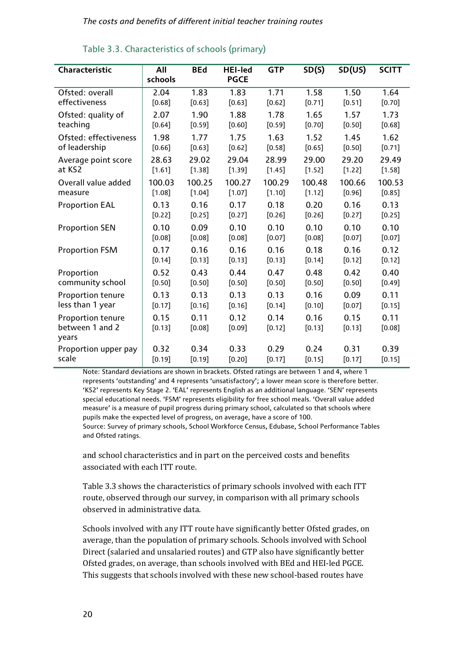| Characteristic                                | All<br>schools   | <b>BEd</b>     | <b>HEI-led</b><br><b>PGCE</b> | <b>GTP</b>       | SD(S)            | SD(US)           | <b>SCITT</b>     |
|-----------------------------------------------|------------------|----------------|-------------------------------|------------------|------------------|------------------|------------------|
| Ofsted: overall                               | 2.04             | 1.83           | 1.83                          | 1.71             | 1.58             | 1.50             | 1.64             |
| effectiveness                                 | $[0.68]$         | $[0.63]$       | $[0.63]$                      | $[0.62]$         | $[0.71]$         | $[0.51]$         | $[0.70]$         |
| Ofsted: quality of                            | 2.07             | 1.90           | 1.88                          | 1.78             | 1.65             | 1.57             | 1.73             |
| teaching                                      | $[0.64]$         | $[0.59]$       | $[0.60]$                      | $[0.59]$         | $[0.70]$         | $[0.50]$         | $[0.68]$         |
| Ofsted: effectiveness                         | 1.98             | 1.77           | 1.75                          | 1.63             | 1.52             | 1.45             | 1.62             |
| of leadership                                 | $[0.66]$         | $[0.63]$       | $[0.62]$                      | $[0.58]$         | $[0.65]$         | $[0.50]$         | $[0.71]$         |
| Average point score                           | 28.63            | 29.02          | 29.04                         | 28.99            | 29.00            | 29.20            | 29.49            |
| at KS2                                        | $[1.61]$         | $[1.38]$       | $[1.39]$                      | $[1.45]$         | $[1.52]$         | [1.22]           | $[1.58]$         |
| Overall value added                           | 100.03           | 100.25         | 100.27                        | 100.29           | 100.48           | 100.66           | 100.53           |
| measure                                       | $[1.08]$         | $[1.04]$       | $[1.07]$                      | [1.10]           | $[1.12]$         | $[0.96]$         | $[0.85]$         |
| <b>Proportion EAL</b>                         | 0.13             | 0.16           | 0.17                          | 0.18             | 0.20             | 0.16             | 0.13             |
|                                               | $[0.22]$         | $[0.25]$       | $[0.27]$                      | $[0.26]$         | $[0.26]$         | $[0.27]$         | $[0.25]$         |
| <b>Proportion SEN</b>                         | 0.10             | 0.09           | 0.10                          | 0.10             | 0.10             | 0.10             | 0.10             |
|                                               | $[0.08]$         | $[0.08]$       | $[0.08]$                      | $[0.07]$         | [0.08]           | $[0.07]$         | $[0.07]$         |
| <b>Proportion FSM</b>                         | 0.17             | 0.16           | 0.16                          | 0.16             | 0.18             | 0.16             | 0.12             |
|                                               | $[0.14]$         | $[0.13]$       | [0.13]                        | $[0.13]$         | $[0.14]$         | $[0.12]$         | $[0.12]$         |
| Proportion                                    | 0.52             | 0.43           | 0.44                          | 0.47             | 0.48             | 0.42             | 0.40             |
| community school                              | [0.50]           | $[0.50]$       | $[0.50]$                      | $[0.50]$         | $[0.50]$         | $[0.50]$         | $[0.49]$         |
| Proportion tenure                             | 0.13             | 0.13           | 0.13                          | 0.13             | 0.16             | 0.09             | 0.11             |
| less than 1 year                              | [0.17]           | $[0.16]$       | $[0.16]$                      | $[0.14]$         | $[0.10]$         | $[0.07]$         | $[0.15]$         |
| Proportion tenure<br>between 1 and 2<br>years | 0.15<br>$[0.13]$ | 0.11<br>[0.08] | 0.12<br>$[0.09]$              | 0.14<br>$[0.12]$ | 0.16<br>$[0.13]$ | 0.15<br>$[0.13]$ | 0.11<br>$[0.08]$ |
| Proportion upper pay                          | 0.32             | 0.34           | 0.33                          | 0.29             | 0.24             | 0.31             | 0.39             |
| scale                                         | $[0.19]$         | $[0.19]$       | $[0.20]$                      | $[0.17]$         | $[0.15]$         | $[0.17]$         | $[0.15]$         |

| Table 3.3. Characteristics of schools (primary) |  |  |
|-------------------------------------------------|--|--|
|-------------------------------------------------|--|--|

Note: Standard deviations are shown in brackets. Ofsted ratings are between 1 and 4, where 1 represents 'outstanding' and 4 represents 'unsatisfactory'; a lower mean score is therefore better. 'KS2' represents Key Stage 2. 'EAL' represents English as an additional language. 'SEN' represents special educational needs. 'FSM' represents eligibility for free school meals. 'Overall value added measure' is a measure of pupil progress during primary school, calculated so that schools where pupils make the expected level of progress, on average, have a score of 100. Source: Survey of primary schools, School Workforce Census, Edubase, School Performance Tables and Ofsted ratings.

and school characteristics and in part on the perceived costs and benefits associated with each ITT route.

Table 3.3 shows the characteristics of primary schools involved with each ITT route, observed through our survey, in comparison with all primary schools observed in administrative data.

Schools involved with any ITT route have significantly better Ofsted grades, on average, than the population of primary schools. Schools involved with School Direct (salaried and unsalaried routes) and GTP also have significantly better Ofsted grades, on average, than schools involved with BEd and HEI-led PGCE. This suggests that schools involved with these new school-based routes have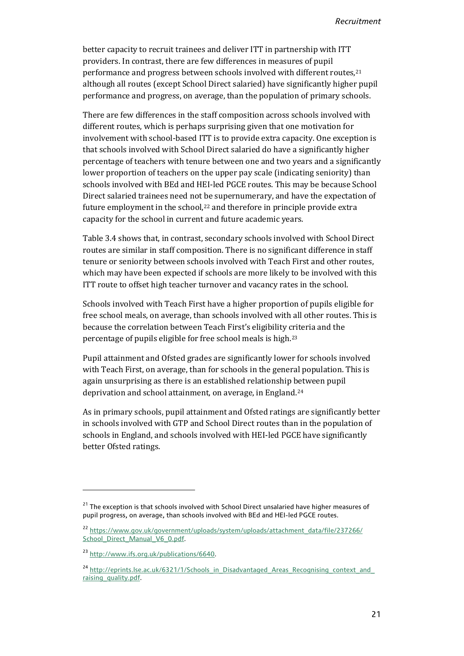better capacity to recruit trainees and deliver ITT in partnership with ITT providers. In contrast, there are few differences in measures of pupil performance and progress between schools involved with different routes, [21](#page-25-0) although all routes (except School Direct salaried) have significantly higher pupil performance and progress, on average, than the population of primary schools.

There are few differences in the staff composition across schools involved with different routes, which is perhaps surprising given that one motivation for involvement with school-based ITT is to provide extra capacity. One exception is that schools involved with School Direct salaried do have a significantly higher percentage of teachers with tenure between one and two years and a significantly lower proportion of teachers on the upper pay scale (indicating seniority) than schools involved with BEd and HEI-led PGCE routes. This may be because School Direct salaried trainees need not [be](#page-25-1) supernumerary, and have the expectation of future employment in the school, $22$  and therefore in principle provide extra capacity for the school in current and future academic years.

Table 3.4 shows that, in contrast, secondary schools involved with School Direct routes are similar in staff composition. There is no significant difference in staff tenure or seniority between schools involved with Teach First and other routes, which may have been expected if schools are more likely to be involved with this ITT route to offset high teacher turnover and vacancy rates in the school.

Schools involved with Teach First have a higher proportion of pupils eligible for free school meals, on average, than schools involved with all other routes. This is because the correlation between Teach First's eligibility criteria and the percentage of pupils eligible for free school meals is high.[23](#page-25-2)

Pupil attainment and Ofsted grades are significantly lower for schools involved with Teach First, on average, than for schools in the general population. This is again unsurprising as there is an established relationship [bet](#page-25-3)ween pupil deprivation and school attainment, on average, in England.24

As in primary schools, pupil attainment and Ofsted ratings are significantly better in schools involved with GTP and School Direct routes than in the population of schools in England, and schools involved with HEI-led PGCE have significantly better Ofsted ratings.

<span id="page-25-0"></span><sup>&</sup>lt;sup>21</sup> The exception is that schools involved with School Direct unsalaried have higher measures of pupil progress, on average, than schools involved with BEd and HEI-led PGCE routes.

<span id="page-25-1"></span><sup>22</sup> [https://www.gov.uk/government/uploads/system/uploads/attachment\\_data/file/237266/](https://www.gov.uk/government/uploads/system/uploads/attachment_data/file/237266/School_Direct_Manual_V6_0.pdf) School Direct Manual V6 0.pdf.

<span id="page-25-2"></span><sup>23</sup> [http://www.ifs.org.uk/publications/6640.](http://www.ifs.org.uk/publications/6640)

<span id="page-25-3"></span><sup>&</sup>lt;sup>24</sup> [http://eprints.lse.ac.uk/6321/1/Schools\\_in\\_Disadvantaged\\_Areas\\_Recognising\\_context\\_and\\_](http://eprints.lse.ac.uk/6321/1/Schools_in_Disadvantaged_Areas_Recognising_context_and_raising_quality.pdf) [raising\\_quality.pdf.](http://eprints.lse.ac.uk/6321/1/Schools_in_Disadvantaged_Areas_Recognising_context_and_raising_quality.pdf)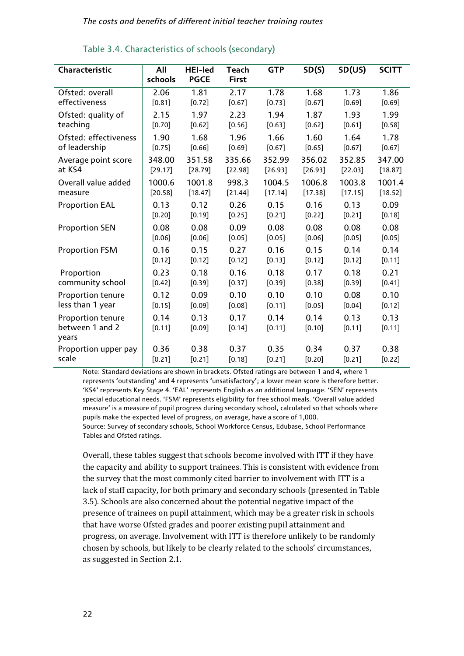| Characteristic                                | All<br>schools   | <b>HEI-led</b><br><b>PGCE</b> | <b>Teach</b><br><b>First</b> | <b>GTP</b>       | SD(S)            | SD(US)           | <b>SCITT</b>     |
|-----------------------------------------------|------------------|-------------------------------|------------------------------|------------------|------------------|------------------|------------------|
| Ofsted: overall                               | 2.06             | 1.81                          | 2.17                         | 1.78             | 1.68             | 1.73             | 1.86             |
| effectiveness                                 | $[0.81]$         | $[0.72]$                      | $[0.67]$                     | $[0.73]$         | $[0.67]$         | $[0.69]$         | $[0.69]$         |
| Ofsted: quality of                            | 2.15             | 1.97                          | 2.23                         | 1.94             | 1.87             | 1.93             | 1.99             |
| teaching                                      | $[0.70]$         | $[0.62]$                      | $[0.56]$                     | $[0.63]$         | $[0.62]$         | $[0.61]$         | $[0.58]$         |
| Ofsted: effectiveness                         | 1.90             | 1.68                          | 1.96                         | 1.66             | 1.60             | 1.64             | 1.78             |
| of leadership                                 | $[0.75]$         | $[0.66]$                      | $[0.69]$                     | $[0.67]$         | $[0.65]$         | $[0.67]$         | $[0.67]$         |
| Average point score                           | 348.00           | 351.58                        | 335.66                       | 352.99           | 356.02           | 352.85           | 347.00           |
| at KS4                                        | $[29.17]$        | $[28.79]$                     | $[22.98]$                    | $[26.93]$        | $[26.93]$        | $[22.03]$        | $[18.87]$        |
| Overall value added                           | 1000.6           | 1001.8                        | 998.3                        | 1004.5           | 1006.8           | 1003.8           | 1001.4           |
| measure                                       | $[20.58]$        | $[18.47]$                     | $[21.44]$                    | $[17.14]$        | $[17.38]$        | [17.15]          | $[18.52]$        |
| <b>Proportion EAL</b>                         | 0.13             | 0.12                          | 0.26                         | 0.15             | 0.16             | 0.13             | 0.09             |
|                                               | $[0.20]$         | $[0.19]$                      | $[0.25]$                     | $[0.21]$         | $[0.22]$         | $[0.21]$         | [0.18]           |
| <b>Proportion SEN</b>                         | 0.08             | 0.08                          | 0.09                         | 0.08             | 0.08             | 0.08             | 0.08             |
|                                               | $[0.06]$         | $[0.06]$                      | $[0.05]$                     | $[0.05]$         | $[0.06]$         | $[0.05]$         | $[0.05]$         |
| <b>Proportion FSM</b>                         | 0.16             | 0.15                          | 0.27                         | 0.16             | 0.15             | 0.14             | 0.14             |
|                                               | [0.12]           | $[0.12]$                      | $[0.12]$                     | [0.13]           | [0.12]           | [0.12]           | [0.11]           |
| Proportion                                    | 0.23             | 0.18                          | 0.16                         | 0.18             | 0.17             | 0.18             | 0.21             |
| community school                              | $[0.42]$         | $[0.39]$                      | $[0.37]$                     | $[0.39]$         | $[0.38]$         | $[0.39]$         | $[0.41]$         |
| Proportion tenure                             | 0.12             | 0.09                          | 0.10                         | 0.10             | 0.10             | 0.08             | 0.10             |
| less than 1 year                              | $[0.15]$         | $[0.09]$                      | $[0.08]$                     | $[0.11]$         | $[0.05]$         | $[0.04]$         | $[0.12]$         |
| Proportion tenure<br>between 1 and 2<br>years | 0.14<br>$[0.11]$ | 0.13<br>$[0.09]$              | 0.17<br>$[0.14]$             | 0.14<br>$[0.11]$ | 0.14<br>$[0.10]$ | 0.13<br>$[0.11]$ | 0.13<br>$[0.11]$ |
| Proportion upper pay                          | 0.36             | 0.38                          | 0.37                         | 0.35             | 0.34             | 0.37             | 0.38             |
| scale                                         | $[0.21]$         | $[0.21]$                      | $[0.18]$                     | $[0.21]$         | $[0.20]$         | $[0.21]$         | $[0.22]$         |

Table 3.4. Characteristics of schools (secondary)

Note: Standard deviations are shown in brackets. Ofsted ratings are between 1 and 4, where 1 represents 'outstanding' and 4 represents 'unsatisfactory'; a lower mean score is therefore better. 'KS4' represents Key Stage 4. 'EAL' represents English as an additional language. 'SEN' represents special educational needs. 'FSM' represents eligibility for free school meals. 'Overall value added measure' is a measure of pupil progress during secondary school, calculated so that schools where pupils make the expected level of progress, on average, have a score of 1,000. Source: Survey of secondary schools, School Workforce Census, Edubase, School Performance Tables and Ofsted ratings.

Overall, these tables suggest that schools become involved with ITT if they have the capacity and ability to support trainees. This is consistent with evidence from the survey that the most commonly cited barrier to involvement with ITT is a lack of staff capacity, for both primary and secondary schools (presented in Table 3.5). Schools are also concerned about the potential negative impact of the presence of trainees on pupil attainment, which may be a greater risk in schools that have worse Ofsted grades and poorer existing pupil attainment and progress, on average. Involvement with ITT is therefore unlikely to be randomly chosen by schools, but likely to be clearly related to the schools' circumstances, as suggested in Section 2.1.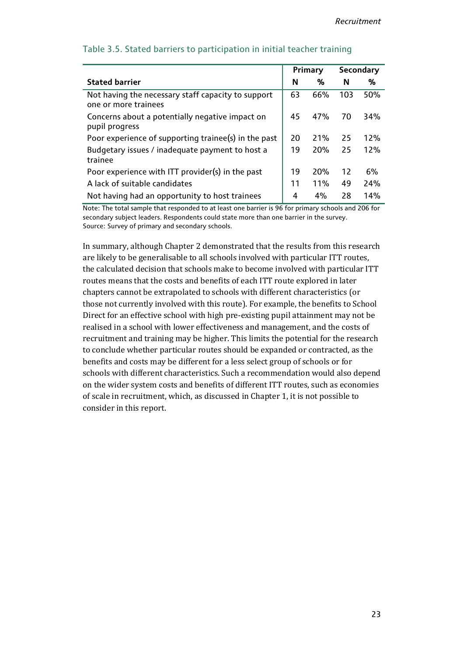|                                                                            |    | Primary    |     | Secondary |
|----------------------------------------------------------------------------|----|------------|-----|-----------|
| <b>Stated barrier</b>                                                      | Ν  | %          | N   | %         |
| Not having the necessary staff capacity to support<br>one or more trainees | 63 | 66%        | 103 | 50%       |
| Concerns about a potentially negative impact on<br>pupil progress          | 45 | 47%        | 70  | 34%       |
| Poor experience of supporting trainee(s) in the past                       | 20 | 21%        | 25  | 12%       |
| Budgetary issues / inadequate payment to host a<br>trainee                 | 19 | 20%        | 25  | 12%       |
| Poor experience with ITT provider(s) in the past                           | 19 | <b>20%</b> | 12  | 6%        |
| A lack of suitable candidates                                              | 11 | 11%        | 49  | 24%       |
| Not having had an opportunity to host trainees                             | 4  | 4%         | 28  | 14%       |

#### Table 3.5. Stated barriers to participation in initial teacher training

Note: The total sample that responded to at least one barrier is 96 for primary schools and 206 for secondary subject leaders. Respondents could state more than one barrier in the survey. Source: Survey of primary and secondary schools.

In summary, although Chapter 2 demonstrated that the results from this research are likely to be generalisable to all schools involved with particular ITT routes, the calculated decision that schools make to become involved with particular ITT routes means that the costs and benefits of each ITT route explored in later chapters cannot be extrapolated to schools with different characteristics (or those not currently involved with this route). For example, the benefits to School Direct for an effective school with high pre-existing pupil attainment may not be realised in a school with lower effectiveness and management, and the costs of recruitment and training may be higher. This limits the potential for the research to conclude whether particular routes should be expanded or contracted, as the benefits and costs may be different for a less select group of schools or for schools with different characteristics. Such a recommendation would also depend on the wider system costs and benefits of different ITT routes, such as economies of scale in recruitment, which, as discussed in Chapter 1, it is not possible to consider in this report.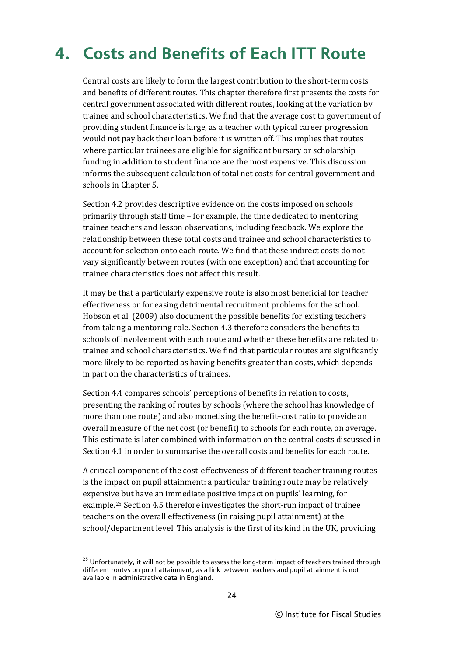## <span id="page-28-0"></span>**4. Costs and Benefits of Each ITT Route**

Central costs are likely to form the largest contribution to the short-term costs and benefits of different routes. This chapter therefore first presents the costs for central government associated with different routes, looking at the variation by trainee and school characteristics. We find that the average cost to government of providing student finance is large, as a teacher with typical career progression would not pay back their loan before it is written off. This implies that routes where particular trainees are eligible for significant bursary or scholarship funding in addition to student finance are the most expensive. This discussion informs the subsequent calculation of total net costs for central government and schools in Chapter 5.

Section 4.2 provides descriptive evidence on the costs imposed on schools primarily through staff time – for example, the time dedicated to mentoring trainee teachers and lesson observations, including feedback. We explore the relationship between these total costs and trainee and school characteristics to account for selection onto each route. We find that these indirect costs do not vary significantly between routes (with one exception) and that accounting for trainee characteristics does not affect this result.

It may be that a particularly expensive route is also most beneficial for teacher effectiveness or for easing detrimental recruitment problems for the school. Hobson et al. (2009) also document the possible benefits for existing teachers from taking a mentoring role. Section 4.3 therefore considers the benefits to schools of involvement with each route and whether these benefits are related to trainee and school characteristics. We find that particular routes are significantly more likely to be reported as having benefits greater than costs, which depends in part on the characteristics of trainees.

Section 4.4 compares schools' perceptions of benefits in relation to costs, presenting the ranking of routes by schools (where the school has knowledge of more than one route) and also monetising the benefit–cost ratio to provide an overall measure of the net cost (or benefit) to schools for each route, on average. This estimate is later combined with information on the central costs discussed in Section 4.1 in order to summarise the overall costs and benefits for each route.

A critical component of the cost-effectiveness of different teacher training routes is the impact on pupil attainment: a particular training route may be relatively expensive but have an immediate positive impact on pupils' learning, for example.[25](#page-28-1) Section 4.5 therefore investigates the short-run impact of trainee teachers on the overall effectiveness (in raising pupil attainment) at the school/department level. This analysis is the first of its kind in the UK, providing

<span id="page-28-1"></span><sup>&</sup>lt;sup>25</sup> Unfortunately, it will not be possible to assess the long-term impact of teachers trained through different routes on pupil attainment, as a link between teachers and pupil attainment is not available in administrative data in England.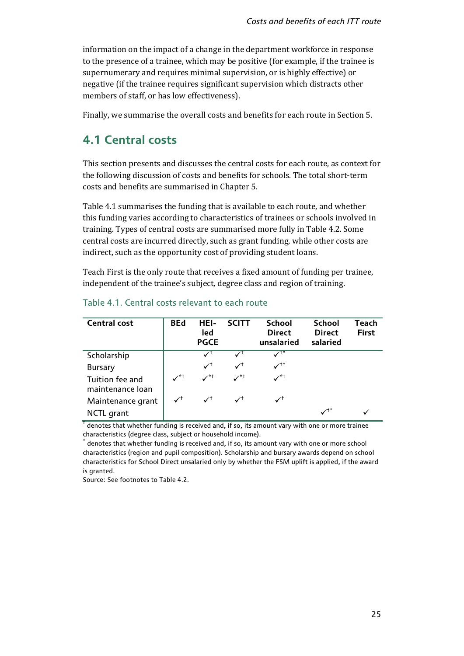information on the impact of a change in the department workforce in response to the presence of a trainee, which may be positive (for example, if the trainee is supernumerary and requires minimal supervision, or is highly effective) or negative (if the trainee requires significant supervision which distracts other members of staff, or has low effectiveness).

Finally, we summarise the overall costs and benefits for each route in Section 5.

### <span id="page-29-0"></span>**4.1 Central costs**

This section presents and discusses the central costs for each route, as context for the following discussion of costs and benefits for schools. The total short-term costs and benefits are summarised in Chapter 5.

Table 4.1 summarises the funding that is available to each route, and whether this funding varies according to characteristics of trainees or schools involved in training. Types of central costs are summarised more fully in Table 4.2. Some central costs are incurred directly, such as grant funding, while other costs are indirect, such as the opportunity cost of providing student loans.

Teach First is the only route that receives a fixed amount of funding per trainee, independent of the trainee's subject, degree class and region of training.

| <b>Central cost</b>                 | <b>BEd</b>     | HEI-<br>led<br><b>PGCE</b> | <b>SCITT</b> | <b>School</b><br><b>Direct</b><br>unsalaried | <b>School</b><br><b>Direct</b><br>salaried | Teach<br><b>First</b> |
|-------------------------------------|----------------|----------------------------|--------------|----------------------------------------------|--------------------------------------------|-----------------------|
| Scholarship                         |                |                            |              |                                              |                                            |                       |
| Bursary                             |                | $\checkmark^{\dagger}$     |              | $\checkmark$ <sup>+*</sup>                   |                                            |                       |
| Tuition fee and<br>maintenance loan | $\checkmark^*$ | $\checkmark^*$             |              | √*†                                          |                                            |                       |
| Maintenance grant                   | $\checkmark$   | $\mathcal{N}^{\dagger}$    |              |                                              |                                            |                       |
| NCTL grant                          |                |                            |              |                                              |                                            |                       |

#### Table 4.1. Central costs relevant to each route

 $<sup>†</sup>$  denotes that whether funding is received and, if so, its amount vary with one or more trainee</sup> characteristics (degree class, subject or household income).

denotes that whether funding is received and, if so, its amount vary with one or more school characteristics (region and pupil composition). Scholarship and bursary awards depend on school characteristics for School Direct unsalaried only by whether the FSM uplift is applied, if the award is granted.

Source: See footnotes to Table 4.2.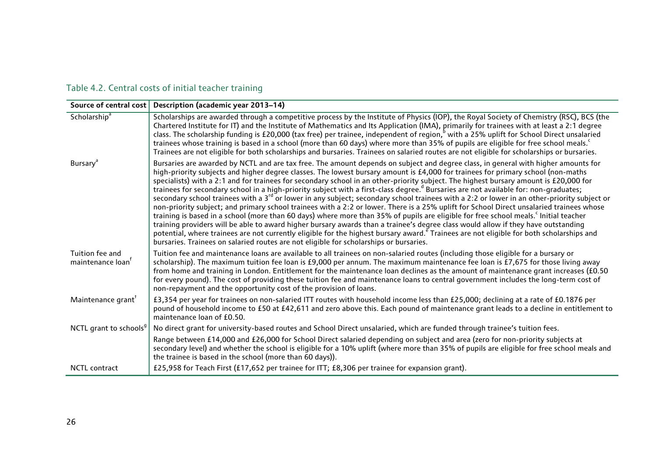|                                                  | Source of central cost   Description (academic year 2013–14)                                                                                                                                                                                                                                                                                                                                                                                                                                                                                                                                                                                                                                                                                                                                                                                                                                                                                                                                                                                                                                                                                                                                                                                                                                                                                                                                                          |
|--------------------------------------------------|-----------------------------------------------------------------------------------------------------------------------------------------------------------------------------------------------------------------------------------------------------------------------------------------------------------------------------------------------------------------------------------------------------------------------------------------------------------------------------------------------------------------------------------------------------------------------------------------------------------------------------------------------------------------------------------------------------------------------------------------------------------------------------------------------------------------------------------------------------------------------------------------------------------------------------------------------------------------------------------------------------------------------------------------------------------------------------------------------------------------------------------------------------------------------------------------------------------------------------------------------------------------------------------------------------------------------------------------------------------------------------------------------------------------------|
| Scholarship <sup>a</sup>                         | Scholarships are awarded through a competitive process by the Institute of Physics (IOP), the Royal Society of Chemistry (RSC), BCS (the<br>Chartered Institute for IT) and the Institute of Mathematics and Its Application (IMA), primarily for trainees with at least a 2:1 degree<br>class. The scholarship funding is £20,000 (tax free) per trainee, independent of region, <sup>b</sup> with a 25% uplift for School Direct unsalaried<br>trainees whose training is based in a school (more than 60 days) where more than 35% of pupils are eligible for free school meals.<br>Trainees are not eligible for both scholarships and bursaries. Trainees on salaried routes are not eligible for scholarships or bursaries.                                                                                                                                                                                                                                                                                                                                                                                                                                                                                                                                                                                                                                                                                     |
| Bursary <sup>ª</sup>                             | Bursaries are awarded by NCTL and are tax free. The amount depends on subject and degree class, in general with higher amounts for<br>high-priority subjects and higher degree classes. The lowest bursary amount is £4,000 for trainees for primary school (non-maths<br>specialists) with a 2:1 and for trainees for secondary school in an other-priority subject. The highest bursary amount is £20,000 for<br>trainees for secondary school in a high-priority subject with a first-class degree. <sup>d</sup> Bursaries are not available for: non-graduates;<br>secondary school trainees with a 3 <sup>rd</sup> or lower in any subject; secondary school trainees with a 2:2 or lower in an other-priority subject or<br>non-priority subject; and primary school trainees with a 2:2 or lower. There is a 25% uplift for School Direct unsalaried trainees whose<br>training is based in a school (more than 60 days) where more than 35% of pupils are eligible for free school meals. <sup>c</sup> Initial teacher<br>training providers will be able to award higher bursary awards than a trainee's degree class would allow if they have outstanding<br>potential, where trainees are not currently eligible for the highest bursary award. <sup>e</sup> Trainees are not eligible for both scholarships and<br>bursaries. Trainees on salaried routes are not eligible for scholarships or bursaries. |
| Tuition fee and<br>maintenance loan <sup>t</sup> | Tuition fee and maintenance loans are available to all trainees on non-salaried routes (including those eligible for a bursary or<br>scholarship). The maximum tuition fee loan is £9,000 per annum. The maximum maintenance fee loan is £7,675 for those living away<br>from home and training in London. Entitlement for the maintenance loan declines as the amount of maintenance grant increases (£0.50<br>for every pound). The cost of providing these tuition fee and maintenance loans to central government includes the long-term cost of<br>non-repayment and the opportunity cost of the provision of loans.                                                                                                                                                                                                                                                                                                                                                                                                                                                                                                                                                                                                                                                                                                                                                                                             |
| Maintenance grant <sup>†</sup>                   | £3,354 per year for trainees on non-salaried ITT routes with household income less than £25,000; declining at a rate of £0.1876 per<br>pound of household income to £50 at £42,611 and zero above this. Each pound of maintenance grant leads to a decline in entitlement to<br>maintenance loan of £0.50.                                                                                                                                                                                                                                                                                                                                                                                                                                                                                                                                                                                                                                                                                                                                                                                                                                                                                                                                                                                                                                                                                                            |
| NCTL grant to schools <sup>9</sup>               | No direct grant for university-based routes and School Direct unsalaried, which are funded through trainee's tuition fees.                                                                                                                                                                                                                                                                                                                                                                                                                                                                                                                                                                                                                                                                                                                                                                                                                                                                                                                                                                                                                                                                                                                                                                                                                                                                                            |
|                                                  | Range between £14,000 and £26,000 for School Direct salaried depending on subject and area (zero for non-priority subjects at<br>secondary level) and whether the school is eligible for a 10% uplift (where more than 35% of pupils are eligible for free school meals and<br>the trainee is based in the school (more than 60 days)).                                                                                                                                                                                                                                                                                                                                                                                                                                                                                                                                                                                                                                                                                                                                                                                                                                                                                                                                                                                                                                                                               |
| <b>NCTL</b> contract                             | £25,958 for Teach First (£17,652 per trainee for ITT; £8,306 per trainee for expansion grant).                                                                                                                                                                                                                                                                                                                                                                                                                                                                                                                                                                                                                                                                                                                                                                                                                                                                                                                                                                                                                                                                                                                                                                                                                                                                                                                        |

### Table 4.2. Central costs of initial teacher training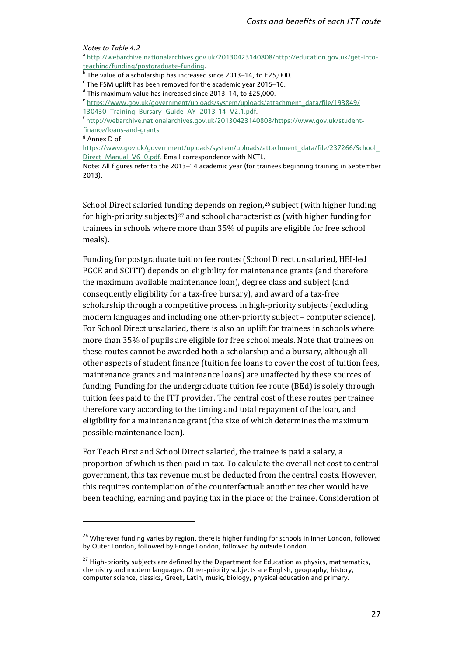#### *Notes to Table 4.2*

a [http://webarchive.nationalarchives.gov.uk/20130423140808/http://education.gov.uk/get-into](http://webarchive.nationalarchives.gov.uk/20130423140808/http:/education.gov.uk/get-into-teaching/funding/postgraduate-funding)[teaching/funding/postgraduate-funding.](http://webarchive.nationalarchives.gov.uk/20130423140808/http:/education.gov.uk/get-into-teaching/funding/postgraduate-funding)

f [http://webarchive.nationalarchives.gov.uk/20130423140808/https://www.gov.uk/student](http://webarchive.nationalarchives.gov.uk/20130423140808/https:/www.gov.uk/student-finance/loans-and-grants)[finance/loans-and-grants.](http://webarchive.nationalarchives.gov.uk/20130423140808/https:/www.gov.uk/student-finance/loans-and-grants)

j

[https://www.gov.uk/government/uploads/system/uploads/attachment\\_data/file/237266/School\\_](https://www.gov.uk/government/uploads/system/uploads/attachment_data/file/237266/School_Direct_Manual_V6_0.pdf) [Direct\\_Manual\\_V6\\_0.pdf.](https://www.gov.uk/government/uploads/system/uploads/attachment_data/file/237266/School_Direct_Manual_V6_0.pdf) Email correspondence with NCTL.

Note: All figures refer to the 2013–14 academic year (for trainees beginning training in September 2013).

School Direct salaried funding depends on region, <sup>[26](#page-31-0)</sup> subject (with higher funding for high-priority subjects)<sup>[27](#page-31-1)</sup> and school characteristics (with higher funding for trainees in schools where more than 35% of pupils are eligible for free school meals).

Funding for postgraduate tuition fee routes (School Direct unsalaried, HEI-led PGCE and SCITT) depends on eligibility for maintenance grants (and therefore the maximum available maintenance loan), degree class and subject (and consequently eligibility for a tax-free bursary), and award of a tax-free scholarship through a competitive process in high-priority subjects (excluding modern languages and including one other-priority subject – computer science). For School Direct unsalaried, there is also an uplift for trainees in schools where more than 35% of pupils are eligible for free school meals. Note that trainees on these routes cannot be awarded both a scholarship and a bursary, although all other aspects of student finance (tuition fee loans to cover the cost of tuition fees, maintenance grants and maintenance loans) are unaffected by these sources of funding. Funding for the undergraduate tuition fee route (BEd) is solely through tuition fees paid to the ITT provider. The central cost of these routes per trainee therefore vary according to the timing and total repayment of the loan, and eligibility for a maintenance grant (the size of which determines the maximum possible maintenance loan).

For Teach First and School Direct salaried, the trainee is paid a salary, a proportion of which is then paid in tax. To calculate the overall net cost to central government, this tax revenue must be deducted from the central costs. However, this requires contemplation of the counterfactual: another teacher would have been teaching, earning and paying tax in the place of the trainee. Consideration of

 $\overline{b}$  The value of a scholarship has increased since 2013–14, to £25,000.

<sup>&</sup>lt;sup>c</sup> The FSM uplift has been removed for the academic year 2015–16.  $\frac{d}{dt}$  This maximum value has increased since 2013–14, to £25,000.

<sup>e</sup> [https://www.gov.uk/government/uploads/system/uploads/attachment\\_data/file/193849/](https://www.gov.uk/government/uploads/system/uploads/attachment_data/file/193849/130430_Training_Bursary_Guide_AY_2013-14_V2.1.pdf) 130430 Training Bursary Guide AY 2013-14 V2.1.pdf.

<sup>&</sup>lt;sup>g</sup> Annex D of

<span id="page-31-0"></span><sup>&</sup>lt;sup>26</sup> Wherever funding varies by region, there is higher funding for schools in Inner London, followed by Outer London, followed by Fringe London, followed by outside London.

<span id="page-31-1"></span> $27$  High-priority subjects are defined by the Department for Education as physics, mathematics, chemistry and modern languages. Other-priority subjects are English, geography, history, computer science, classics, Greek, Latin, music, biology, physical education and primary.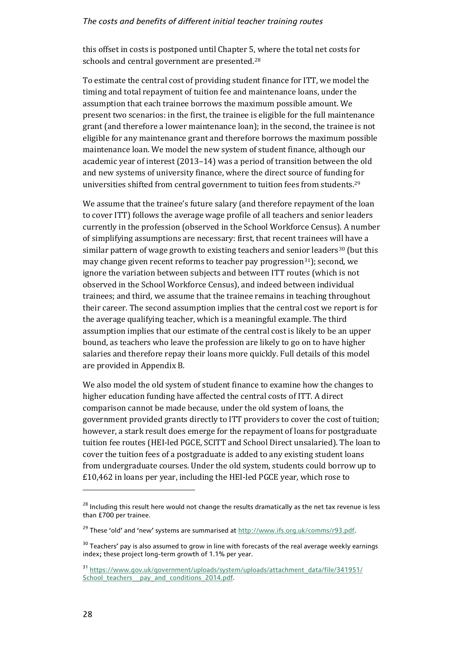#### *The costs and benefits of different initial teacher training routes*

this offset in costs is postponed until Chapter 5, where the total net costs for schools and central government are presented.[28](#page-32-0)

To estimate the central cost of providing student finance for ITT, we model the timing and total repayment of tuition fee and maintenance loans, under the assumption that each trainee borrows the maximum possible amount. We present two scenarios: in the first, the trainee is eligible for the full maintenance grant (and therefore a lower maintenance loan); in the second, the trainee is not eligible for any maintenance grant and therefore borrows the maximum possible maintenance loan. We model the new system of student finance, although our academic year of interest (2013–14) was a period of transition between the old and new systems of university finance, where the direct source of funding for universities shifted from central government to tuition fees from students.[29](#page-32-1)

We assume that the trainee's future salary (and therefore repayment of the loan to cover ITT) follows the average wage profile of all teachers and senior leaders currently in the profession (observed in the School Workforce Census). A number of simplifying assumptions are necessary: first, that recent trainees wi[ll](#page-32-2) have a similar pattern of wage growth to existing teachers and seni[or](#page-32-3) leaders<sup>30</sup> (but this may change given recent reforms to teacher pay progression<sup>31</sup>); second, we ignore the variation between subjects and between ITT routes (which is not observed in the School Workforce Census), and indeed between individual trainees; and third, we assume that the trainee remains in teaching throughout their career. The second assumption implies that the central cost we report is for the average qualifying teacher, which is a meaningful example. The third assumption implies that our estimate of the central cost is likely to be an upper bound, as teachers who leave the profession are likely to go on to have higher salaries and therefore repay their loans more quickly. Full details of this model are provided in Appendix B.

We also model the old system of student finance to examine how the changes to higher education funding have affected the central costs of ITT. A direct comparison cannot be made because, under the old system of loans, the government provided grants directly to ITT providers to cover the cost of tuition; however, a stark result does emerge for the repayment of loans for postgraduate tuition fee routes (HEI-led PGCE, SCITT and School Direct unsalaried). The loan to cover the tuition fees of a postgraduate is added to any existing student loans from undergraduate courses. Under the old system, students could borrow up to £10,462 in loans per year, including the HEI-led PGCE year, which rose to

<span id="page-32-0"></span> $28$  Including this result here would not change the results dramatically as the net tax revenue is less than £700 per trainee.

<span id="page-32-1"></span><sup>&</sup>lt;sup>29</sup> These 'old' and 'new' systems are summarised at [http://www.ifs.org.uk/comms/r93.pdf.](http://www.ifs.org.uk/comms/r93.pdf)

<span id="page-32-2"></span><sup>&</sup>lt;sup>30</sup> Teachers' pay is also assumed to grow in line with forecasts of the real average weekly earnings index; these project long-term growth of 1.1% per year.

<span id="page-32-3"></span><sup>31</sup> [https://www.gov.uk/government/uploads/system/uploads/attachment\\_data/file/341951/](https://www.gov.uk/government/uploads/system/uploads/attachment_data/file/341951/School_teachers__pay_and_conditions_2014.pdf) [School\\_teachers\\_\\_pay\\_and\\_conditions\\_2014.pdf.](https://www.gov.uk/government/uploads/system/uploads/attachment_data/file/341951/School_teachers__pay_and_conditions_2014.pdf)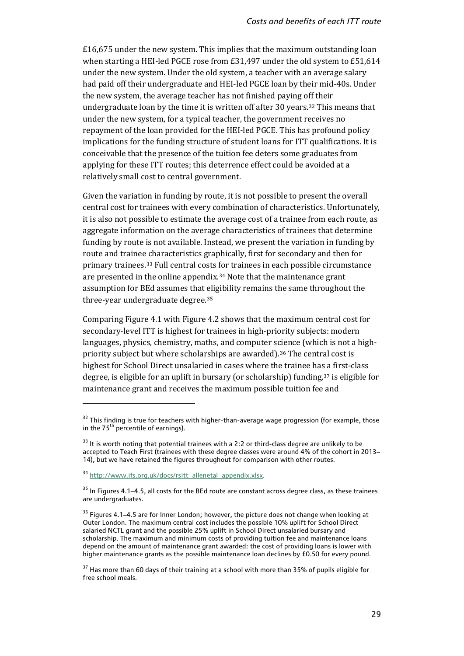$£16,675$  under the new system. This implies that the maximum outstanding loan when starting a HEI-led PGCE rose from £31,497 under the old system to £51,614 under the new system. Under the old system, a teacher with an average salary had paid off their undergraduate and HEI-led PGCE loan by their mid-40s. Under the new system, the average teacher has not finished paying off their undergraduate loan by the time it is written off after 30 years[.32](#page-33-0) This means that under the new system, for a typical teacher, the government receives no repayment of the loan provided for the HEI-led PGCE. This has profound policy implications for the funding structure of student loans for ITT qualifications. It is conceivable that the presence of the tuition fee deters some graduates from applying for these ITT routes; this deterrence effect could be avoided at a relatively small cost to central government.

Given the variation in funding by route, it is not possible to present the overall central cost for trainees with every combination of characteristics. Unfortunately, it is also not possible to estimate the average cost of a trainee from each route, as aggregate information on the average characteristics of trainees that determine funding by route is not available. Instead, we present the variation in funding by route and trainee characteristics graphically, first for secondary and then for primary trainees.[33](#page-33-1) Full central costs for trainees in each possible circumstance are presented in the online appendix[.34](#page-33-2) Note that the maintenance grant assumption for BEd assumes that eligibility remains the same throughout the three-year undergraduate degree.[35](#page-33-3)

Comparing Figure 4.1 with Figure 4.2 shows that the maximum central cost for secondary-level ITT is highest for trainees in high-priority subjects: modern languages, physics, chemistry, maths, and computer science (which is not a highpriority subject but where scholarships are awarded).[36](#page-33-4) The central cost is highest for School Direct unsalaried in cases where the trainee has a first-class degree, is eligible for an uplift in bursary (or scholarship) funding,[37](#page-33-5) is eligible for maintenance grant and receives the maximum possible tuition fee and

<span id="page-33-0"></span> $32$  This finding is true for teachers with higher-than-average wage progression (for example, those in the 75<sup>th</sup> percentile of earnings).

<span id="page-33-1"></span> $33$  It is worth noting that potential trainees with a 2:2 or third-class degree are unlikely to be accepted to Teach First (trainees with these degree classes were around 4% of the cohort in 2013– 14), but we have retained the figures throughout for comparison with other routes.

<span id="page-33-2"></span><sup>&</sup>lt;sup>34</sup> [http://www.ifs.org.uk/docs/rsitt\\_allenetal\\_appendix.xlsx.](http://www.ifs.org.uk/docs/rsitt_allenetal_appendix.xlsx)

<span id="page-33-3"></span><sup>&</sup>lt;sup>35</sup> In Fiaures 4.1–4.5, all costs for the BEd route are constant across degree class, as these trainees are undergraduates.

<span id="page-33-4"></span> $36$  Figures 4.1–4.5 are for Inner London; however, the picture does not change when looking at Outer London. The maximum central cost includes the possible 10% uplift for School Direct salaried NCTL grant and the possible 25% uplift in School Direct unsalaried bursary and scholarship. The maximum and minimum costs of providing tuition fee and maintenance loans depend on the amount of maintenance grant awarded: the cost of providing loans is lower with higher maintenance grants as the possible maintenance loan declines by £0.50 for every pound.

<span id="page-33-5"></span><sup>&</sup>lt;sup>37</sup> Has more than 60 days of their training at a school with more than 35% of pupils eligible for free school meals.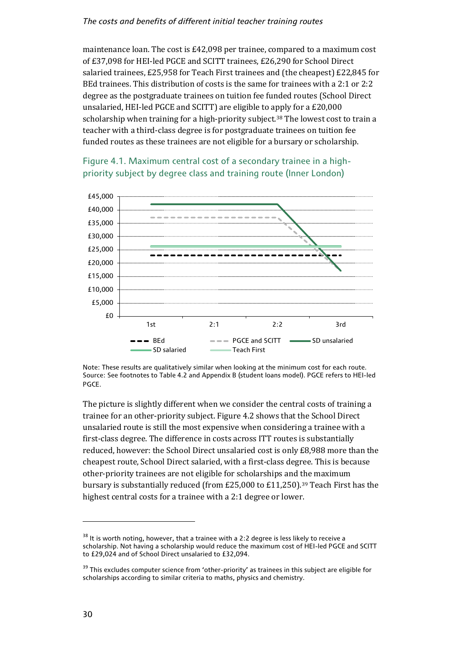#### *The costs and benefits of different initial teacher training routes*

maintenance loan. The cost is £42,098 per trainee, compared to a maximum cost of £37,098 for HEI-led PGCE and SCITT trainees, £26,290 for School Direct salaried trainees, £25,958 for Teach First trainees and (the cheapest) £22,845 for BEd trainees. This distribution of costs is the same for trainees with a 2:1 or 2:2 degree as the postgraduate trainees on tuition fee funded routes (School Direct unsalaried, HEI-led PGCE and SCITT) are eligible to a[pp](#page-34-0)ly for a £20,000 scholarship when training for a high-priority subject.<sup>38</sup> The lowest cost to train a teacher with a third-class degree is for postgraduate trainees on tuition fee funded routes as these trainees are not eligible for a bursary or scholarship.



Figure 4.1. Maximum central cost of a secondary trainee in a highpriority subject by degree class and training route (Inner London)

Note: These results are qualitatively similar when looking at the minimum cost for each route. Source: See footnotes to Table 4.2 and Appendix B (student loans model). PGCE refers to HEI-led PGCE.

The picture is slightly different when we consider the central costs of training a trainee for an other-priority subject. Figure 4.2 shows that the School Direct unsalaried route is still the most expensive when considering a trainee with a first-class degree. The difference in costs across ITT routes is substantially reduced, however: the School Direct unsalaried cost is only £8,988 more than the cheapest route, School Direct salaried, with a first-class degree. This is because other-priority trainees are not eligible for scholarships and the maximum bursary is substantially reduced (from £25,000 to £11,250).[39](#page-34-1) Teach First has the highest central costs for a trainee with a 2:1 degree or lower.

<span id="page-34-0"></span> $38$  It is worth noting, however, that a trainee with a 2:2 degree is less likely to receive a scholarship. Not having a scholarship would reduce the maximum cost of HEI-led PGCE and SCITT to £29,024 and of School Direct unsalaried to £32,094.

<span id="page-34-1"></span><sup>&</sup>lt;sup>39</sup> This excludes computer science from 'other-priority' as trainees in this subject are eligible for scholarships according to similar criteria to maths, physics and chemistry.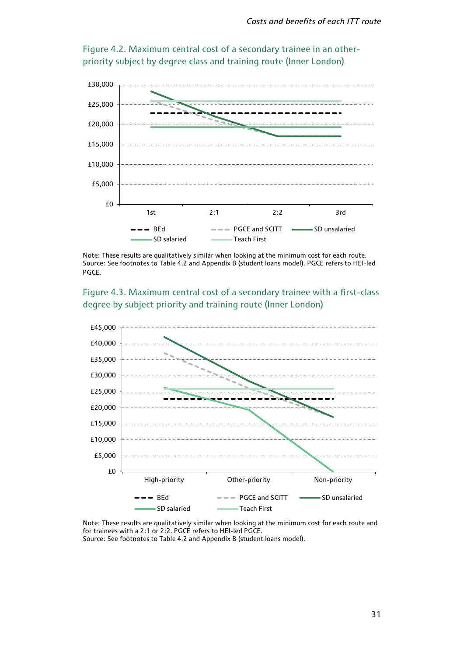

Figure 4.2. Maximum central cost of a secondary trainee in an otherpriority subject by degree class and training route (Inner London)

Note: These results are qualitatively similar when looking at the minimum cost for each route. Source: See footnotes to Table 4.2 and Appendix B (student loans model). PGCE refers to HEI-led PGCE.





Note: These results are qualitatively similar when looking at the minimum cost for each route and for trainees with a 2:1 or 2:2. PGCE refers to HEI-led PGCE. Source: See footnotes to Table 4.2 and Appendix B (student loans model).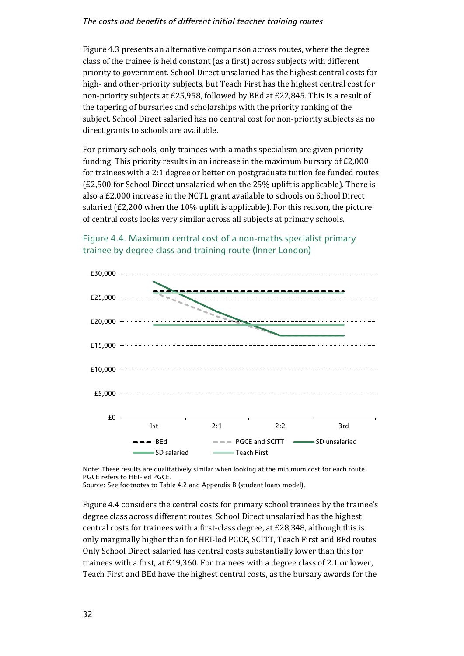Figure 4.3 presents an alternative comparison across routes, where the degree class of the trainee is held constant (as a first) across subjects with different priority to government. School Direct unsalaried has the highest central costs for high- and other-priority subjects, but Teach First has the highest central cost for non-priority subjects at £25,958, followed by BEd at £22,845. This is a result of the tapering of bursaries and scholarships with the priority ranking of the subject. School Direct salaried has no central cost for non-priority subjects as no direct grants to schools are available.

For primary schools, only trainees with a maths specialism are given priority funding. This priority results in an increase in the maximum bursary of £2,000 for trainees with a 2:1 degree or better on postgraduate tuition fee funded routes (£2,500 for School Direct unsalaried when the 25% uplift is applicable). There is also a £2,000 increase in the NCTL grant available to schools on School Direct salaried  $(E2,200$  when the 10% uplift is applicable). For this reason, the picture of central costs looks very similar across all subjects at primary schools.





Note: These results are qualitatively similar when looking at the minimum cost for each route. PGCE refers to HEI-led PGCE.

Source: See footnotes to Table 4.2 and Appendix B (student loans model).

Figure 4.4 considers the central costs for primary school trainees by the trainee's degree class across different routes. School Direct unsalaried has the highest central costs for trainees with a first-class degree, at £28,348, although this is only marginally higher than for HEI-led PGCE, SCITT, Teach First and BEd routes. Only School Direct salaried has central costs substantially lower than this for trainees with a first, at £19,360. For trainees with a degree class of 2.1 or lower, Teach First and BEd have the highest central costs, as the bursary awards for the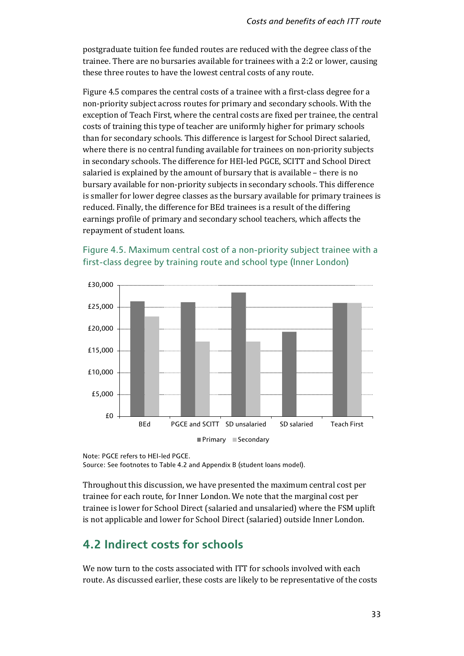postgraduate tuition fee funded routes are reduced with the degree class of the trainee. There are no bursaries available for trainees with a 2:2 or lower, causing these three routes to have the lowest central costs of any route.

Figure 4.5 compares the central costs of a trainee with a first-class degree for a non-priority subject across routes for primary and secondary schools. With the exception of Teach First, where the central costs are fixed per trainee, the central costs of training this type of teacher are uniformly higher for primary schools than for secondary schools. This difference is largest for School Direct salaried, where there is no central funding available for trainees on non-priority subjects in secondary schools. The difference for HEI-led PGCE, SCITT and School Direct salaried is explained by the amount of bursary that is available – there is no bursary available for non-priority subjects in secondary schools. This difference is smaller for lower degree classes as the bursary available for primary trainees is reduced. Finally, the difference for BEd trainees is a result of the differing earnings profile of primary and secondary school teachers, which affects the repayment of student loans.



# Figure 4.5. Maximum central cost of a non-priority subject trainee with a first-class degree by training route and school type (Inner London)

Note: PGCE refers to HEI-led PGCE.

Source: See footnotes to Table 4.2 and Appendix B (student loans model).

Throughout this discussion, we have presented the maximum central cost per trainee for each route, for Inner London. We note that the marginal cost per trainee is lower for School Direct (salaried and unsalaried) where the FSM uplift is not applicable and lower for School Direct (salaried) outside Inner London.

# **4.2 Indirect costs for schools**

We now turn to the costs associated with ITT for schools involved with each route. As discussed earlier, these costs are likely to be representative of the costs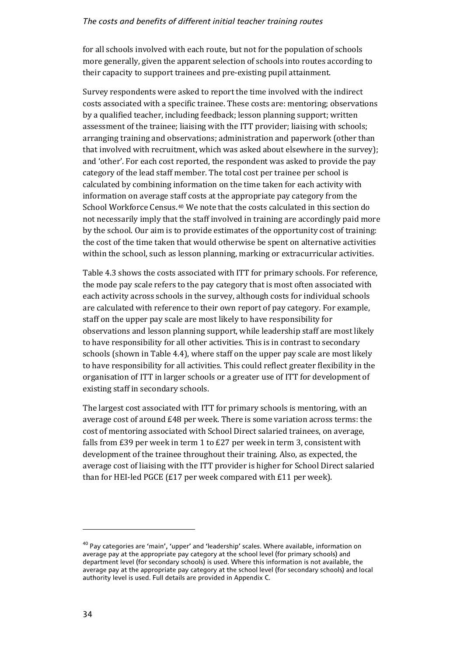for all schools involved with each route, but not for the population of schools more generally, given the apparent selection of schools into routes according to their capacity to support trainees and pre-existing pupil attainment.

Survey respondents were asked to report the time involved with the indirect costs associated with a specific trainee. These costs are: mentoring; observations by a qualified teacher, including feedback; lesson planning support; written assessment of the trainee; liaising with the ITT provider; liaising with schools; arranging training and observations; administration and paperwork (other than that involved with recruitment, which was asked about elsewhere in the survey); and 'other'. For each cost reported, the respondent was asked to provide the pay category of the lead staff member. The total cost per trainee per school is calculated by combining information on the time taken for each activity with information on average staff costs at the appropriate pay category from the School Workforce Census.[40](#page-38-0) We note that the costs calculated in this section do not necessarily imply that the staff involved in training are accordingly paid more by the school. Our aim is to provide estimates of the opportunity cost of training: the cost of the time taken that would otherwise be spent on alternative activities within the school, such as lesson planning, marking or extracurricular activities.

Table 4.3 shows the costs associated with ITT for primary schools. For reference, the mode pay scale refers to the pay category that is most often associated with each activity across schools in the survey, although costs for individual schools are calculated with reference to their own report of pay category. For example, staff on the upper pay scale are most likely to have responsibility for observations and lesson planning support, while leadership staff are most likely to have responsibility for all other activities. This is in contrast to secondary schools (shown in Table 4.4), where staff on the upper pay scale are most likely to have responsibility for all activities. This could reflect greater flexibility in the organisation of ITT in larger schools or a greater use of ITT for development of existing staff in secondary schools.

The largest cost associated with ITT for primary schools is mentoring, with an average cost of around £48 per week. There is some variation across terms: the cost of mentoring associated with School Direct salaried trainees, on average, falls from £39 per week in term 1 to £27 per week in term 3, consistent with development of the trainee throughout their training. Also, as expected, the average cost of liaising with the ITT provider is higher for School Direct salaried than for HEI-led PGCE (£17 per week compared with £11 per week).

<span id="page-38-0"></span> $40$  Pay categories are 'main', 'upper' and 'leadership' scales. Where available, information on average pay at the appropriate pay category at the school level (for primary schools) and department level (for secondary schools) is used. Where this information is not available, the average pay at the appropriate pay category at the school level (for secondary schools) and local authority level is used. Full details are provided in Appendix C.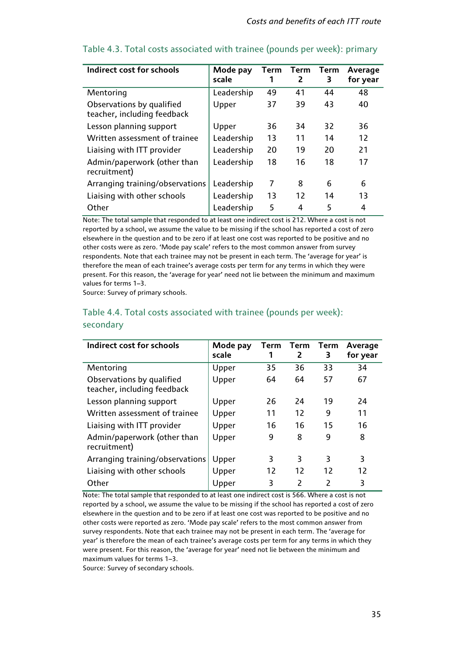| Indirect cost for schools                                | Mode pay<br>scale | Term | Term<br>2 | Term<br>3 | Average<br>for year |
|----------------------------------------------------------|-------------------|------|-----------|-----------|---------------------|
| Mentoring                                                | Leadership        | 49   | 41        | 44        | 48                  |
| Observations by qualified<br>teacher, including feedback | Upper             | 37   | 39        | 43        | 40                  |
| Lesson planning support                                  | Upper             | 36   | 34        | 32        | 36                  |
| Written assessment of trainee                            | Leadership        | 13   | 11        | 14        | 12                  |
| Liaising with ITT provider                               | Leadership        | 20   | 19        | 20        | 21                  |
| Admin/paperwork (other than<br>recruitment)              | Leadership        | 18   | 16        | 18        | 17                  |
| Arranging training/observations                          | Leadership        | 7    | 8         | 6         | 6                   |
| Liaising with other schools                              | Leadership        | 13   | 12        | 14        | 13                  |
| Other                                                    | Leadership        | 5    | 4         | 5         | 4                   |

### Table 4.3. Total costs associated with trainee (pounds per week): primary

Note: The total sample that responded to at least one indirect cost is 212. Where a cost is not reported by a school, we assume the value to be missing if the school has reported a cost of zero elsewhere in the question and to be zero if at least one cost was reported to be positive and no other costs were as zero. 'Mode pay scale' refers to the most common answer from survey respondents. Note that each trainee may not be present in each term. The 'average for year' is therefore the mean of each trainee's average costs per term for any terms in which they were present. For this reason, the 'average for year' need not lie between the minimum and maximum values for terms 1–3.

Source: Survey of primary schools.

# Table 4.4. Total costs associated with trainee (pounds per week): secondary

| Indirect cost for schools                                | Mode pay<br>scale | Term | Term<br>2      | Term<br>3                | Average<br>for year |
|----------------------------------------------------------|-------------------|------|----------------|--------------------------|---------------------|
| Mentoring                                                | Upper             | 35   | 36             | 33                       | 34                  |
| Observations by qualified<br>teacher, including feedback | Upper             | 64   | 64             | 57                       | 67                  |
| Lesson planning support                                  | Upper             | 26   | 24             | 19                       | 24                  |
| Written assessment of trainee                            | Upper             | 11   | 12             | 9                        | 11                  |
| Liaising with ITT provider                               | Upper             | 16   | 16             | 15                       | 16                  |
| Admin/paperwork (other than<br>recruitment)              | Upper             | 9    | 8              | 9                        | 8                   |
| Arranging training/observations                          | Upper             | 3    | 3              | 3                        | 3                   |
| Liaising with other schools                              | Upper             | 12   | 12             | 12                       | 12                  |
| Other                                                    | Upper             | 3    | $\overline{c}$ | $\overline{\phantom{a}}$ | 3                   |

Note: The total sample that responded to at least one indirect cost is 566. Where a cost is not reported by a school, we assume the value to be missing if the school has reported a cost of zero elsewhere in the question and to be zero if at least one cost was reported to be positive and no other costs were reported as zero. 'Mode pay scale' refers to the most common answer from survey respondents. Note that each trainee may not be present in each term. The 'average for year' is therefore the mean of each trainee's average costs per term for any terms in which they were present. For this reason, the 'average for year' need not lie between the minimum and maximum values for terms 1–3.

Source: Survey of secondary schools.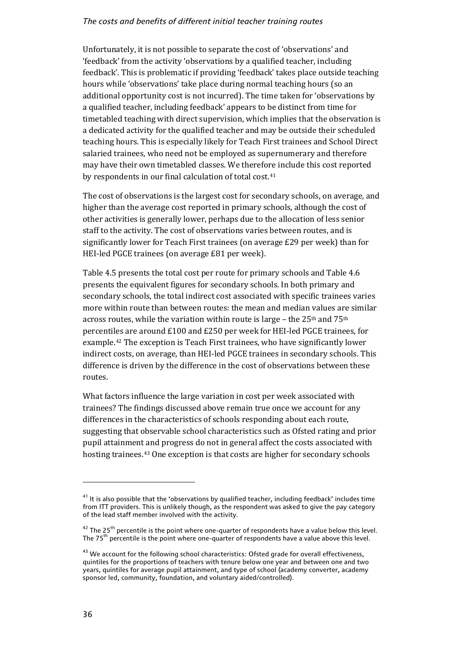Unfortunately, it is not possible to separate the cost of 'observations' and 'feedback' from the activity 'observations by a qualified teacher, including feedback'. This is problematic if providing 'feedback' takes place outside teaching hours while 'observations' take place during normal teaching hours (so an additional opportunity cost is not incurred). The time taken for 'observations by a qualified teacher, including feedback' appears to be distinct from time for timetabled teaching with direct supervision, which implies that the observation is a dedicated activity for the qualified teacher and may be outside their scheduled teaching hours. This is especially likely for Teach First trainees and School Direct salaried trainees, who need not be employed as supernumerary and therefore may have their own timetabled classes. We therefore include this cost reported by respondents in our final calculation of total cost.[41](#page-40-0)

The cost of observations is the largest cost for secondary schools, on average, and higher than the average cost reported in primary schools, although the cost of other activities is generally lower, perhaps due to the allocation of less senior staff to the activity. The cost of observations varies between routes, and is significantly lower for Teach First trainees (on average £29 per week) than for HEI-led PGCE trainees (on average £81 per week).

Table 4.5 presents the total cost per route for primary schools and Table 4.6 presents the equivalent figures for secondary schools. In both primary and secondary schools, the total indirect cost associated with specific trainees varies more within route than between routes: the mean and median values are similar across routes, while the variation within route is large – the  $25<sup>th</sup>$  and  $75<sup>th</sup>$ percentiles are around £100 and £250 per week for HEI-led PGCE trainees, for example.[42](#page-40-1) The exception is Teach First trainees, who have significantly lower indirect costs, on average, than HEI-led PGCE trainees in secondary schools. This difference is driven by the difference in the cost of observations between these routes.

What factors influence the large variation in cost per week associated with trainees? The findings discussed above remain true once we account for any differences in the characteristics of schools responding about each route, suggesting that observable school characteristics such as Ofsted rating and prior pupil attainment and progress do not in general affect the costs associated with hosting trainees.[43](#page-40-2) One exception is that costs are higher for secondary schools

<span id="page-40-0"></span> $41$  It is also possible that the 'observations by qualified teacher, including feedback' includes time from ITT providers. This is unlikely though, as the respondent was asked to give the pay category of the lead staff member involved with the activity.

<span id="page-40-1"></span> $42$  The 25<sup>th</sup> percentile is the point where one-quarter of respondents have a value below this level. The 75<sup>th</sup> percentile is the point where one-quarter of respondents have a value above this level.

<span id="page-40-2"></span> $43$  We account for the following school characteristics: Ofsted grade for overall effectiveness, quintiles for the proportions of teachers with tenure below one year and between one and two years, quintiles for average pupil attainment, and type of school (academy converter, academy sponsor led, community, foundation, and voluntary aided/controlled).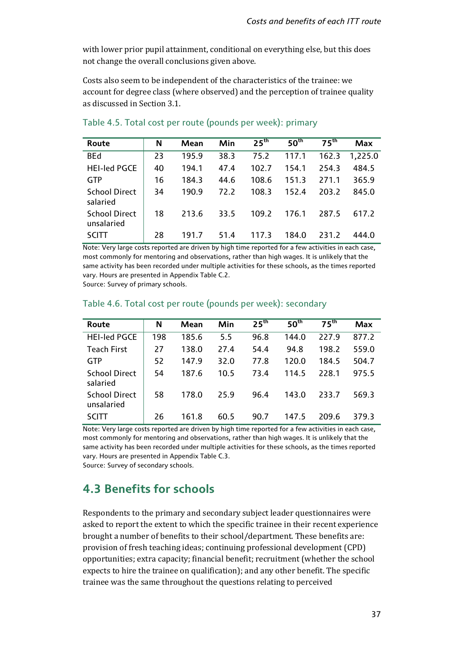with lower prior pupil attainment, conditional on everything else, but this does not change the overall conclusions given above.

Costs also seem to be independent of the characteristics of the trainee: we account for degree class (where observed) and the perception of trainee quality as discussed in Section 3.1.

| Route                              | N  | Mean  | Min  | 25 <sup>th</sup> | 50 <sup>th</sup> | $75^{\text{th}}$ | Max     |
|------------------------------------|----|-------|------|------------------|------------------|------------------|---------|
| <b>BEd</b>                         | 23 | 195.9 | 38.3 | 75.2             | 117.1            | 162.3            | 1,225.0 |
| <b>HEI-led PGCE</b>                | 40 | 194.1 | 47.4 | 102.7            | 154.1            | 254.3            | 484.5   |
| <b>GTP</b>                         | 16 | 184.3 | 44.6 | 108.6            | 151.3            | 271.1            | 365.9   |
| <b>School Direct</b><br>salaried   | 34 | 190.9 | 72.2 | 108.3            | 152.4            | 203.2            | 845.0   |
| <b>School Direct</b><br>unsalaried | 18 | 213.6 | 33.5 | 109.2            | 176.1            | 287.5            | 617.2   |
| <b>SCITT</b>                       | 28 | 191.7 | 51.4 | 117.3            | 184.0            | 2312             | 444.0   |

Table 4.5. Total cost per route (pounds per week): primary

Note: Very large costs reported are driven by high time reported for a few activities in each case, most commonly for mentoring and observations, rather than high wages. It is unlikely that the same activity has been recorded under multiple activities for these schools, as the times reported vary. Hours are presented in Appendix Table C.2.

Source: Survey of primary schools.

| Route                              | N   | Mean  | Min  | 25 <sup>th</sup> | 50 <sup>th</sup> | $75^{\text{th}}$ | Max   |
|------------------------------------|-----|-------|------|------------------|------------------|------------------|-------|
| <b>HEI-led PGCE</b>                | 198 | 185.6 | 5.5  | 96.8             | 144.0            | 227.9            | 877.2 |
| <b>Teach First</b>                 | 27  | 138.0 | 27.4 | 54.4             | 94.8             | 198.2            | 559.0 |
| <b>GTP</b>                         | 52  | 147.9 | 32.0 | 77.8             | 120.0            | 184.5            | 504.7 |
| <b>School Direct</b><br>salaried   | 54  | 187.6 | 10.5 | 73.4             | 114.5            | 228.1            | 975.5 |
| <b>School Direct</b><br>unsalaried | 58  | 178.0 | 25.9 | 96.4             | 143.0            | 233.7            | 569.3 |
| <b>SCITT</b>                       | 26  | 161.8 | 60.5 | 90.7             | 147.5            | 209.6            | 379.3 |

## Table 4.6. Total cost per route (pounds per week): secondary

Note: Very large costs reported are driven by high time reported for a few activities in each case, most commonly for mentoring and observations, rather than high wages. It is unlikely that the same activity has been recorded under multiple activities for these schools, as the times reported vary. Hours are presented in Appendix Table C.3.

Source: Survey of secondary schools.

# **4.3 Benefits for schools**

Respondents to the primary and secondary subject leader questionnaires were asked to report the extent to which the specific trainee in their recent experience brought a number of benefits to their school/department. These benefits are: provision of fresh teaching ideas; continuing professional development (CPD) opportunities; extra capacity; financial benefit; recruitment (whether the school expects to hire the trainee on qualification); and any other benefit. The specific trainee was the same throughout the questions relating to perceived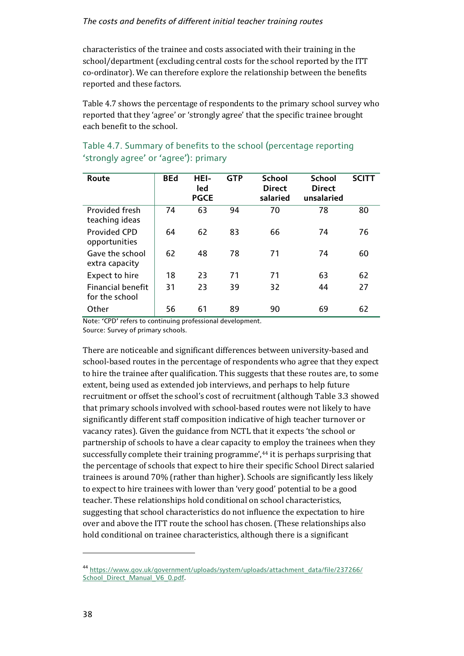characteristics of the trainee and costs associated with their training in the school/department (excluding central costs for the school reported by the ITT co-ordinator). We can therefore explore the relationship between the benefits reported and these factors.

Table 4.7 shows the percentage of respondents to the primary school survey who reported that they 'agree' or 'strongly agree' that the specific trainee brought each benefit to the school.

| Route                                      | <b>BEd</b> | HEI-<br>led<br><b>PGCE</b> | <b>GTP</b> | <b>School</b><br><b>Direct</b><br>salaried | <b>School</b><br><b>Direct</b><br>unsalaried | <b>SCITT</b> |
|--------------------------------------------|------------|----------------------------|------------|--------------------------------------------|----------------------------------------------|--------------|
| Provided fresh<br>teaching ideas           | 74         | 63                         | 94         | 70                                         | 78                                           | 80           |
| Provided CPD<br>opportunities              | 64         | 62                         | 83         | 66                                         | 74                                           | 76           |
| Gave the school<br>extra capacity          | 62         | 48                         | 78         | 71                                         | 74                                           | 60           |
| Expect to hire                             | 18         | 23                         | 71         | 71                                         | 63                                           | 62           |
| <b>Financial benefit</b><br>for the school | 31         | 23                         | 39         | 32                                         | 44                                           | 27           |
| Other                                      | 56         | 61                         | 89         | 90                                         | 69                                           | 62           |

Table 4.7. Summary of benefits to the school (percentage reporting 'strongly agree' or 'agree'): primary

Note: 'CPD' refers to continuing professional development. Source: Survey of primary schools.

There are noticeable and significant differences between university-based and school-based routes in the percentage of respondents who agree that they expect to hire the trainee after qualification. This suggests that these routes are, to some extent, being used as extended job interviews, and perhaps to help future recruitment or offset the school's cost of recruitment (although Table 3.3 showed that primary schools involved with school-based routes were not likely to have significantly different staff composition indicative of high teacher turnover or vacancy rates). Given the guidance from NCTL that it expects 'the school or partnership of schools to have a clear capacity to employ the trainees when they successfully complete their training programme',<sup>[44](#page-42-0)</sup> it is perhaps surprising that the percentage of schools that expect to hire their specific School Direct salaried trainees is around 70% (rather than higher). Schools are significantly less likely to expect to hire trainees with lower than 'very good' potential to be a good teacher. These relationships hold conditional on school characteristics, suggesting that school characteristics do not influence the expectation to hire over and above the ITT route the school has chosen. (These relationships also hold conditional on trainee characteristics, although there is a significant

<span id="page-42-0"></span><sup>44</sup> [https://www.gov.uk/government/uploads/system/uploads/attachment\\_data/file/237266/](https://www.gov.uk/government/uploads/system/uploads/attachment_data/file/237266/School_Direct_Manual_V6_0.pdf) School\_Direct\_Manual\_V6\_0.pdf.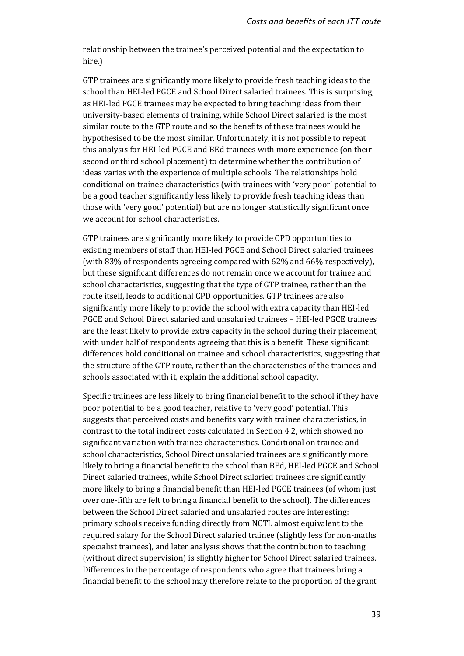relationship between the trainee's perceived potential and the expectation to hire.)

GTP trainees are significantly more likely to provide fresh teaching ideas to the school than HEI-led PGCE and School Direct salaried trainees. This is surprising, as HEI-led PGCE trainees may be expected to bring teaching ideas from their university-based elements of training, while School Direct salaried is the most similar route to the GTP route and so the benefits of these trainees would be hypothesised to be the most similar. Unfortunately, it is not possible to repeat this analysis for HEI-led PGCE and BEd trainees with more experience (on their second or third school placement) to determine whether the contribution of ideas varies with the experience of multiple schools. The relationships hold conditional on trainee characteristics (with trainees with 'very poor' potential to be a good teacher significantly less likely to provide fresh teaching ideas than those with 'very good' potential) but are no longer statistically significant once we account for school characteristics.

GTP trainees are significantly more likely to provide CPD opportunities to existing members of staff than HEI-led PGCE and School Direct salaried trainees (with 83% of respondents agreeing compared with 62% and 66% respectively), but these significant differences do not remain once we account for trainee and school characteristics, suggesting that the type of GTP trainee, rather than the route itself, leads to additional CPD opportunities. GTP trainees are also significantly more likely to provide the school with extra capacity than HEI-led PGCE and School Direct salaried and unsalaried trainees – HEI-led PGCE trainees are the least likely to provide extra capacity in the school during their placement, with under half of respondents agreeing that this is a benefit. These significant differences hold conditional on trainee and school characteristics, suggesting that the structure of the GTP route, rather than the characteristics of the trainees and schools associated with it, explain the additional school capacity.

Specific trainees are less likely to bring financial benefit to the school if they have poor potential to be a good teacher, relative to 'very good' potential. This suggests that perceived costs and benefits vary with trainee characteristics, in contrast to the total indirect costs calculated in Section 4.2, which showed no significant variation with trainee characteristics. Conditional on trainee and school characteristics, School Direct unsalaried trainees are significantly more likely to bring a financial benefit to the school than BEd, HEI-led PGCE and School Direct salaried trainees, while School Direct salaried trainees are significantly more likely to bring a financial benefit than HEI-led PGCE trainees (of whom just over one-fifth are felt to bring a financial benefit to the school). The differences between the School Direct salaried and unsalaried routes are interesting: primary schools receive funding directly from NCTL almost equivalent to the required salary for the School Direct salaried trainee (slightly less for non-maths specialist trainees), and later analysis shows that the contribution to teaching (without direct supervision) is slightly higher for School Direct salaried trainees. Differences in the percentage of respondents who agree that trainees bring a financial benefit to the school may therefore relate to the proportion of the grant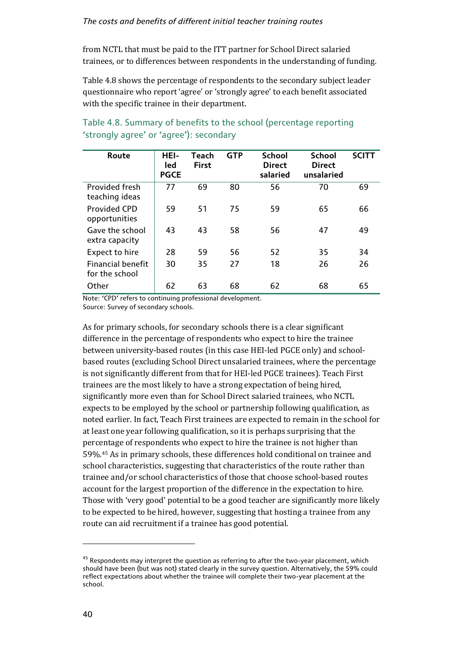from NCTL that must be paid to the ITT partner for School Direct salaried trainees, or to differences between respondents in the understanding of funding.

Table 4.8 shows the percentage of respondents to the secondary subject leader questionnaire who report 'agree' or 'strongly agree' to each benefit associated with the specific trainee in their department.

| Route                                      | HEI-<br>led<br><b>PGCE</b> | <b>Teach</b><br><b>First</b> | <b>GTP</b> | <b>School</b><br><b>Direct</b><br>salaried | <b>School</b><br><b>Direct</b><br>unsalaried | <b>SCITT</b> |
|--------------------------------------------|----------------------------|------------------------------|------------|--------------------------------------------|----------------------------------------------|--------------|
| Provided fresh<br>teaching ideas           | 77                         | 69                           | 80         | 56                                         | 70                                           | 69           |
| Provided CPD<br>opportunities              | 59                         | 51                           | 75         | 59                                         | 65                                           | 66           |
| Gave the school<br>extra capacity          | 43                         | 43                           | 58         | 56                                         | 47                                           | 49           |
| Expect to hire                             | 28                         | 59                           | 56         | 52                                         | 35                                           | 34           |
| <b>Financial benefit</b><br>for the school | 30                         | 35                           | 27         | 18                                         | 26                                           | 26           |
| Other                                      | 62                         | 63                           | 68         | 62                                         | 68                                           | 65           |

# Table 4.8. Summary of benefits to the school (percentage reporting 'strongly agree' or 'agree'): secondary

Note: 'CPD' refers to continuing professional development. Source: Survey of secondary schools.

As for primary schools, for secondary schools there is a clear significant difference in the percentage of respondents who expect to hire the trainee between university-based routes (in this case HEI-led PGCE only) and schoolbased routes (excluding School Direct unsalaried trainees, where the percentage is not significantly different from that for HEI-led PGCE trainees). Teach First trainees are the most likely to have a strong expectation of being hired, significantly more even than for School Direct salaried trainees, who NCTL expects to be employed by the school or partnership following qualification, as noted earlier. In fact, Teach First trainees are expected to remain in the school for at least one year following qualification, so it is perhaps surprising that the perc[ent](#page-44-0)age of respondents who expect to hire the trainee is not higher than 59%.45 As in primary schools, these differences hold conditional on trainee and school characteristics, suggesting that characteristics of the route rather than trainee and/or school characteristics of those that choose school-based routes account for the largest proportion of the difference in the expectation to hire. Those with 'very good' potential to be a good teacher are significantly more likely to be expected to be hired, however, suggesting that hosting a trainee from any route can aid recruitment if a trainee has good potential.

<span id="page-44-0"></span> $45$  Respondents may interpret the question as referring to after the two-year placement, which should have been (but was not) stated clearly in the survey question. Alternatively, the 59% could reflect expectations about whether the trainee will complete their two-year placement at the school.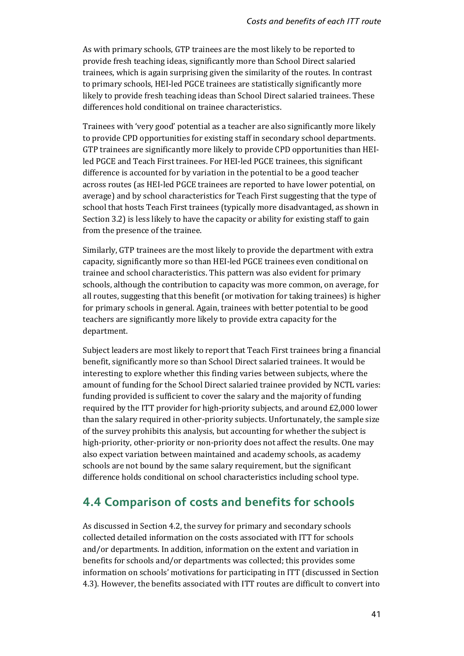As with primary schools, GTP trainees are the most likely to be reported to provide fresh teaching ideas, significantly more than School Direct salaried trainees, which is again surprising given the similarity of the routes. In contrast to primary schools, HEI-led PGCE trainees are statistically significantly more likely to provide fresh teaching ideas than School Direct salaried trainees. These differences hold conditional on trainee characteristics.

Trainees with 'very good' potential as a teacher are also significantly more likely to provide CPD opportunities for existing staff in secondary school departments. GTP trainees are significantly more likely to provide CPD opportunities than HEIled PGCE and Teach First trainees. For HEI-led PGCE trainees, this significant difference is accounted for by variation in the potential to be a good teacher across routes (as HEI-led PGCE trainees are reported to have lower potential, on average) and by school characteristics for Teach First suggesting that the type of school that hosts Teach First trainees (typically more disadvantaged, as shown in Section 3.2) is less likely to have the capacity or ability for existing staff to gain from the presence of the trainee.

Similarly, GTP trainees are the most likely to provide the department with extra capacity, significantly more so than HEI-led PGCE trainees even conditional on trainee and school characteristics. This pattern was also evident for primary schools, although the contribution to capacity was more common, on average, for all routes, suggesting that this benefit (or motivation for taking trainees) is higher for primary schools in general. Again, trainees with better potential to be good teachers are significantly more likely to provide extra capacity for the department.

Subject leaders are most likely to report that Teach First trainees bring a financial benefit, significantly more so than School Direct salaried trainees. It would be interesting to explore whether this finding varies between subjects, where the amount of funding for the School Direct salaried trainee provided by NCTL varies: funding provided is sufficient to cover the salary and the majority of funding required by the ITT provider for high-priority subjects, and around £2,000 lower than the salary required in other-priority subjects. Unfortunately, the sample size of the survey prohibits this analysis, but accounting for whether the subject is high-priority, other-priority or non-priority does not affect the results. One may also expect variation between maintained and academy schools, as academy schools are not bound by the same salary requirement, but the significant difference holds conditional on school characteristics including school type.

# **4.4 Comparison of costs and benefits for schools**

As discussed in Section 4.2, the survey for primary and secondary schools collected detailed information on the costs associated with ITT for schools and/or departments. In addition, information on the extent and variation in benefits for schools and/or departments was collected; this provides some information on schools' motivations for participating in ITT (discussed in Section 4.3). However, the benefits associated with ITT routes are difficult to convert into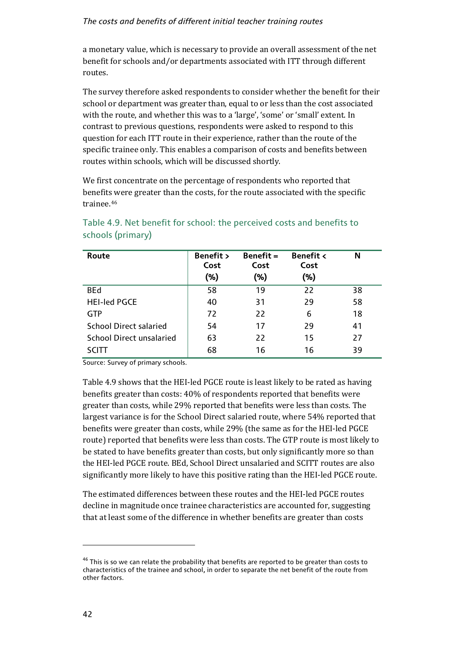a monetary value, which is necessary to provide an overall assessment of the net benefit for schools and/or departments associated with ITT through different routes.

The survey therefore asked respondents to consider whether the benefit for their school or department was greater than, equal to or less than the cost associated with the route, and whether this was to a 'large', 'some' or 'small' extent. In contrast to previous questions, respondents were asked to respond to this question for each ITT route in their experience, rather than the route of the specific trainee only. This enables a comparison of costs and benefits between routes within schools, which will be discussed shortly.

We first concentrate on the percentage of respondents who reported that benefits were greater than the costs, for the route associated with the specific trainee.[46](#page-46-0)

| Route                           | <b>Benefit</b> ><br>Cost | $Benefit =$<br>Cost | <b>Benefit &lt;</b><br>Cost | N  |
|---------------------------------|--------------------------|---------------------|-----------------------------|----|
|                                 | (%)                      | (% )                | (%)                         |    |
| <b>BEd</b>                      | 58                       | 19                  | 22                          | 38 |
| <b>HEI-led PGCE</b>             | 40                       | 31                  | 29                          | 58 |
| <b>GTP</b>                      | 72                       | 22                  | 6                           | 18 |
| <b>School Direct salaried</b>   | 54                       | 17                  | 29                          | 41 |
| <b>School Direct unsalaried</b> | 63                       | 22                  | 15                          | 27 |
|                                 | 68                       | 16                  | 16                          | 39 |

Table 4.9. Net benefit for school: the perceived costs and benefits to schools (primary)

Source: Survey of primary schools.

Table 4.9 shows that the HEI-led PGCE route is least likely to be rated as having benefits greater than costs: 40% of respondents reported that benefits were greater than costs, while 29% reported that benefits were less than costs. The largest variance is for the School Direct salaried route, where 54% reported that benefits were greater than costs, while 29% (the same as for the HEI-led PGCE route) reported that benefits were less than costs. The GTP route is most likely to be stated to have benefits greater than costs, but only significantly more so than the HEI-led PGCE route. BEd, School Direct unsalaried and SCITT routes are also significantly more likely to have this positive rating than the HEI-led PGCE route.

The estimated differences between these routes and the HEI-led PGCE routes decline in magnitude once trainee characteristics are accounted for, suggesting that at least some of the difference in whether benefits are greater than costs

<span id="page-46-0"></span> $46$  This is so we can relate the probability that benefits are reported to be greater than costs to characteristics of the trainee and school, in order to separate the net benefit of the route from other factors.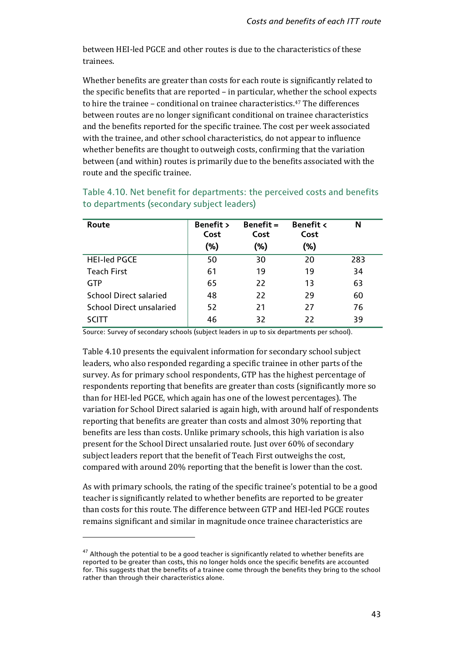between HEI-led PGCE and other routes is due to the characteristics of these trainees.

Whether benefits are greater than costs for each route is significantly related to the specific benefits that are reported – in particular, whe[the](#page-47-0)r the school expects to hire the trainee – conditional on trainee characteristics.47 The differences between routes are no longer significant conditional on trainee characteristics and the benefits reported for the specific trainee. The cost per week associated with the trainee, and other school characteristics, do not appear to influence whether benefits are thought to outweigh costs, confirming that the variation between (and within) routes is primarily due to the benefits associated with the route and the specific trainee.

| Route                         | Benefit ><br>Cost | $Benefit =$<br>Cost |     | Ν   |
|-------------------------------|-------------------|---------------------|-----|-----|
|                               | (%)               | (%)                 | (%) |     |
| <b>HEI-led PGCE</b>           | 50                | 30                  | 20  | 283 |
| <b>Teach First</b>            | 61                | 19                  | 19  | 34  |
| GTP                           | 65                | 22                  | 13  | 63  |
| <b>School Direct salaried</b> | 48                | 22                  | 29  | 60  |
| School Direct unsalaried      | 52                | 21                  | 27  | 76  |
|                               | 46                | 32                  | 22  | 39  |

Table 4.10. Net benefit for departments: the perceived costs and benefits to departments (secondary subject leaders)

Source: Survey of secondary schools (subject leaders in up to six departments per school).

Table 4.10 presents the equivalent information for secondary school subject leaders, who also responded regarding a specific trainee in other parts of the survey. As for primary school respondents, GTP has the highest percentage of respondents reporting that benefits are greater than costs (significantly more so than for HEI-led PGCE, which again has one of the lowest percentages). The variation for School Direct salaried is again high, with around half of respondents reporting that benefits are greater than costs and almost 30% reporting that benefits are less than costs. Unlike primary schools, this high variation is also present for the School Direct unsalaried route. Just over 60% of secondary subject leaders report that the benefit of Teach First outweighs the cost, compared with around 20% reporting that the benefit is lower than the cost.

As with primary schools, the rating of the specific trainee's potential to be a good teacher is significantly related to whether benefits are reported to be greater than costs for this route. The difference between GTP and HEI-led PGCE routes remains significant and similar in magnitude once trainee characteristics are

<span id="page-47-0"></span> $47$  Although the potential to be a good teacher is significantly related to whether benefits are reported to be greater than costs, this no longer holds once the specific benefits are accounted for. This suggests that the benefits of a trainee come through the benefits they bring to the school rather than through their characteristics alone.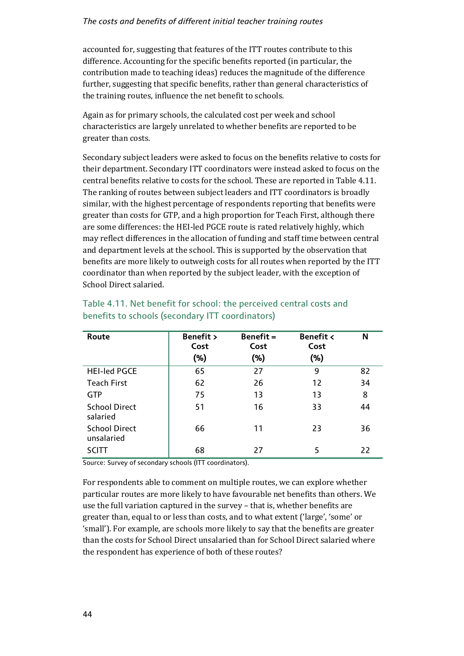accounted for, suggesting that features of the ITT routes contribute to this difference. Accounting for the specific benefits reported (in particular, the contribution made to teaching ideas) reduces the magnitude of the difference further, suggesting that specific benefits, rather than general characteristics of the training routes, influence the net benefit to schools.

Again as for primary schools, the calculated cost per week and school characteristics are largely unrelated to whether benefits are reported to be greater than costs.

Secondary subject leaders were asked to focus on the benefits relative to costs for their department. Secondary ITT coordinators were instead asked to focus on the central benefits relative to costs for the school. These are reported in Table 4.11. The ranking of routes between subject leaders and ITT coordinators is broadly similar, with the highest percentage of respondents reporting that benefits were greater than costs for GTP, and a high proportion for Teach First, although there are some differences: the HEI-led PGCE route is rated relatively highly, which may reflect differences in the allocation of funding and staff time between central and department levels at the school. This is supported by the observation that benefits are more likely to outweigh costs for all routes when reported by the ITT coordinator than when reported by the subject leader, with the exception of School Direct salaried.

| Route                              | <b>Benefit</b> ><br>Cost | <b>Benefit =</b><br>Cost | <b>Benefit &lt;</b><br>Cost | N  |
|------------------------------------|--------------------------|--------------------------|-----------------------------|----|
|                                    | (%)                      | (%)                      | $(\%)$                      |    |
| <b>HEI-led PGCE</b>                | 65                       | 27                       | 9                           | 82 |
| <b>Teach First</b>                 | 62                       | 26                       | 12                          | 34 |
| <b>GTP</b>                         | 75                       | 13                       | 13                          | 8  |
| <b>School Direct</b><br>salaried   | 51                       | 16                       | 33                          | 44 |
| <b>School Direct</b><br>unsalaried | 66                       | 11                       | 23                          | 36 |
|                                    | 68                       | 27                       | 5                           | 22 |

# Table 4.11. Net benefit for school: the perceived central costs and benefits to schools (secondary ITT coordinators)

Source: Survey of secondary schools (ITT coordinators).

For respondents able to comment on multiple routes, we can explore whether particular routes are more likely to have favourable net benefits than others. We use the full variation captured in the survey – that is, whether benefits are greater than, equal to or less than costs, and to what extent ('large', 'some' or 'small'). For example, are schools more likely to say that the benefits are greater than the costs for School Direct unsalaried than for School Direct salaried where the respondent has experience of both of these routes?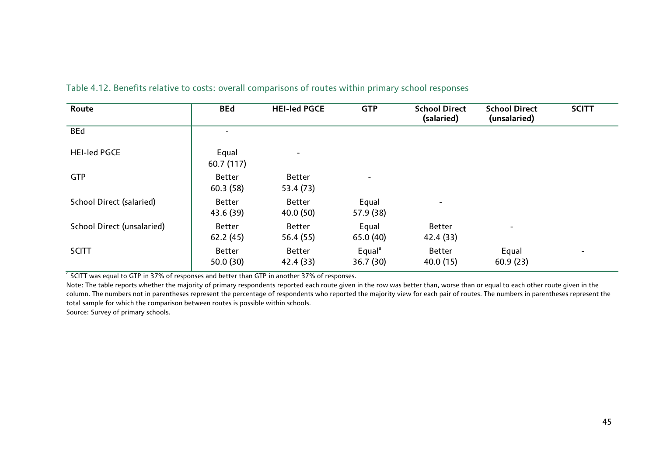| Route                           | <b>BEd</b>                | <b>HEI-led PGCE</b>        | <b>GTP</b>                     | <b>School Direct</b><br>(salaried) | <b>School Direct</b><br>(unsalaried) | <b>SCITT</b> |
|---------------------------------|---------------------------|----------------------------|--------------------------------|------------------------------------|--------------------------------------|--------------|
| <b>BEd</b>                      |                           |                            |                                |                                    |                                      |              |
| <b>HEI-led PGCE</b>             | Equal<br>60.7(117)        | $\overline{\phantom{a}}$   |                                |                                    |                                      |              |
| <b>GTP</b>                      | <b>Better</b><br>60.3(58) | <b>Better</b><br>53.4 (73) |                                |                                    |                                      |              |
| <b>School Direct (salaried)</b> | Better<br>43.6 (39)       | <b>Better</b><br>40.0(50)  | Equal<br>57.9 (38)             |                                    |                                      |              |
| School Direct (unsalaried)      | Better<br>62.2(45)        | Better<br>56.4 (55)        | Equal<br>65.0 (40)             | <b>Better</b><br>42.4 (33)         | $\overline{\phantom{a}}$             |              |
| <b>SCITT</b>                    | <b>Better</b><br>50.0(30) | <b>Better</b><br>42.4 (33) | Equal <sup>a</sup><br>36.7(30) | <b>Better</b><br>40.0(15)          | Equal<br>60.9(23)                    |              |

Table 4.12. Benefits relative to costs: overall comparisons of routes within primary school responses

<sup>a</sup> SCITT was equal to GTP in 37% of responses and better than GTP in another 37% of responses.

Note: The table reports whether the majority of primary respondents reported each route given in the row was better than, worse than or equal to each other route given in the column. The numbers not in parentheses represent the percentage of respondents who reported the majority view for each pair of routes. The numbers in parentheses represent the total sample for which the comparison between routes is possible within schools.

Source: Survey of primary schools.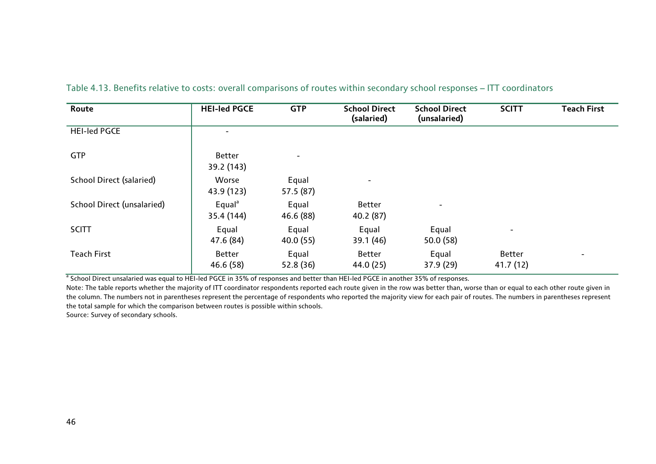| Route                           | <b>HEI-led PGCE</b>                 | <b>GTP</b>         | <b>School Direct</b><br>(salaried) | <b>School Direct</b><br>(unsalaried) | <b>SCITT</b>               | <b>Teach First</b>       |
|---------------------------------|-------------------------------------|--------------------|------------------------------------|--------------------------------------|----------------------------|--------------------------|
| <b>HEI-led PGCE</b>             | Ξ.                                  |                    |                                    |                                      |                            |                          |
| <b>GTP</b>                      | Better<br>39.2 (143)                | $\qquad \qquad$    |                                    |                                      |                            |                          |
| <b>School Direct (salaried)</b> | Worse<br>43.9 (123)                 | Equal<br>57.5 (87) |                                    |                                      |                            |                          |
| School Direct (unsalaried)      | $E$ qual <sup>a</sup><br>35.4 (144) | Equal<br>46.6 (88) | <b>Better</b><br>40.2 (87)         | $\overline{\phantom{a}}$             |                            |                          |
| <b>SCITT</b>                    | Equal<br>47.6 (84)                  | Equal<br>40.0(55)  | Equal<br>39.1(46)                  | Equal<br>50.0(58)                    | $\blacksquare$             |                          |
| <b>Teach First</b>              | <b>Better</b><br>46.6 (58)          | Equal<br>52.8 (36) | <b>Better</b><br>44.0 (25)         | Equal<br>37.9 (29)                   | <b>Better</b><br>41.7 (12) | $\overline{\phantom{a}}$ |

Table 4.13. Benefits relative to costs: overall comparisons of routes within secondary school responses – ITT coordinators

<sup>a</sup> School Direct unsalaried was equal to HEI-led PGCE in 35% of responses and better than HEI-led PGCE in another 35% of responses.

Note: The table reports whether the majority of ITT coordinator respondents reported each route given in the row was better than, worse than or equal to each other route given in the column. The numbers not in parentheses represent the percentage of respondents who reported the majority view for each pair of routes. The numbers in parentheses represent the total sample for which the comparison between routes is possible within schools.

Source: Survey of secondary schools.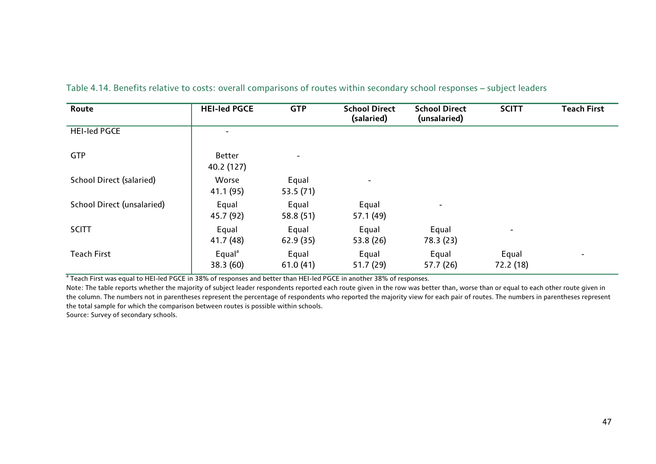| Route                           | <b>HEI-led PGCE</b>               | <b>GTP</b>         | <b>School Direct</b><br>(salaried) | <b>School Direct</b><br>(unsalaried) | <b>SCITT</b>             | <b>Teach First</b> |
|---------------------------------|-----------------------------------|--------------------|------------------------------------|--------------------------------------|--------------------------|--------------------|
| <b>HEI-led PGCE</b>             | $\overline{\phantom{0}}$          |                    |                                    |                                      |                          |                    |
| <b>GTP</b>                      | Better<br>40.2 (127)              | $\blacksquare$     |                                    |                                      |                          |                    |
| <b>School Direct (salaried)</b> | Worse<br>41.1(95)                 | Equal<br>53.5 (71) | $\overline{\phantom{0}}$           |                                      |                          |                    |
| School Direct (unsalaried)      | Equal<br>45.7 (92)                | Equal<br>58.8(51)  | Equal<br>57.1 (49)                 | $\qquad \qquad$                      |                          |                    |
| <b>SCITT</b>                    | Equal<br>41.7(48)                 | Equal<br>62.9(35)  | Equal<br>53.8 (26)                 | Equal<br>78.3 (23)                   | $\overline{\phantom{a}}$ |                    |
| <b>Teach First</b>              | $E$ qual <sup>a</sup><br>38.3(60) | Equal<br>61.0(41)  | Equal<br>51.7(29)                  | Equal<br>57.7 (26)                   | Equal<br>72.2 (18)       | $\qquad \qquad$    |

Table 4.14. Benefits relative to costs: overall comparisons of routes within secondary school responses – subject leaders

<sup>a</sup> Teach First was equal to HEI-led PGCE in 38% of responses and better than HEI-led PGCE in another 38% of responses.

Note: The table reports whether the majority of subject leader respondents reported each route given in the row was better than, worse than or equal to each other route given in the column. The numbers not in parentheses represent the percentage of respondents who reported the majority view for each pair of routes. The numbers in parentheses represent the total sample for which the comparison between routes is possible within schools.

Source: Survey of secondary schools.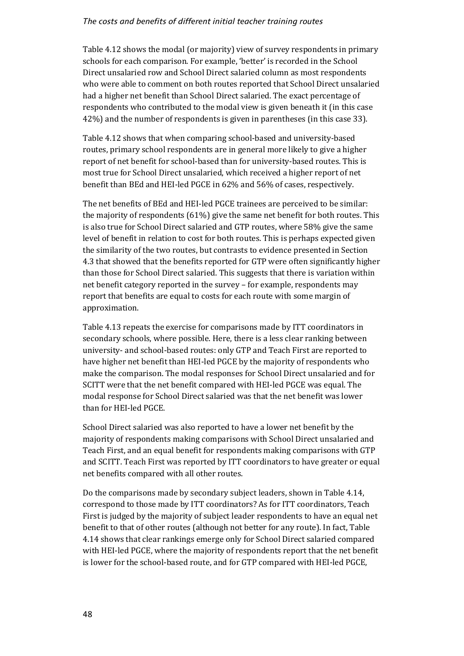Table 4.12 shows the modal (or majority) view of survey respondents in primary schools for each comparison. For example, 'better' is recorded in the School Direct unsalaried row and School Direct salaried column as most respondents who were able to comment on both routes reported that School Direct unsalaried had a higher net benefit than School Direct salaried. The exact percentage of respondents who contributed to the modal view is given beneath it (in this case 42%) and the number of respondents is given in parentheses (in this case 33).

Table 4.12 shows that when comparing school-based and university-based routes, primary school respondents are in general more likely to give a higher report of net benefit for school-based than for university-based routes. This is most true for School Direct unsalaried, which received a higher report of net benefit than BEd and HEI-led PGCE in 62% and 56% of cases, respectively.

The net benefits of BEd and HEI-led PGCE trainees are perceived to be similar: the majority of respondents (61%) give the same net benefit for both routes. This is also true for School Direct salaried and GTP routes, where 58% give the same level of benefit in relation to cost for both routes. This is perhaps expected given the similarity of the two routes, but contrasts to evidence presented in Section 4.3 that showed that the benefits reported for GTP were often significantly higher than those for School Direct salaried. This suggests that there is variation within net benefit category reported in the survey – for example, respondents may report that benefits are equal to costs for each route with some margin of approximation.

Table 4.13 repeats the exercise for comparisons made by ITT coordinators in secondary schools, where possible. Here, there is a less clear ranking between university- and school-based routes: only GTP and Teach First are reported to have higher net benefit than HEI-led PGCE by the majority of respondents who make the comparison. The modal responses for School Direct unsalaried and for SCITT were that the net benefit compared with HEI-led PGCE was equal. The modal response for School Direct salaried was that the net benefit was lower than for HEI-led PGCE.

School Direct salaried was also reported to have a lower net benefit by the majority of respondents making comparisons with School Direct unsalaried and Teach First, and an equal benefit for respondents making comparisons with GTP and SCITT. Teach First was reported by ITT coordinators to have greater or equal net benefits compared with all other routes.

Do the comparisons made by secondary subject leaders, shown in Table 4.14, correspond to those made by ITT coordinators? As for ITT coordinators, Teach First is judged by the majority of subject leader respondents to have an equal net benefit to that of other routes (although not better for any route). In fact, Table 4.14 shows that clear rankings emerge only for School Direct salaried compared with HEI-led PGCE, where the majority of respondents report that the net benefit is lower for the school-based route, and for GTP compared with HEI-led PGCE,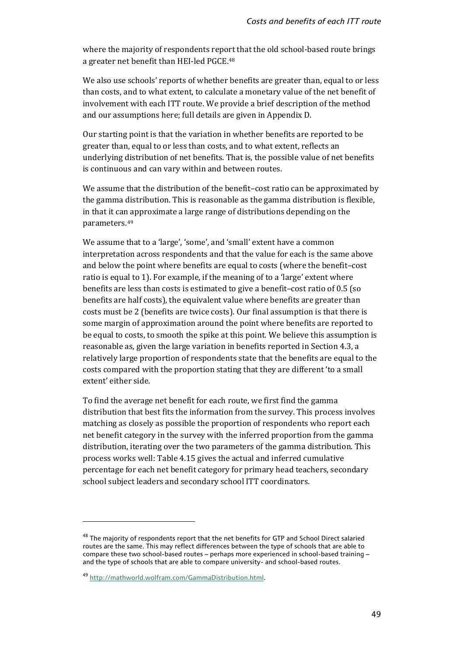where the majority of respondents repo[rt](#page-53-0) that the old school-based route brings a greater net benefit than HEI-led PGCE.48

We also use schools' reports of whether benefits are greater than, equal to or less than costs, and to what extent, to calculate a monetary value of the net benefit of involvement with each ITT route. We provide a brief description of the method and our assumptions here; full details are given in Appendix D.

Our starting point is that the variation in whether benefits are reported to be greater than, equal to or less than costs, and to what extent, reflects an underlying distribution of net benefits. That is, the possible value of net benefits is continuous and can vary within and between routes.

We assume that the distribution of the benefit–cost ratio can be approximated by the gamma distribution. This is reasonable as the gamma distribution is flexible, in that it can approximate a large range of distributions depending on the parameters.[49](#page-53-1)

We assume that to a 'large', 'some', and 'small' extent have a common interpretation across respondents and that the value for each is the same above and below the point where benefits are equal to costs (where the benefit–cost ratio is equal to 1). For example, if the meaning of to a 'large' extent where benefits are less than costs is estimated to give a benefit–cost ratio of 0.5 (so benefits are half costs), the equivalent value where benefits are greater than costs must be 2 (benefits are twice costs). Our final assumption is that there is some margin of approximation around the point where benefits are reported to be equal to costs, to smooth the spike at this point. We believe this assumption is reasonable as, given the large variation in benefits reported in Section 4.3, a relatively large proportion of respondents state that the benefits are equal to the costs compared with the proportion stating that they are different 'to a small extent' either side.

To find the average net benefit for each route, we first find the gamma distribution that best fits the information from the survey. This process involves matching as closely as possible the proportion of respondents who report each net benefit category in the survey with the inferred proportion from the gamma distribution, iterating over the two parameters of the gamma distribution. This process works well: Table 4.15 gives the actual and inferred cumulative percentage for each net benefit category for primary head teachers, secondary school subject leaders and secondary school ITT coordinators.

<span id="page-53-0"></span><sup>&</sup>lt;sup>48</sup> The majority of respondents report that the net benefits for GTP and School Direct salaried routes are the same. This may reflect differences between the type of schools that are able to compare these two school-based routes – perhaps more experienced in school-based training – and the type of schools that are able to compare university- and school-based routes.

<span id="page-53-1"></span><sup>49</sup> [http://mathworld.wolfram.com/GammaDistribution.html.](http://mathworld.wolfram.com/GammaDistribution.html)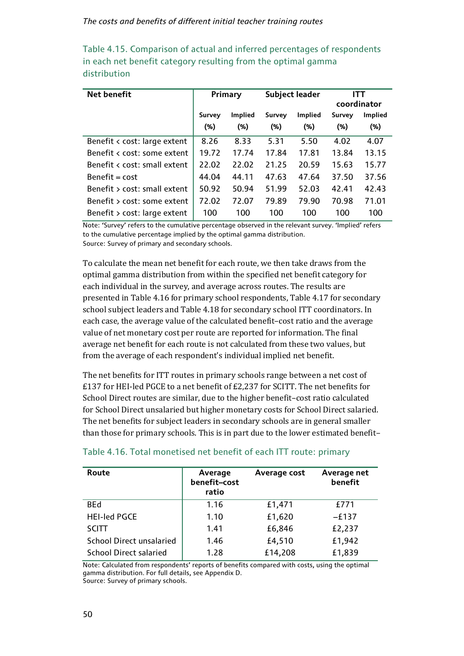| <b>Net benefit</b>                    | Primary |                | Subject leader |         | ITT         |         |
|---------------------------------------|---------|----------------|----------------|---------|-------------|---------|
|                                       |         |                |                |         | coordinator |         |
|                                       | Survey  | <b>Implied</b> | Survey         | Implied | Survey      | Implied |
|                                       | $(\%)$  | (%)            | (% )           | $(\%)$  | (% )        | $(\%)$  |
| Benefit < cost: large extent          | 8.26    | 8.33           | 5.31           | 5.50    | 4.02        | 4.07    |
| Benefit < cost: some extent           | 19.72   | 17.74          | 17.84          | 17.81   | 13.84       | 13.15   |
| Benefit $\epsilon$ cost: small extent | 22.02   | 22.02          | 21.25          | 20.59   | 15.63       | 15.77   |
| $Benefit = cost$                      | 44.04   | 44.11          | 47.63          | 47.64   | 37.50       | 37.56   |
| Benefit > cost: small extent          | 50.92   | 50.94          | 51.99          | 52.03   | 42.41       | 42.43   |
| Benefit > cost: some extent           | 72.02   | 72.07          | 79.89          | 79.90   | 70.98       | 71.01   |
| Benefit > cost: large extent          | 100     | 100            | 100            | 100     | 100         | 100     |

Table 4.15. Comparison of actual and inferred percentages of respondents in each net benefit category resulting from the optimal gamma distribution

Note: 'Survey' refers to the cumulative percentage observed in the relevant survey. 'Implied' refers to the cumulative percentage implied by the optimal gamma distribution. Source: Survey of primary and secondary schools.

To calculate the mean net benefit for each route, we then take draws from the optimal gamma distribution from within the specified net benefit category for each individual in the survey, and average across routes. The results are presented in Table 4.16 for primary school respondents, Table 4.17 for secondary school subject leaders and Table 4.18 for secondary school ITT coordinators. In each case, the average value of the calculated benefit–cost ratio and the average value of net monetary cost per route are reported for information. The final average net benefit for each route is not calculated from these two values, but from the average of each respondent's individual implied net benefit.

The net benefits for ITT routes in primary schools range between a net cost of £137 for HEI-led PGCE to a net benefit of £2,237 for SCITT. The net benefits for School Direct routes are similar, due to the higher benefit–cost ratio calculated for School Direct unsalaried but higher monetary costs for School Direct salaried. The net benefits for subject leaders in secondary schools are in general smaller than those for primary schools. This is in part due to the lower estimated benefit–

| Route                           | Average<br>benefit-cost<br>ratio | Average cost | Average net<br>benefit |
|---------------------------------|----------------------------------|--------------|------------------------|
| <b>BEd</b>                      | 1.16                             | £1,471       | £771                   |
| <b>HEI-led PGCE</b>             | 1.10                             | £1,620       | $-E137$                |
| <b>SCITT</b>                    | 1.41                             | £6,846       | £2,237                 |
| <b>School Direct unsalaried</b> | 1.46                             | £4,510       | £1,942                 |
| <b>School Direct salaried</b>   | 1.28                             | £14,208      | £1,839                 |

# Table 4.16. Total monetised net benefit of each ITT route: primary

Note: Calculated from respondents' reports of benefits compared with costs, using the optimal gamma distribution. For full details, see Appendix D. Source: Survey of primary schools.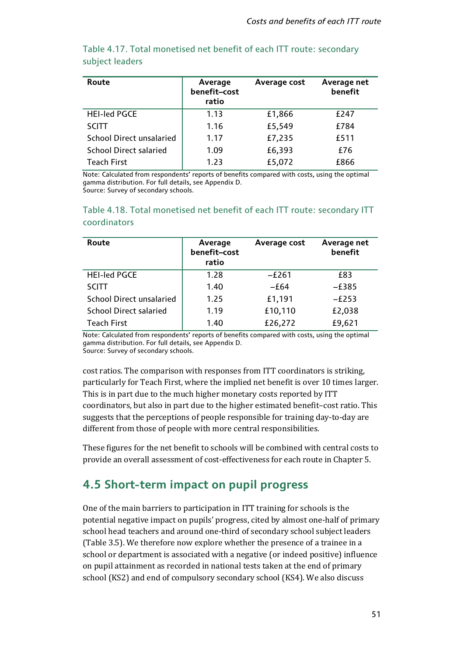| Route                           | Average<br>benefit-cost<br>ratio | Average cost | Average net<br>benefit |
|---------------------------------|----------------------------------|--------------|------------------------|
| <b>HEI-led PGCE</b>             | 1.13                             | £1,866       | £247                   |
| <b>SCITT</b>                    | 1.16                             | £5,549       | £784                   |
| <b>School Direct unsalaried</b> | 1.17                             | £7,235       | £511                   |
| <b>School Direct salaried</b>   | 1.09                             | £6,393       | £76                    |
| <b>Teach First</b>              | 1.23                             | £5,072       | £866                   |

# Table 4.17. Total monetised net benefit of each ITT route: secondary subject leaders

Note: Calculated from respondents' reports of benefits compared with costs, using the optimal gamma distribution. For full details, see Appendix D.

Source: Survey of secondary schools.

| Route                           | Average<br>benefit-cost<br>ratio | Average cost | Average net<br>benefit |
|---------------------------------|----------------------------------|--------------|------------------------|
| <b>HEI-led PGCE</b>             | 1.28                             | $-E261$      | £83                    |
| <b>SCITT</b>                    | 1.40                             | $-£64$       | $-E385$                |
| <b>School Direct unsalaried</b> | 1.25                             | £1,191       | $-E253$                |
| <b>School Direct salaried</b>   | 1.19                             | £10,110      | £2,038                 |
| <b>Teach First</b>              | 1.40                             | £26,272      | £9,621                 |

# Table 4.18. Total monetised net benefit of each ITT route: secondary ITT coordinators

Note: Calculated from respondents' reports of benefits compared with costs, using the optimal gamma distribution. For full details, see Appendix D. Source: Survey of secondary schools.

cost ratios. The comparison with responses from ITT coordinators is striking, particularly for Teach First, where the implied net benefit is over 10 times larger. This is in part due to the much higher monetary costs reported by ITT coordinators, but also in part due to the higher estimated benefit–cost ratio. This suggests that the perceptions of people responsible for training day-to-day are different from those of people with more central responsibilities.

These figures for the net benefit to schools will be combined with central costs to provide an overall assessment of cost-effectiveness for each route in Chapter 5.

# **4.5 Short-term impact on pupil progress**

One of the main barriers to participation in ITT training for schools is the potential negative impact on pupils' progress, cited by almost one-half of primary school head teachers and around one-third of secondary school subject leaders (Table 3.5). We therefore now explore whether the presence of a trainee in a school or department is associated with a negative (or indeed positive) influence on pupil attainment as recorded in national tests taken at the end of primary school (KS2) and end of compulsory secondary school (KS4). We also discuss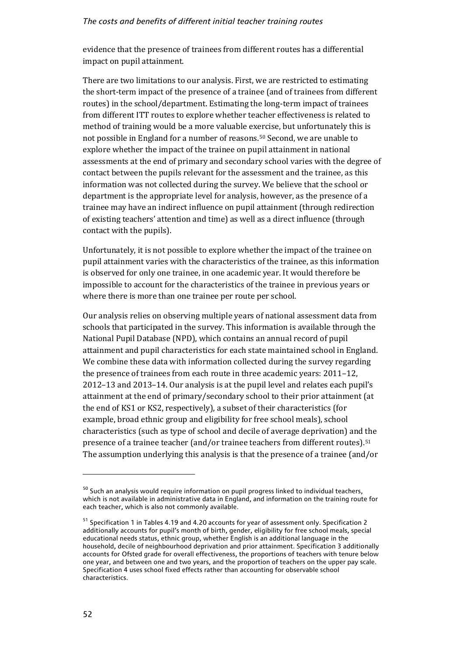evidence that the presence of trainees from different routes has a differential impact on pupil attainment.

There are two limitations to our analysis. First, we are restricted to estimating the short-term impact of the presence of a trainee (and of trainees from different routes) in the school/department. Estimating the long-term impact of trainees from different ITT routes to explore whether teacher effectiveness is related to method of training would be a more valuable ex[erc](#page-56-0)ise, but unfortunately this is not possible in England for a number of reasons.50 Second, we are unable to explore whether the impact of the trainee on pupil attainment in national assessments at the end of primary and secondary school varies with the degree of contact between the pupils relevant for the assessment and the trainee, as this information was not collected during the survey. We believe that the school or department is the appropriate level for analysis, however, as the presence of a trainee may have an indirect influence on pupil attainment (through redirection of existing teachers' attention and time) as well as a direct influence (through contact with the pupils).

Unfortunately, it is not possible to explore whether the impact of the trainee on pupil attainment varies with the characteristics of the trainee, as this information is observed for only one trainee, in one academic year. It would therefore be impossible to account for the characteristics of the trainee in previous years or where there is more than one trainee per route per school.

Our analysis relies on observing multiple years of national assessment data from schools that participated in the survey. This information is available through the National Pupil Database (NPD), which contains an annual record of pupil attainment and pupil characteristics for each state maintained school in England. We combine these data with information collected during the survey regarding the presence of trainees from each route in three academic years: 2011–12, 2012–13 and 2013–14. Our analysis is at the pupil level and relates each pupil's attainment at the end of primary/secondary school to their prior attainment (at the end of KS1 or KS2, respectively), a subset of their characteristics (for example, broad ethnic group and eligibility for free school meals), school characteristics (such as type of school and decile of average deprivation) and the presence of a trainee teacher (and/or trainee teachers from different routes).[51](#page-56-1) The assumption underlying this analysis is that the presence of a trainee (and/or

<span id="page-56-0"></span><sup>&</sup>lt;sup>50</sup> Such an analysis would require information on pupil progress linked to individual teachers, which is not available in administrative data in England, and information on the training route for each teacher, which is also not commonly available.

<span id="page-56-1"></span><sup>&</sup>lt;sup>51</sup> Specification 1 in Tables 4.19 and 4.20 accounts for year of assessment only. Specification 2 additionally accounts for pupil's month of birth, gender, eligibility for free school meals, special educational needs status, ethnic group, whether English is an additional language in the household, decile of neighbourhood deprivation and prior attainment. Specification 3 additionally accounts for Ofsted grade for overall effectiveness, the proportions of teachers with tenure below one year, and between one and two years, and the proportion of teachers on the upper pay scale. Specification 4 uses school fixed effects rather than accounting for observable school characteristics.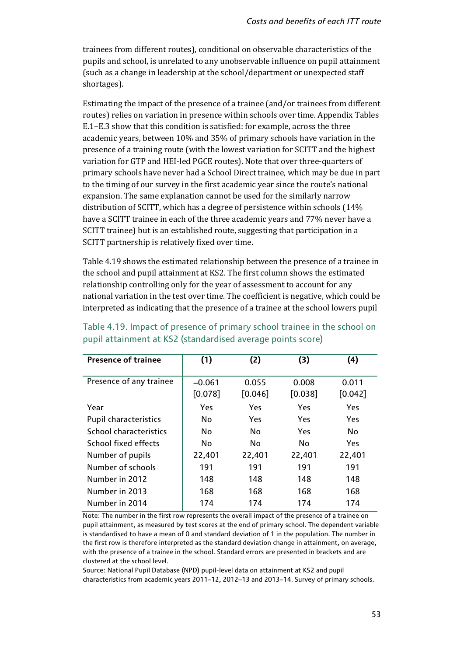trainees from different routes), conditional on observable characteristics of the pupils and school, is unrelated to any unobservable influence on pupil attainment (such as a change in leadership at the school/department or unexpected staff shortages).

Estimating the impact of the presence of a trainee (and/or trainees from different routes) relies on variation in presence within schools over time. Appendix Tables E.1–E.3 show that this condition is satisfied: for example, across the three academic years, between 10% and 35% of primary schools have variation in the presence of a training route (with the lowest variation for SCITT and the highest variation for GTP and HEI-led PGCE routes). Note that over three-quarters of primary schools have never had a School Direct trainee, which may be due in part to the timing of our survey in the first academic year since the route's national expansion. The same explanation cannot be used for the similarly narrow distribution of SCITT, which has a degree of persistence within schools (14% have a SCITT trainee in each of the three academic years and 77% never have a SCITT trainee) but is an established route, suggesting that participation in a SCITT partnership is relatively fixed over time.

Table 4.19 shows the estimated relationship between the presence of a trainee in the school and pupil attainment at KS2. The first column shows the estimated relationship controlling only for the year of assessment to account for any national variation in the test over time. The coefficient is negative, which could be interpreted as indicating that the presence of a trainee at the school lowers pupil

| <b>Presence of trainee</b>   | (1)      | (2)     | (3)     | (4)     |
|------------------------------|----------|---------|---------|---------|
| Presence of any trainee      | $-0.061$ | 0.055   | 0.008   | 0.011   |
|                              | [0.078]  | [0.046] | [0.038] | [0.042] |
| Year                         | Yes      | Yes     | Yes     | Yes     |
| <b>Pupil characteristics</b> | No       | Yes     | Yes     | Yes     |
| School characteristics       | No       | No      | Yes     | No      |
| School fixed effects         | No       | Nο      | No.     | Yes     |
| Number of pupils             | 22,401   | 22,401  | 22,401  | 22,401  |
| Number of schools            | 191      | 191     | 191     | 191     |
| Number in 2012               | 148      | 148     | 148     | 148     |
| Number in 2013               | 168      | 168     | 168     | 168     |
| Number in 2014               | 174      | 174     | 174     | 174     |

## Table 4.19. Impact of presence of primary school trainee in the school on pupil attainment at KS2 (standardised average points score)

Note: The number in the first row represents the overall impact of the presence of a trainee on pupil attainment, as measured by test scores at the end of primary school. The dependent variable is standardised to have a mean of 0 and standard deviation of 1 in the population. The number in the first row is therefore interpreted as the standard deviation change in attainment, on average, with the presence of a trainee in the school. Standard errors are presented in brackets and are clustered at the school level.

Source: National Pupil Database (NPD) pupil-level data on attainment at KS2 and pupil characteristics from academic years 2011–12, 2012–13 and 2013–14. Survey of primary schools.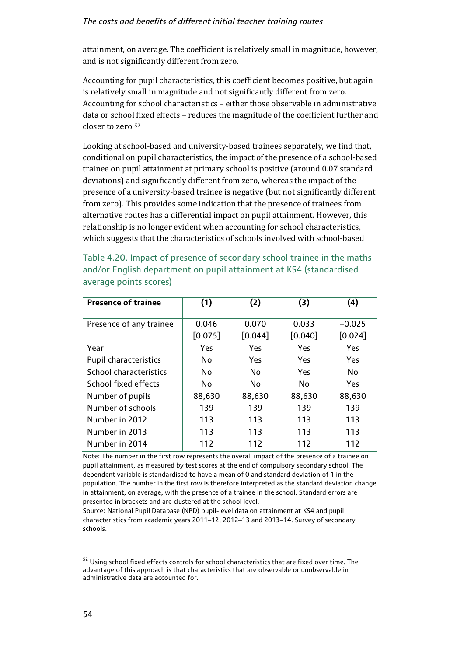attainment, on average. The coefficient is relatively small in magnitude, however, and is not significantly different from zero.

Accounting for pupil characteristics, this coefficient becomes positive, but again is relatively small in magnitude and not significantly different from zero. Accounting for school characteristics – either those observable in administrative data or school fixed effects – reduces the magnitude of the coefficient further and closer to zero.[52](#page-58-0)

Looking at school-based and university-based trainees separately, we find that, conditional on pupil characteristics, the impact of the presence of a school-based trainee on pupil attainment at primary school is positive (around 0.07 standard deviations) and significantly different from zero, whereas the impact of the presence of a university-based trainee is negative (but not significantly different from zero). This provides some indication that the presence of trainees from alternative routes has a differential impact on pupil attainment. However, this relationship is no longer evident when accounting for school characteristics, which suggests that the characteristics of schools involved with school-based

| <b>Presence of trainee</b>   | (1)     | (2)     | (3)     | (4)      |
|------------------------------|---------|---------|---------|----------|
|                              |         |         |         |          |
| Presence of any trainee      | 0.046   | 0.070   | 0.033   | $-0.025$ |
|                              | [0.075] | [0.044] | [0.040] | [0.024]  |
| Year                         | Yes     | Yes     | Yes     | Yes      |
| <b>Pupil characteristics</b> | No      | Yes     | Yes     | Yes      |
| School characteristics       | No      | No      | Yes     | No       |
| School fixed effects         | No      | No      | No      | Yes      |
| Number of pupils             | 88,630  | 88,630  | 88,630  | 88,630   |
| Number of schools            | 139     | 139     | 139     | 139      |
| Number in 2012               | 113     | 113     | 113     | 113      |
| Number in 2013               | 113     | 113     | 113     | 113      |
| Number in 2014               | 112     | 112     | 112     | 112      |

Table 4.20. Impact of presence of secondary school trainee in the maths and/or English department on pupil attainment at KS4 (standardised average points scores)

Note: The number in the first row represents the overall impact of the presence of a trainee on pupil attainment, as measured by test scores at the end of compulsory secondary school. The dependent variable is standardised to have a mean of 0 and standard deviation of 1 in the population. The number in the first row is therefore interpreted as the standard deviation change in attainment, on average, with the presence of a trainee in the school. Standard errors are presented in brackets and are clustered at the school level.

Source: National Pupil Database (NPD) pupil-level data on attainment at KS4 and pupil characteristics from academic years 2011–12, 2012–13 and 2013–14. Survey of secondary schools.

<span id="page-58-0"></span> $52$  Using school fixed effects controls for school characteristics that are fixed over time. The advantage of this approach is that characteristics that are observable or unobservable in administrative data are accounted for.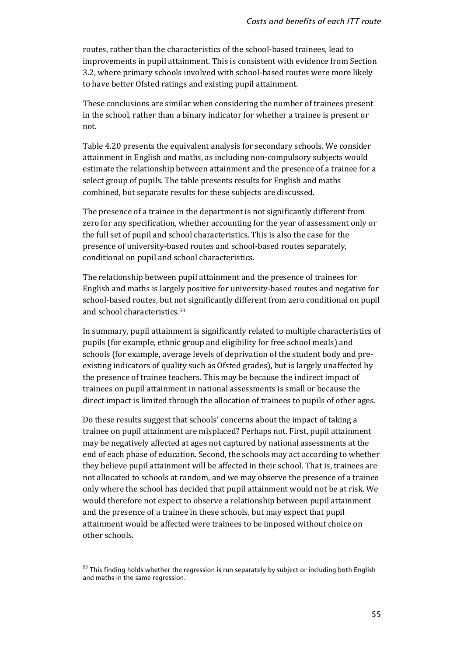routes, rather than the characteristics of the school-based trainees, lead to improvements in pupil attainment. This is consistent with evidence from Section 3.2, where primary schools involved with school-based routes were more likely to have better Ofsted ratings and existing pupil attainment.

These conclusions are similar when considering the number of trainees present in the school, rather than a binary indicator for whether a trainee is present or not.

Table 4.20 presents the equivalent analysis for secondary schools. We consider attainment in English and maths, as including non-compulsory subjects would estimate the relationship between attainment and the presence of a trainee for a select group of pupils. The table presents results for English and maths combined, but separate results for these subjects are discussed.

The presence of a trainee in the department is not significantly different from zero for any specification, whether accounting for the year of assessment only or the full set of pupil and school characteristics. This is also the case for the presence of university-based routes and school-based routes separately, conditional on pupil and school characteristics.

The relationship between pupil attainment and the presence of trainees for English and maths is largely positive for university-based routes and negative for school-based routes, but not significantly different from zero conditional on pupil and school characteristics.[53](#page-59-0)

In summary, pupil attainment is significantly related to multiple characteristics of pupils (for example, ethnic group and eligibility for free school meals) and schools (for example, average levels of deprivation of the student body and preexisting indicators of quality such as Ofsted grades), but is largely unaffected by the presence of trainee teachers. This may be because the indirect impact of trainees on pupil attainment in national assessments is small or because the direct impact is limited through the allocation of trainees to pupils of other ages.

Do these results suggest that schools' concerns about the impact of taking a trainee on pupil attainment are misplaced? Perhaps not. First, pupil attainment may be negatively affected at ages not captured by national assessments at the end of each phase of education. Second, the schools may act according to whether they believe pupil attainment will be affected in their school. That is, trainees are not allocated to schools at random, and we may observe the presence of a trainee only where the school has decided that pupil attainment would not be at risk. We would therefore not expect to observe a relationship between pupil attainment and the presence of a trainee in these schools, but may expect that pupil attainment would be affected were trainees to be imposed without choice on other schools.

<span id="page-59-0"></span><sup>&</sup>lt;sup>53</sup> This finding holds whether the regression is run separately by subject or including both English and maths in the same regression.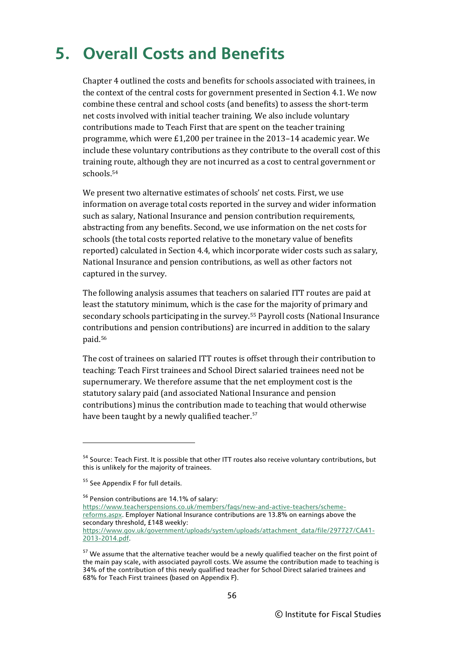# **5. Overall Costs and Benefits**

Chapter 4 outlined the costs and benefits for schools associated with trainees, in the context of the central costs for government presented in Section 4.1. We now combine these central and school costs (and benefits) to assess the short-term net costs involved with initial teacher training. We also include voluntary contributions made to Teach First that are spent on the teacher training programme, which were £1,200 per trainee in the 2013–14 academic year. We include these voluntary contributions as they contribute to the overall cost of this training [ro](#page-60-0)ute, although they are not incurred as a cost to central government or schools.54

We present two alternative estimates of schools' net costs. First, we use information on average total costs reported in the survey and wider information such as salary, National Insurance and pension contribution requirements, abstracting from any benefits. Second, we use information on the net costs for schools (the total costs reported relative to the monetary value of benefits reported) calculated in Section 4.4, which incorporate wider costs such as salary, National Insurance and pension contributions, as well as other factors not captured in the survey.

The following analysis assumes that teachers on salaried ITT routes are paid at least the statutory minimum, which is the case for the majority of primary and secondary schools participating in the survey.[55](#page-60-1) Payroll costs (National Insurance contributions and pension contributions) are incurred in addition to the salary paid.[56](#page-60-2)

The cost of trainees on salaried ITT routes is offset through their contribution to teaching: Teach First trainees and School Direct salaried trainees need not be supernumerary. We therefore assume that the net employment cost is the statutory salary paid (and associated National Insurance and pension contributions) minus the contribution made to teaching that would otherwise have been taught by a newly qualified teacher.<sup>[57](#page-60-3)</sup>

j

<span id="page-60-2"></span><sup>56</sup> Pension contributions are 14.1% of salary: [https://www.teacherspensions.co.uk/members/faqs/new-and-active-teachers/scheme](https://www.teacherspensions.co.uk/members/faqs/new-and-active-teachers/scheme-reforms.aspx)[reforms.aspx.](https://www.teacherspensions.co.uk/members/faqs/new-and-active-teachers/scheme-reforms.aspx) Employer National Insurance contributions are 13.8% on earnings above the secondary threshold, £148 weekly: [https://www.gov.uk/government/uploads/system/uploads/attachment\\_data/file/297727/CA41-](https://www.gov.uk/government/uploads/system/uploads/attachment_data/file/297727/CA41-2013-2014.pdf) [2013-2014.pdf.](https://www.gov.uk/government/uploads/system/uploads/attachment_data/file/297727/CA41-2013-2014.pdf)

<span id="page-60-0"></span><sup>&</sup>lt;sup>54</sup> Source: Teach First. It is possible that other ITT routes also receive voluntary contributions, but this is unlikely for the majority of trainees.

<span id="page-60-1"></span><sup>55</sup> See Appendix F for full details.

<span id="page-60-3"></span><sup>&</sup>lt;sup>57</sup> We assume that the alternative teacher would be a newly qualified teacher on the first point of the main pay scale, with associated payroll costs. We assume the contribution made to teaching is 34% of the contribution of this newly qualified teacher for School Direct salaried trainees and 68% for Teach First trainees (based on Appendix F).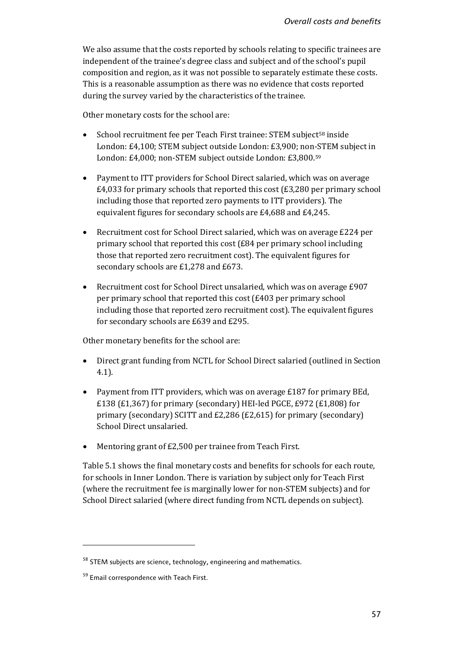We also assume that the costs reported by schools relating to specific trainees are independent of the trainee's degree class and subject and of the school's pupil composition and region, as it was not possible to separately estimate these costs. This is a reasonable assumption as there was no evidence that costs reported during the survey varied by the characteristics of the trainee.

Other monetary costs for the school are:

- School recruitment fee per Teach First trainee: STEM subject<sup>58</sup> inside London: £4,100; STEM subject outside London: £3,900; non-STEM subject in London: £4,000; non-STEM subject outside London: £3,800.[59](#page-61-1)
- Payment to ITT providers for School Direct salaried, which was on average £4,033 for primary schools that reported this cost (£3,280 per primary school including those that reported zero payments to ITT providers). The equivalent figures for secondary schools are £4,688 and £4,245.
- Recruitment cost for School Direct salaried, which was on average £224 per primary school that reported this cost (£84 per primary school including those that reported zero recruitment cost). The equivalent figures for secondary schools are £1,278 and £673.
- Recruitment cost for School Direct unsalaried, which was on average £907 per primary school that reported this cost (£403 per primary school including those that reported zero recruitment cost). The equivalent figures for secondary schools are £639 and £295.

Other monetary benefits for the school are:

- Direct grant funding from NCTL for School Direct salaried (outlined in Section 4.1).
- Payment from ITT providers, which was on average £187 for primary BEd, £138 (£1,367) for primary (secondary) HEI-led PGCE, £972 (£1,808) for primary (secondary) SCITT and £2,286 (£2,615) for primary (secondary) School Direct unsalaried.
- Mentoring grant of £2,500 per trainee from Teach First.

Table 5.1 shows the final monetary costs and benefits for schools for each route, for schools in Inner London. There is variation by subject only for Teach First (where the recruitment fee is marginally lower for non-STEM subjects) and for School Direct salaried (where direct funding from NCTL depends on subject).

<span id="page-61-0"></span> $58$  STEM subjects are science, technology, engineering and mathematics.

<span id="page-61-1"></span><sup>59</sup> Email correspondence with Teach First.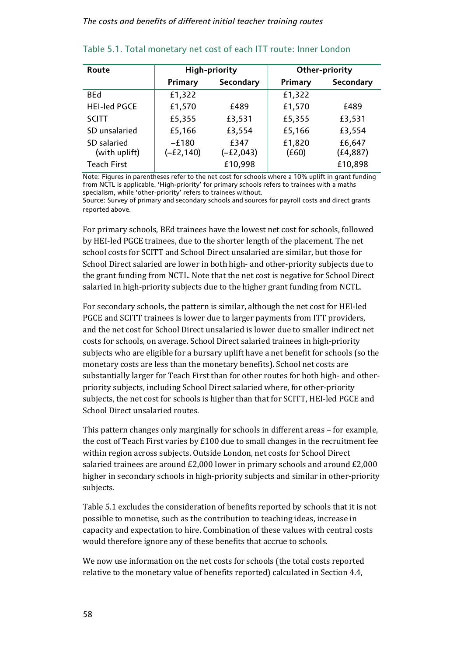| Route                        |                         | <b>High-priority</b> |                 | Other-priority     |
|------------------------------|-------------------------|----------------------|-----------------|--------------------|
|                              | Primary                 | Secondary            | Primary         | Secondary          |
| <b>BEd</b>                   | £1,322                  |                      | £1,322          |                    |
| <b>HEI-led PGCE</b>          | £1,570                  | £489                 | £1,570          | £489               |
| <b>SCITT</b>                 | £5,355                  | £3,531               | £5,355          | £3,531             |
| SD unsalaried                | £5,166                  | £3,554               | £5,166          | £3,554             |
| SD salaried<br>(with uplift) | $-£180$<br>$(-E2, 140)$ | £347<br>$(-E2, 043)$ | £1,820<br>(£60) | £6,647<br>(£4,887) |
| <b>Teach First</b>           |                         | £10,998              |                 | £10,898            |

### Table 5.1. Total monetary net cost of each ITT route: Inner London

Note: Figures in parentheses refer to the net cost for schools where a 10% uplift in grant funding from NCTL is applicable. 'High-priority' for primary schools refers to trainees with a maths specialism, while 'other-priority' refers to trainees without.

Source: Survey of primary and secondary schools and sources for payroll costs and direct grants reported above.

For primary schools, BEd trainees have the lowest net cost for schools, followed by HEI-led PGCE trainees, due to the shorter length of the placement. The net school costs for SCITT and School Direct unsalaried are similar, but those for School Direct salaried are lower in both high- and other-priority subjects due to the grant funding from NCTL. Note that the net cost is negative for School Direct salaried in high-priority subjects due to the higher grant funding from NCTL.

For secondary schools, the pattern is similar, although the net cost for HEI-led PGCE and SCITT trainees is lower due to larger payments from ITT providers, and the net cost for School Direct unsalaried is lower due to smaller indirect net costs for schools, on average. School Direct salaried trainees in high-priority subjects who are eligible for a bursary uplift have a net benefit for schools (so the monetary costs are less than the monetary benefits). School net costs are substantially larger for Teach First than for other routes for both high- and otherpriority subjects, including School Direct salaried where, for other-priority subjects, the net cost for schools is higher than that for SCITT, HEI-led PGCE and School Direct unsalaried routes.

This pattern changes only marginally for schools in different areas – for example, the cost of Teach First varies by £100 due to small changes in the recruitment fee within region across subjects. Outside London, net costs for School Direct salaried trainees are around £2,000 lower in primary schools and around £2,000 higher in secondary schools in high-priority subjects and similar in other-priority subjects.

Table 5.1 excludes the consideration of benefits reported by schools that it is not possible to monetise, such as the contribution to teaching ideas, increase in capacity and expectation to hire. Combination of these values with central costs would therefore ignore any of these benefits that accrue to schools.

We now use information on the net costs for schools (the total costs reported relative to the monetary value of benefits reported) calculated in Section 4.4,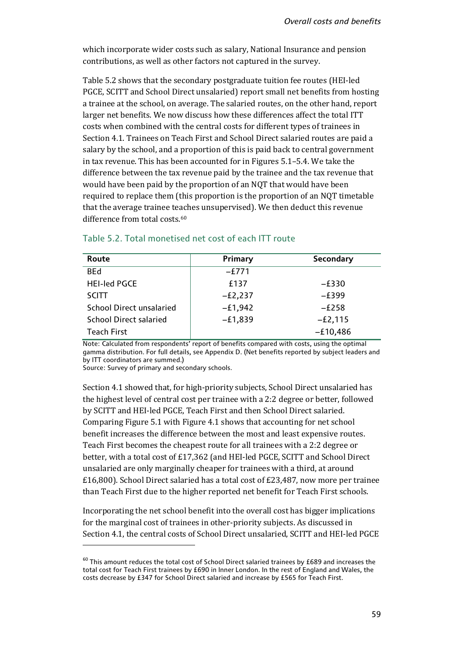which incorporate wider costs such as salary, National Insurance and pension contributions, as well as other factors not captured in the survey.

Table 5.2 shows that the secondary postgraduate tuition fee routes (HEI-led PGCE, SCITT and School Direct unsalaried) report small net benefits from hosting a trainee at the school, on average. The salaried routes, on the other hand, report larger net benefits. We now discuss how these differences affect the total ITT costs when combined with the central costs for different types of trainees in Section 4.1. Trainees on Teach First and School Direct salaried routes are paid a salary by the school, and a proportion of this is paid back to central government in tax revenue. This has been accounted for in Figures 5.1–5.4. We take the difference between the tax revenue paid by the trainee and the tax revenue that would have been paid by the proportion of an NQT that would have been required to replace them (this proportion is the proportion of an NQT timetable that the average trainee te[ach](#page-63-0)es unsupervised). We then deduct this revenue difference from total costs.<sup>60</sup>

| Route                           | Primary   | Secondary  |
|---------------------------------|-----------|------------|
| <b>BEd</b>                      | $-E771$   |            |
| <b>HEI-led PGCE</b>             | £137      | $-E330$    |
| <b>SCITT</b>                    | $-E2,237$ | $-E399$    |
| <b>School Direct unsalaried</b> | $-£1,942$ | $-E258$    |
| <b>School Direct salaried</b>   | $-£1,839$ | $-E2,115$  |
| <b>Teach First</b>              |           | $-£10,486$ |

## Table 5.2. Total monetised net cost of each ITT route

Note: Calculated from respondents' report of benefits compared with costs, using the optimal gamma distribution. For full details, see Appendix D. (Net benefits reported by subject leaders and by ITT coordinators are summed.)

Source: Survey of primary and secondary schools.

j

Section 4.1 showed that, for high-priority subjects, School Direct unsalaried has the highest level of central cost per trainee with a 2:2 degree or better, followed by SCITT and HEI-led PGCE, Teach First and then School Direct salaried. Comparing Figure 5.1 with Figure 4.1 shows that accounting for net school benefit increases the difference between the most and least expensive routes. Teach First becomes the cheapest route for all trainees with a 2:2 degree or better, with a total cost of £17,362 (and HEI-led PGCE, SCITT and School Direct unsalaried are only marginally cheaper for trainees with a third, at around £16,800). School Direct salaried has a total cost of £23,487, now more per trainee than Teach First due to the higher reported net benefit for Teach First schools.

Incorporating the net school benefit into the overall cost has bigger implications for the marginal cost of trainees in other-priority subjects. As discussed in Section 4.1, the central costs of School Direct unsalaried, SCITT and HEI-led PGCE

<span id="page-63-0"></span> $^{60}$  This amount reduces the total cost of School Direct salaried trainees by £689 and increases the total cost for Teach First trainees by £690 in Inner London. In the rest of England and Wales, the costs decrease by £347 for School Direct salaried and increase by £565 for Teach First.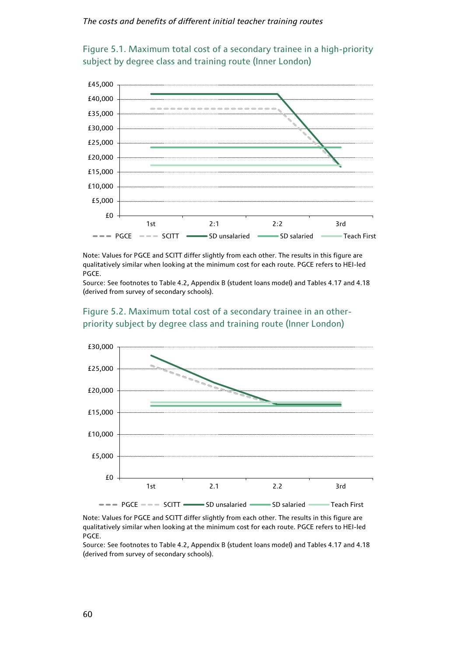



Note: Values for PGCE and SCITT differ slightly from each other. The results in this figure are qualitatively similar when looking at the minimum cost for each route. PGCE refers to HEI-led PGCE.

Source: See footnotes to Table 4.2, Appendix B (student loans model) and Tables 4.17 and 4.18 (derived from survey of secondary schools).





Note: Values for PGCE and SCITT differ slightly from each other. The results in this figure are qualitatively similar when looking at the minimum cost for each route. PGCE refers to HEI-led PGCE.

Source: See footnotes to Table 4.2, Appendix B (student loans model) and Tables 4.17 and 4.18 (derived from survey of secondary schools).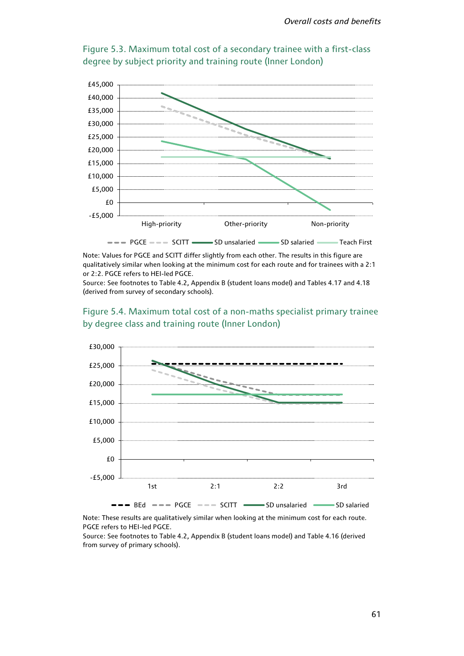

Figure 5.3. Maximum total cost of a secondary trainee with a first-class degree by subject priority and training route (Inner London)

Note: Values for PGCE and SCITT differ slightly from each other. The results in this figure are qualitatively similar when looking at the minimum cost for each route and for trainees with a 2:1 or 2:2. PGCE refers to HEI-led PGCE.

Source: See footnotes to Table 4.2, Appendix B (student loans model) and Tables 4.17 and 4.18 (derived from survey of secondary schools).





Note: These results are qualitatively similar when looking at the minimum cost for each route. PGCE refers to HEI-led PGCE.

Source: See footnotes to Table 4.2, Appendix B (student loans model) and Table 4.16 (derived from survey of primary schools).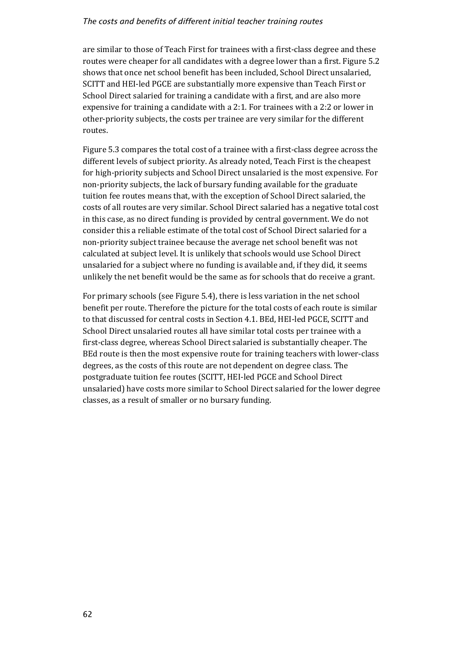are similar to those of Teach First for trainees with a first-class degree and these routes were cheaper for all candidates with a degree lower than a first. Figure 5.2 shows that once net school benefit has been included, School Direct unsalaried, SCITT and HEI-led PGCE are substantially more expensive than Teach First or School Direct salaried for training a candidate with a first, and are also more expensive for training a candidate with a 2:1. For trainees with a 2:2 or lower in other-priority subjects, the costs per trainee are very similar for the different routes.

Figure 5.3 compares the total cost of a trainee with a first-class degree across the different levels of subject priority. As already noted, Teach First is the cheapest for high-priority subjects and School Direct unsalaried is the most expensive. For non-priority subjects, the lack of bursary funding available for the graduate tuition fee routes means that, with the exception of School Direct salaried, the costs of all routes are very similar. School Direct salaried has a negative total cost in this case, as no direct funding is provided by central government. We do not consider this a reliable estimate of the total cost of School Direct salaried for a non-priority subject trainee because the average net school benefit was not calculated at subject level. It is unlikely that schools would use School Direct unsalaried for a subject where no funding is available and, if they did, it seems unlikely the net benefit would be the same as for schools that do receive a grant.

For primary schools (see Figure 5.4), there is less variation in the net school benefit per route. Therefore the picture for the total costs of each route is similar to that discussed for central costs in Section 4.1. BEd, HEI-led PGCE, SCITT and School Direct unsalaried routes all have similar total costs per trainee with a first-class degree, whereas School Direct salaried is substantially cheaper. The BEd route is then the most expensive route for training teachers with lower-class degrees, as the costs of this route are not dependent on degree class. The postgraduate tuition fee routes (SCITT, HEI-led PGCE and School Direct unsalaried) have costs more similar to School Direct salaried for the lower degree classes, as a result of smaller or no bursary funding.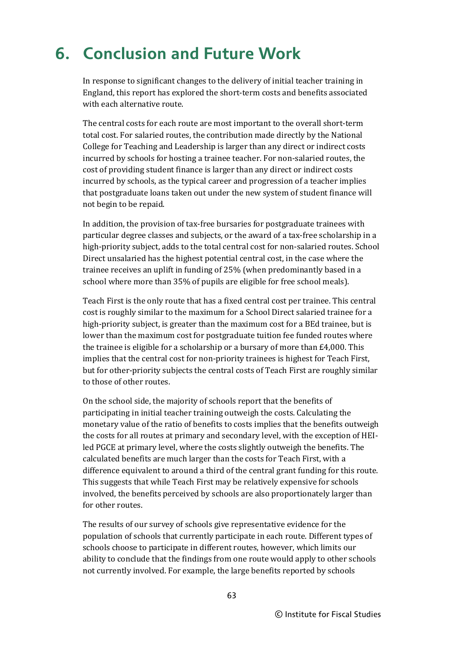# **6. Conclusion and Future Work**

In response to significant changes to the delivery of initial teacher training in England, this report has explored the short-term costs and benefits associated with each alternative route.

The central costs for each route are most important to the overall short-term total cost. For salaried routes, the contribution made directly by the National College for Teaching and Leadership is larger than any direct or indirect costs incurred by schools for hosting a trainee teacher. For non-salaried routes, the cost of providing student finance is larger than any direct or indirect costs incurred by schools, as the typical career and progression of a teacher implies that postgraduate loans taken out under the new system of student finance will not begin to be repaid.

In addition, the provision of tax-free bursaries for postgraduate trainees with particular degree classes and subjects, or the award of a tax-free scholarship in a high-priority subject, adds to the total central cost for non-salaried routes. School Direct unsalaried has the highest potential central cost, in the case where the trainee receives an uplift in funding of 25% (when predominantly based in a school where more than 35% of pupils are eligible for free school meals).

Teach First is the only route that has a fixed central cost per trainee. This central cost is roughly similar to the maximum for a School Direct salaried trainee for a high-priority subject, is greater than the maximum cost for a BEd trainee, but is lower than the maximum cost for postgraduate tuition fee funded routes where the trainee is eligible for a scholarship or a bursary of more than £4,000. This implies that the central cost for non-priority trainees is highest for Teach First, but for other-priority subjects the central costs of Teach First are roughly similar to those of other routes.

On the school side, the majority of schools report that the benefits of participating in initial teacher training outweigh the costs. Calculating the monetary value of the ratio of benefits to costs implies that the benefits outweigh the costs for all routes at primary and secondary level, with the exception of HEIled PGCE at primary level, where the costs slightly outweigh the benefits. The calculated benefits are much larger than the costs for Teach First, with a difference equivalent to around a third of the central grant funding for this route. This suggests that while Teach First may be relatively expensive for schools involved, the benefits perceived by schools are also proportionately larger than for other routes.

The results of our survey of schools give representative evidence for the population of schools that currently participate in each route. Different types of schools choose to participate in different routes, however, which limits our ability to conclude that the findings from one route would apply to other schools not currently involved. For example, the large benefits reported by schools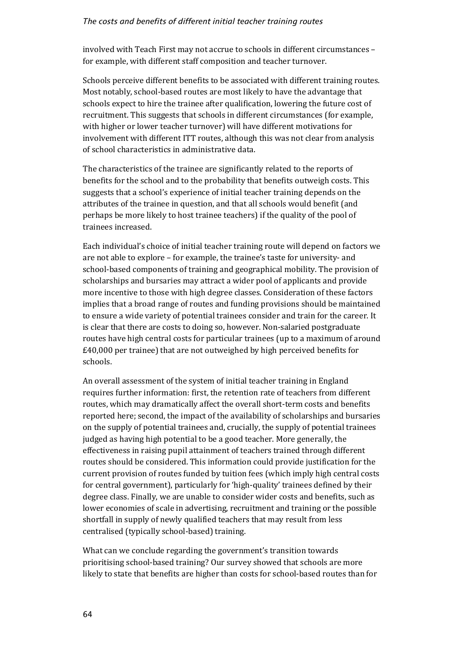involved with Teach First may not accrue to schools in different circumstances – for example, with different staff composition and teacher turnover.

Schools perceive different benefits to be associated with different training routes. Most notably, school-based routes are most likely to have the advantage that schools expect to hire the trainee after qualification, lowering the future cost of recruitment. This suggests that schools in different circumstances (for example, with higher or lower teacher turnover) will have different motivations for involvement with different ITT routes, although this was not clear from analysis of school characteristics in administrative data.

The characteristics of the trainee are significantly related to the reports of benefits for the school and to the probability that benefits outweigh costs. This suggests that a school's experience of initial teacher training depends on the attributes of the trainee in question, and that all schools would benefit (and perhaps be more likely to host trainee teachers) if the quality of the pool of trainees increased.

Each individual's choice of initial teacher training route will depend on factors we are not able to explore – for example, the trainee's taste for university- and school-based components of training and geographical mobility. The provision of scholarships and bursaries may attract a wider pool of applicants and provide more incentive to those with high degree classes. Consideration of these factors implies that a broad range of routes and funding provisions should be maintained to ensure a wide variety of potential trainees consider and train for the career. It is clear that there are costs to doing so, however. Non-salaried postgraduate routes have high central costs for particular trainees (up to a maximum of around £40,000 per trainee) that are not outweighed by high perceived benefits for schools.

An overall assessment of the system of initial teacher training in England requires further information: first, the retention rate of teachers from different routes, which may dramatically affect the overall short-term costs and benefits reported here; second, the impact of the availability of scholarships and bursaries on the supply of potential trainees and, crucially, the supply of potential trainees judged as having high potential to be a good teacher. More generally, the effectiveness in raising pupil attainment of teachers trained through different routes should be considered. This information could provide justification for the current provision of routes funded by tuition fees (which imply high central costs for central government), particularly for 'high-quality' trainees defined by their degree class. Finally, we are unable to consider wider costs and benefits, such as lower economies of scale in advertising, recruitment and training or the possible shortfall in supply of newly qualified teachers that may result from less centralised (typically school-based) training.

What can we conclude regarding the government's transition towards prioritising school-based training? Our survey showed that schools are more likely to state that benefits are higher than costs for school-based routes than for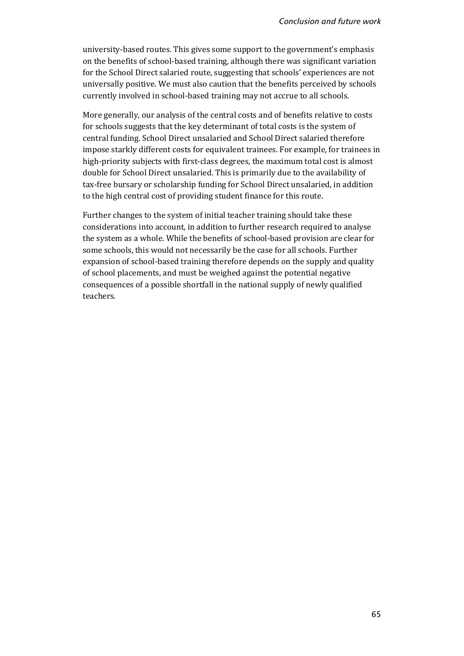university-based routes. This gives some support to the government's emphasis on the benefits of school-based training, although there was significant variation for the School Direct salaried route, suggesting that schools' experiences are not universally positive. We must also caution that the benefits perceived by schools currently involved in school-based training may not accrue to all schools.

More generally, our analysis of the central costs and of benefits relative to costs for schools suggests that the key determinant of total costs is the system of central funding. School Direct unsalaried and School Direct salaried therefore impose starkly different costs for equivalent trainees. For example, for trainees in high-priority subjects with first-class degrees, the maximum total cost is almost double for School Direct unsalaried. This is primarily due to the availability of tax-free bursary or scholarship funding for School Direct unsalaried, in addition to the high central cost of providing student finance for this route.

Further changes to the system of initial teacher training should take these considerations into account, in addition to further research required to analyse the system as a whole. While the benefits of school-based provision are clear for some schools, this would not necessarily be the case for all schools. Further expansion of school-based training therefore depends on the supply and quality of school placements, and must be weighed against the potential negative consequences of a possible shortfall in the national supply of newly qualified teachers.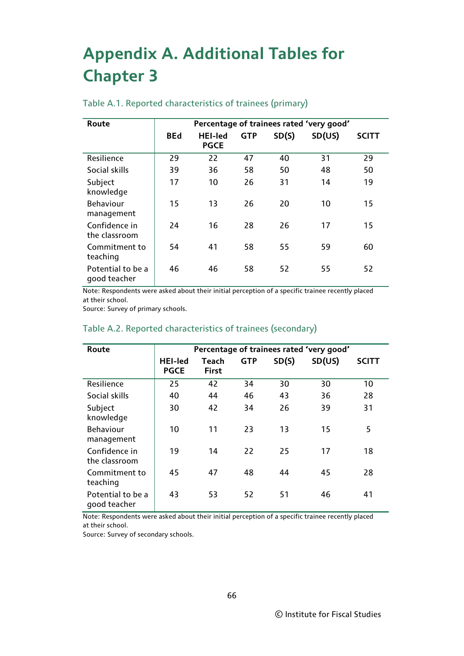# **Appendix A. Additional Tables for Chapter 3**

| Route                             | Percentage of trainees rated 'very good' |                               |            |       |        |              |
|-----------------------------------|------------------------------------------|-------------------------------|------------|-------|--------|--------------|
|                                   | <b>BEd</b>                               | <b>HEI-led</b><br><b>PGCE</b> | <b>GTP</b> | SD(S) | SD(US) | <b>SCITT</b> |
| Resilience                        | 29                                       | 22                            | 47         | 40    | 31     | 29           |
| Social skills                     | 39                                       | 36                            | 58         | 50    | 48     | 50           |
| Subject<br>knowledge              | 17                                       | 10                            | 26         | 31    | 14     | 19           |
| <b>Behaviour</b><br>management    | 15                                       | 13                            | 26         | 20    | 10     | 15           |
| Confidence in<br>the classroom    | 24                                       | 16                            | 28         | 26    | 17     | 15           |
| Commitment to<br>teaching         | 54                                       | 41                            | 58         | 55    | 59     | 60           |
| Potential to be a<br>good teacher | 46                                       | 46                            | 58         | 52    | 55     | 52           |

# Table A.1. Reported characteristics of trainees (primary)

Note: Respondents were asked about their initial perception of a specific trainee recently placed at their school.

Source: Survey of primary schools.

| Route                             |                               | Percentage of trainees rated 'very good' |            |       |        |              |
|-----------------------------------|-------------------------------|------------------------------------------|------------|-------|--------|--------------|
|                                   | <b>HEI-led</b><br><b>PGCE</b> | <b>Teach</b><br><b>First</b>             | <b>GTP</b> | SD(S) | SD(US) | <b>SCITT</b> |
| Resilience                        | 25                            | 42                                       | 34         | 30    | 30     | 10           |
| Social skills                     | 40                            | 44                                       | 46         | 43    | 36     | 28           |
| Subject<br>knowledge              | 30                            | 42                                       | 34         | 26    | 39     | 31           |
| <b>Behaviour</b><br>management    | 10                            | 11                                       | 23         | 13    | 15     | 5            |
| Confidence in<br>the classroom    | 19                            | 14                                       | 22         | 25    | 17     | 18           |
| Commitment to<br>teaching         | 45                            | 47                                       | 48         | 44    | 45     | 28           |
| Potential to be a<br>good teacher | 43                            | 53                                       | 52         | 51    | 46     | 41           |

### Table A.2. Reported characteristics of trainees (secondary)

Note: Respondents were asked about their initial perception of a specific trainee recently placed at their school.

Source: Survey of secondary schools.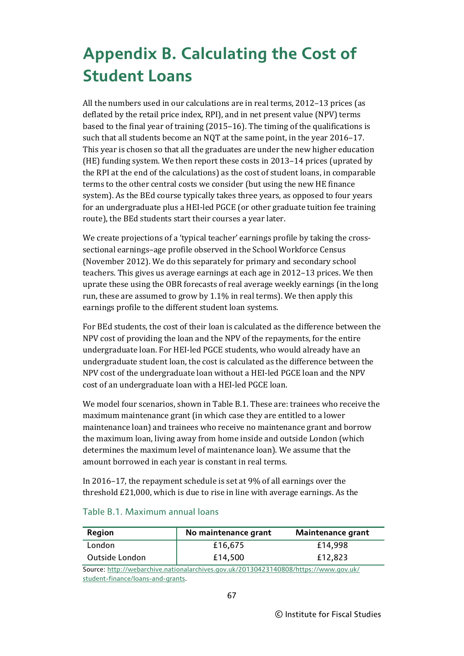# **Appendix B. Calculating the Cost of Student Loans**

All the numbers used in our calculations are in real terms, 2012–13 prices (as deflated by the retail price index, RPI), and in net present value (NPV) terms based to the final year of training (2015–16). The timing of the qualifications is such that all students become an NQT at the same point, in the year 2016–17. This year is chosen so that all the graduates are under the new higher education (HE) funding system. We then report these costs in 2013–14 prices (uprated by the RPI at the end of the calculations) as the cost of student loans, in comparable terms to the other central costs we consider (but using the new HE finance system). As the BEd course typically takes three years, as opposed to four years for an undergraduate plus a HEI-led PGCE (or other graduate tuition fee training route), the BEd students start their courses a year later.

We create projections of a 'typical teacher' earnings profile by taking the crosssectional earnings–age profile observed in the School Workforce Census (November 2012). We do this separately for primary and secondary school teachers. This gives us average earnings at each age in 2012–13 prices. We then uprate these using the OBR forecasts of real average weekly earnings (in the long run, these are assumed to grow by 1.1% in real terms). We then apply this earnings profile to the different student loan systems.

For BEd students, the cost of their loan is calculated as the difference between the NPV cost of providing the loan and the NPV of the repayments, for the entire undergraduate loan. For HEI-led PGCE students, who would already have an undergraduate student loan, the cost is calculated as the difference between the NPV cost of the undergraduate loan without a HEI-led PGCE loan and the NPV cost of an undergraduate loan with a HEI-led PGCE loan.

We model four scenarios, shown in Table B.1. These are: trainees who receive the maximum maintenance grant (in which case they are entitled to a lower maintenance loan) and trainees who receive no maintenance grant and borrow the maximum loan, living away from home inside and outside London (which determines the maximum level of maintenance loan). We assume that the amount borrowed in each year is constant in real terms.

In 2016–17, the repayment schedule is set at 9% of all earnings over the threshold £21,000, which is due to rise in line with average earnings. As the

| Region                                                                               | No maintenance grant | Maintenance grant |  |  |  |
|--------------------------------------------------------------------------------------|----------------------|-------------------|--|--|--|
| London                                                                               | £16,675              | £14,998           |  |  |  |
| Outside London                                                                       | £14,500              | £12,823           |  |  |  |
| Source: http://webarchive.nationalarchives.gov.uk/20130423140808/https://www.gov.uk/ |                      |                   |  |  |  |

## Table B.1. Maximum annual loans

[student-finance/loans-and-grants.](http://webarchive.nationalarchives.gov.uk/20130423140808/https:/www.gov.uk/student-finance/loans-and-grants)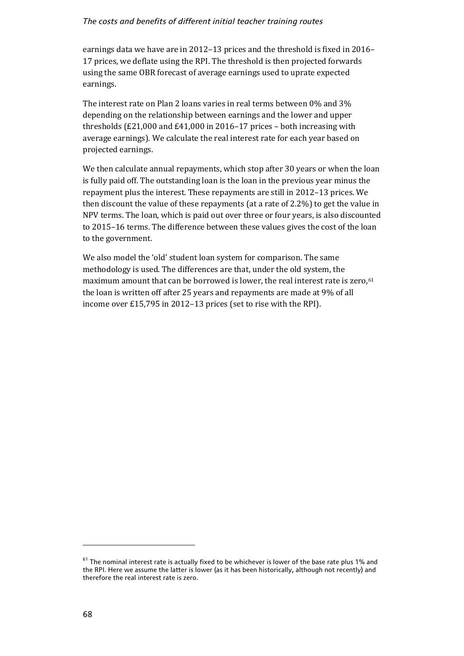#### *The costs and benefits of different initial teacher training routes*

earnings data we have are in 2012–13 prices and the threshold is fixed in 2016– 17 prices, we deflate using the RPI. The threshold is then projected forwards using the same OBR forecast of average earnings used to uprate expected earnings.

The interest rate on Plan 2 loans varies in real terms between 0% and 3% depending on the relationship between earnings and the lower and upper thresholds (£21,000 and £41,000 in 2016–17 prices – both increasing with average earnings). We calculate the real interest rate for each year based on projected earnings.

We then calculate annual repayments, which stop after 30 years or when the loan is fully paid off. The outstanding loan is the loan in the previous year minus the repayment plus the interest. These repayments are still in 2012–13 prices. We then discount the value of these repayments (at a rate of 2.2%) to get the value in NPV terms. The loan, which is paid out over three or four years, is also discounted to 2015–16 terms. The difference between these values gives the cost of the loan to the government.

We also model the 'old' student loan system for comparison. The same methodology is used. The differences are that, under the old system, the maximum amount that can be borrowed is lower, the real interest rate is zero,<sup>[61](#page-72-0)</sup> the loan is written off after 25 years and repayments are made at 9% of all income over £15,795 in 2012–13 prices (set to rise with the RPI).

j

<span id="page-72-0"></span> $61$  The nominal interest rate is actually fixed to be whichever is lower of the base rate plus 1% and the RPI. Here we assume the latter is lower (as it has been historically, although not recently) and therefore the real interest rate is zero.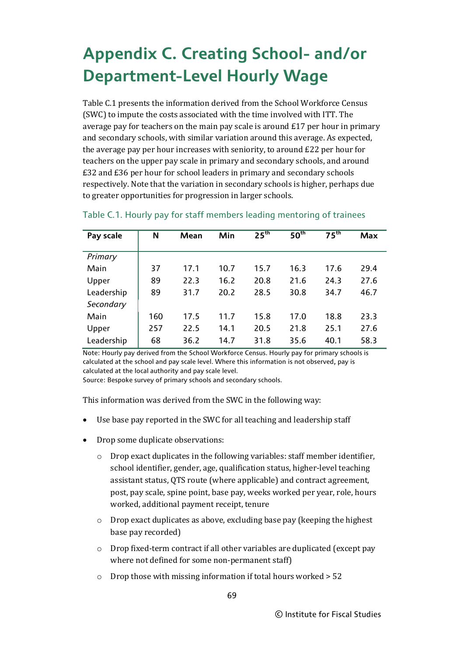# **Appendix C. Creating School- and/or Department-Level Hourly Wage**

Table C.1 presents the information derived from the School Workforce Census (SWC) to impute the costs associated with the time involved with ITT. The average pay for teachers on the main pay scale is around £17 per hour in primary and secondary schools, with similar variation around this average. As expected, the average pay per hour increases with seniority, to around £22 per hour for teachers on the upper pay scale in primary and secondary schools, and around £32 and £36 per hour for school leaders in primary and secondary schools respectively. Note that the variation in secondary schools is higher, perhaps due to greater opportunities for progression in larger schools.

| Pay scale  | N   | Mean | Min  | 25 <sup>th</sup> | 50 <sup>th</sup> | $75^{\text{th}}$ | <b>Max</b> |
|------------|-----|------|------|------------------|------------------|------------------|------------|
|            |     |      |      |                  |                  |                  |            |
| Primary    |     |      |      |                  |                  |                  |            |
| Main       | 37  | 17.1 | 10.7 | 15.7             | 16.3             | 17.6             | 29.4       |
| Upper      | 89  | 22.3 | 16.2 | 20.8             | 21.6             | 24.3             | 27.6       |
| Leadership | 89  | 31.7 | 20.2 | 28.5             | 30.8             | 34.7             | 46.7       |
| Secondary  |     |      |      |                  |                  |                  |            |
| Main       | 160 | 17.5 | 11.7 | 15.8             | 17.0             | 18.8             | 23.3       |
| Upper      | 257 | 22.5 | 14.1 | 20.5             | 21.8             | 25.1             | 27.6       |
| Leadership | 68  | 36.2 | 14.7 | 31.8             | 35.6             | 40.1             | 58.3       |

#### Table C.1. Hourly pay for staff members leading mentoring of trainees

Note: Hourly pay derived from the School Workforce Census. Hourly pay for primary schools is calculated at the school and pay scale level. Where this information is not observed, pay is calculated at the local authority and pay scale level.

Source: Bespoke survey of primary schools and secondary schools.

This information was derived from the SWC in the following way:

- Use base pay reported in the SWC for all teaching and leadership staff
- Drop some duplicate observations:
	- o Drop exact duplicates in the following variables: staff member identifier, school identifier, gender, age, qualification status, higher-level teaching assistant status, QTS route (where applicable) and contract agreement, post, pay scale, spine point, base pay, weeks worked per year, role, hours worked, additional payment receipt, tenure
	- o Drop exact duplicates as above, excluding base pay (keeping the highest base pay recorded)
	- o Drop fixed-term contract if all other variables are duplicated (except pay where not defined for some non-permanent staff)
	- $\circ$  Drop those with missing information if total hours worked  $> 52$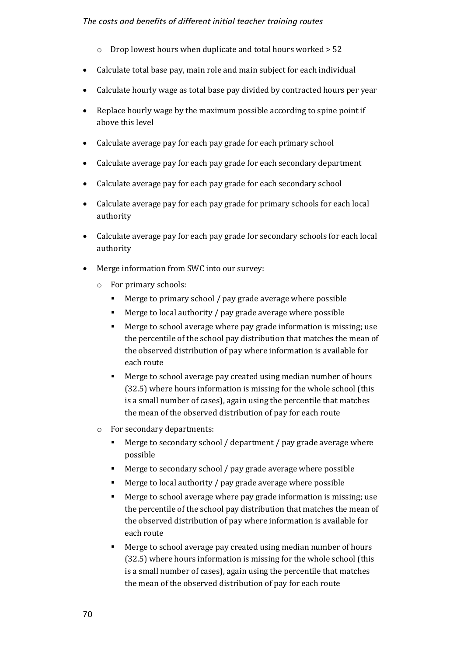#### *The costs and benefits of different initial teacher training routes*

- o Drop lowest hours when duplicate and total hours worked > 52
- Calculate total base pay, main role and main subject for each individual
- Calculate hourly wage as total base pay divided by contracted hours per year
- Replace hourly wage by the maximum possible according to spine point if above this level
- Calculate average pay for each pay grade for each primary school
- Calculate average pay for each pay grade for each secondary department
- Calculate average pay for each pay grade for each secondary school
- Calculate average pay for each pay grade for primary schools for each local authority
- Calculate average pay for each pay grade for secondary schools for each local authority
- Merge information from SWC into our survey:
	- o For primary schools:
		- Merge to primary school / pay grade average where possible
		- Merge to local authority / pay grade average where possible
		- Merge to school average where pay grade information is missing; use the percentile of the school pay distribution that matches the mean of the observed distribution of pay where information is available for each route
		- Merge to school average pay created using median number of hours (32.5) where hours information is missing for the whole school (this is a small number of cases), again using the percentile that matches the mean of the observed distribution of pay for each route
	- o For secondary departments:
		- Merge to secondary school / department / pay grade average where possible
		- Merge to secondary school / pay grade average where possible
		- Merge to local authority / pay grade average where possible
		- Merge to school average where pay grade information is missing; use the percentile of the school pay distribution that matches the mean of the observed distribution of pay where information is available for each route
		- Merge to school average pay created using median number of hours (32.5) where hours information is missing for the whole school (this is a small number of cases), again using the percentile that matches the mean of the observed distribution of pay for each route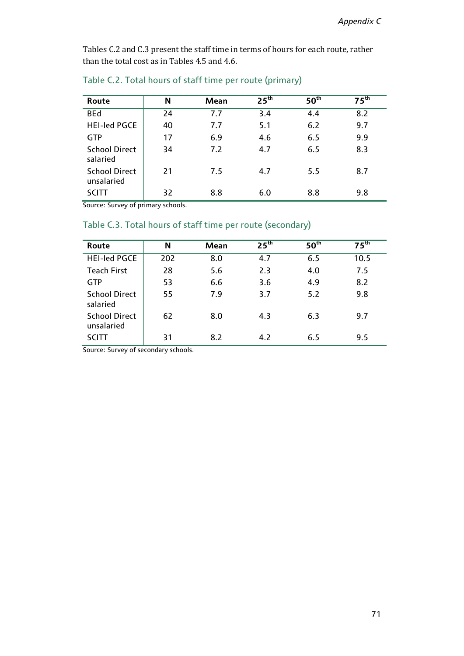Tables C.2 and C.3 present the staff time in terms of hours for each route, rather than the total cost as in Tables 4.5 and 4.6.

| Route                              | N  | Mean | 25 <sup>th</sup> | 50 <sup>th</sup> | $75^{\text{th}}$ |
|------------------------------------|----|------|------------------|------------------|------------------|
| <b>BEd</b>                         | 24 | 7.7  | 3.4              | 4.4              | 8.2              |
| <b>HEI-led PGCE</b>                | 40 | 7.7  | 5.1              | 6.2              | 9.7              |
| <b>GTP</b>                         | 17 | 6.9  | 4.6              | 6.5              | 9.9              |
| <b>School Direct</b><br>salaried   | 34 | 7.2  | 4.7              | 6.5              | 8.3              |
| <b>School Direct</b><br>unsalaried | 21 | 7.5  | 4.7              | 5.5              | 8.7              |
| <b>SCITT</b>                       | 32 | 8.8  | 6.0              | 8.8              | 9.8              |

### Table C.2. Total hours of staff time per route (primary)

Source: Survey of primary schools.

## Table C.3. Total hours of staff time per route (secondary)

| Route                              | N   | Mean | $25^{\text{th}}$ | 50 <sup>th</sup> | $75^{\text{th}}$ |
|------------------------------------|-----|------|------------------|------------------|------------------|
| <b>HEI-led PGCE</b>                | 202 | 8.0  | 4.7              | 6.5              | 10.5             |
| <b>Teach First</b>                 | 28  | 5.6  | 2.3              | 4.0              | 7.5              |
| <b>GTP</b>                         | 53  | 6.6  | 3.6              | 4.9              | 8.2              |
| <b>School Direct</b><br>salaried   | 55  | 7.9  | 3.7              | 5.2              | 9.8              |
| <b>School Direct</b><br>unsalaried | 62  | 8.0  | 4.3              | 6.3              | 9.7              |
| <b>SCITT</b>                       | 31  | 8.2  | 4.2              | 6.5              | 9.5              |

Source: Survey of secondary schools.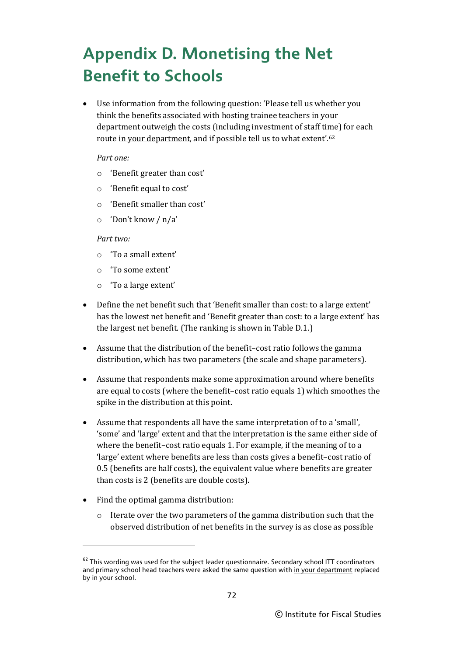# **Appendix D. Monetising the Net Benefit to Schools**

• Use information from the following question: 'Please tell us whether you think the benefits associated with hosting trainee teachers in your department outweigh the costs (including investment of staff time) for each route in your department, and if possible tell us to what extent'.[62](#page-76-0)

#### *Part one:*

- o 'Benefit greater than cost'
- o 'Benefit equal to cost'
- o 'Benefit smaller than cost'
- o 'Don't know / n/a'

#### *Part two:*

- o 'To a small extent'
- o 'To some extent'
- o 'To a large extent'
- Define the net benefit such that 'Benefit smaller than cost: to a large extent' has the lowest net benefit and 'Benefit greater than cost: to a large extent' has the largest net benefit. (The ranking is shown in Table D.1.)
- Assume that the distribution of the benefit–cost ratio follows the gamma distribution, which has two parameters (the scale and shape parameters).
- Assume that respondents make some approximation around where benefits are equal to costs (where the benefit–cost ratio equals 1) which smoothes the spike in the distribution at this point.
- Assume that respondents all have the same interpretation of to a 'small', 'some' and 'large' extent and that the interpretation is the same either side of where the benefit–cost ratio equals 1. For example, if the meaning of to a 'large' extent where benefits are less than costs gives a benefit–cost ratio of 0.5 (benefits are half costs), the equivalent value where benefits are greater than costs is 2 (benefits are double costs).
- Find the optimal gamma distribution:

j

o Iterate over the two parameters of the gamma distribution such that the observed distribution of net benefits in the survey is as close as possible

<span id="page-76-0"></span> $62$  This wording was used for the subject leader questionnaire. Secondary school ITT coordinators and primary school head teachers were asked the same question with in your department replaced by in your school.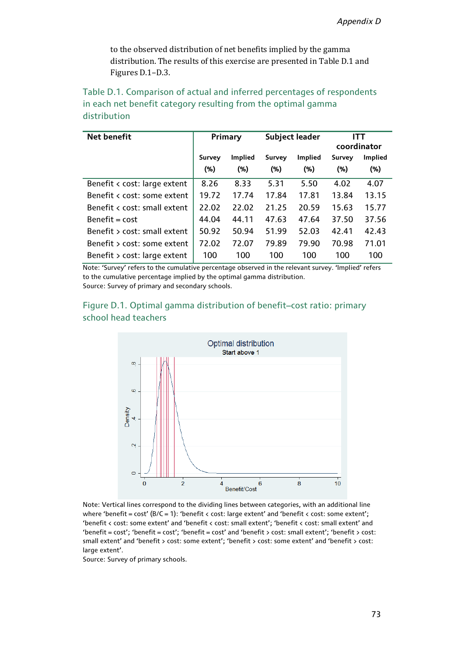to the observed distribution of net benefits implied by the gamma distribution. The results of this exercise are presented in Table D.1 and Figures D.1–D.3.

| <b>Net benefit</b>           | Primary           |                   | <b>Subject leader</b> |                   | ITT<br>coordinator |                   |
|------------------------------|-------------------|-------------------|-----------------------|-------------------|--------------------|-------------------|
|                              | Survey<br>$(\% )$ | Implied<br>$(\%)$ | Survey<br>$(\%)$      | Implied<br>$(\%)$ | Survey<br>$(\%)$   | Implied<br>$(\%)$ |
| Benefit < cost: large extent | 8.26              | 8.33              | 5.31                  | 5.50              | 4.02               | 4.07              |
| Benefit < cost: some extent  | 19.72             | 17.74             | 17.84                 | 17.81             | 13.84              | 13.15             |
| Benefit < cost: small extent | 22.02             | 22.02             | 21.25                 | 20.59             | 15.63              | 15.77             |
| $Benefit = cost$             | 44.04             | 44.11             | 47.63                 | 47.64             | 37.50              | 37.56             |
| Benefit > cost: small extent | 50.92             | 50.94             | 51.99                 | 52.03             | 42.41              | 42.43             |
| Benefit > cost: some extent  | 72.02             | 72.07             | 79.89                 | 79.90             | 70.98              | 71.01             |
| Benefit > cost: large extent | 100               | 100               | 100                   | 100               | 100                | 100               |

Note: 'Survey' refers to the cumulative percentage observed in the relevant survey. 'Implied' refers to the cumulative percentage implied by the optimal gamma distribution.

Source: Survey of primary and secondary schools.





Note: Vertical lines correspond to the dividing lines between categories, with an additional line where 'benefit = cost' ( $B/C = 1$ ): 'benefit < cost: large extent' and 'benefit < cost: some extent'; 'benefit < cost: some extent' and 'benefit < cost: small extent'; 'benefit < cost: small extent' and 'benefit = cost'; 'benefit = cost'; 'benefit = cost' and 'benefit > cost: small extent'; 'benefit > cost: small extent' and 'benefit > cost: some extent'; 'benefit > cost: some extent' and 'benefit > cost: large extent'.

Source: Survey of primary schools.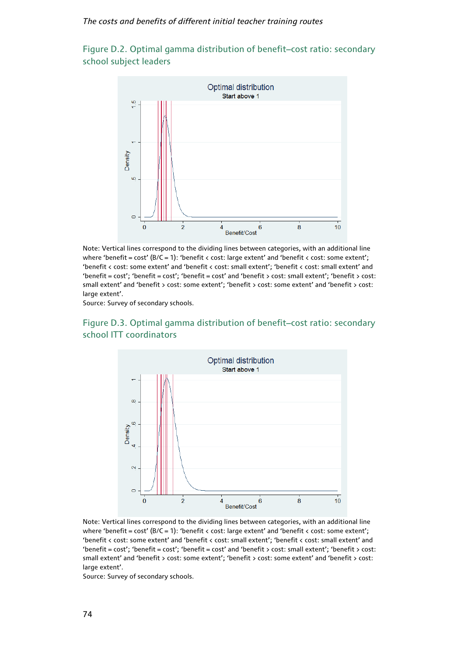Figure D.2. Optimal gamma distribution of benefit–cost ratio: secondary school subject leaders



Note: Vertical lines correspond to the dividing lines between categories, with an additional line where 'benefit = cost'  $(B/C = 1)$ : 'benefit < cost: large extent' and 'benefit < cost: some extent'; 'benefit < cost: some extent' and 'benefit < cost: small extent'; 'benefit < cost: small extent' and 'benefit = cost'; 'benefit = cost'; 'benefit = cost' and 'benefit > cost: small extent'; 'benefit > cost: small extent' and 'benefit > cost: some extent'; 'benefit > cost: some extent' and 'benefit > cost: large extent'.

Source: Survey of secondary schools.



### Figure D.3. Optimal gamma distribution of benefit–cost ratio: secondary school ITT coordinators

Note: Vertical lines correspond to the dividing lines between categories, with an additional line where 'benefit = cost'  $(B/C = 1)$ : 'benefit < cost: large extent' and 'benefit < cost: some extent'; 'benefit < cost: some extent' and 'benefit < cost: small extent'; 'benefit < cost: small extent' and 'benefit = cost'; 'benefit = cost'; 'benefit = cost' and 'benefit > cost: small extent'; 'benefit > cost: small extent' and 'benefit > cost: some extent'; 'benefit > cost: some extent' and 'benefit > cost: large extent'.

Source: Survey of secondary schools.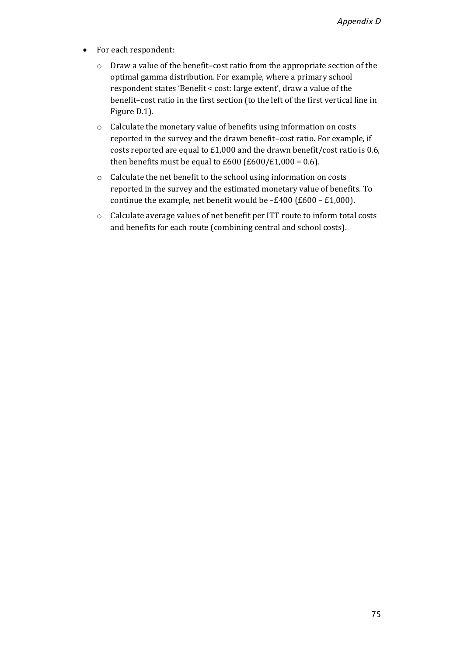- For each respondent:
	- o Draw a value of the benefit–cost ratio from the appropriate section of the optimal gamma distribution. For example, where a primary school respondent states 'Benefit < cost: large extent', draw a value of the benefit–cost ratio in the first section (to the left of the first vertical line in Figure D.1).
	- o Calculate the monetary value of benefits using information on costs reported in the survey and the drawn benefit–cost ratio. For example, if costs reported are equal to £1,000 and the drawn benefit/cost ratio is 0.6, then benefits must be equal to  $£600 (£600/£1,000 = 0.6)$ .
	- o Calculate the net benefit to the school using information on costs reported in the survey and the estimated monetary value of benefits. To continue the example, net benefit would be  $-£400$  (£600 – £1,000).
	- o Calculate average values of net benefit per ITT route to inform total costs and benefits for each route (combining central and school costs).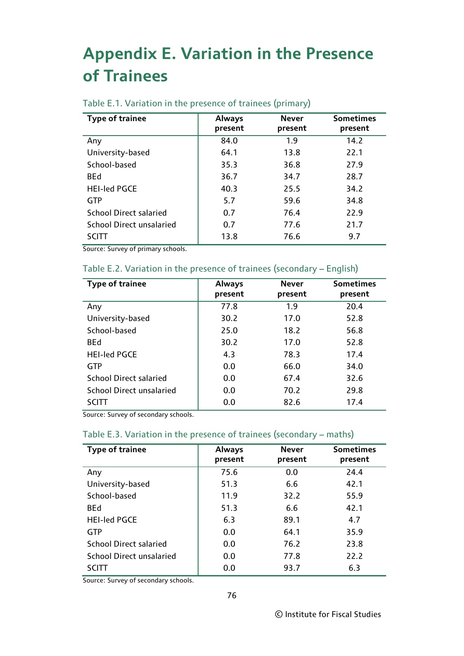## **Appendix E. Variation in the Presence of Trainees**

| <b>Type of trainee</b>          | <b>Always</b><br>present | <b>Never</b><br>present | <b>Sometimes</b><br>present |
|---------------------------------|--------------------------|-------------------------|-----------------------------|
| Any                             | 84.0                     | 1.9                     | 14.2                        |
| University-based                | 64.1                     | 13.8                    | 22.1                        |
| School-based                    | 35.3                     | 36.8                    | 27.9                        |
| <b>BEd</b>                      | 36.7                     | 34.7                    | 28.7                        |
| <b>HEI-led PGCE</b>             | 40.3                     | 25.5                    | 34.2                        |
| <b>GTP</b>                      | 5.7                      | 59.6                    | 34.8                        |
| <b>School Direct salaried</b>   | 0.7                      | 76.4                    | 22.9                        |
| <b>School Direct unsalaried</b> | 0.7                      | 77.6                    | 21.7                        |
| <b>SCITT</b>                    | 13.8                     | 76.6                    | 9.7                         |

### Table E.1. Variation in the presence of trainees (primary)

Source: Survey of primary schools.

#### Table E.2. Variation in the presence of trainees (secondary – English)

| <b>Type of trainee</b>          | <b>Always</b><br>present | <b>Never</b><br>present | <b>Sometimes</b><br>present |
|---------------------------------|--------------------------|-------------------------|-----------------------------|
| Any                             | 77.8                     | 1.9                     | 20.4                        |
| University-based                | 30.2                     | 17.0                    | 52.8                        |
| School-based                    | 25.0                     | 18.2                    | 56.8                        |
| <b>BEd</b>                      | 30.2                     | 17.0                    | 52.8                        |
| <b>HEI-led PGCE</b>             | 4.3                      | 78.3                    | 17.4                        |
| <b>GTP</b>                      | 0.0                      | 66.0                    | 34.0                        |
| <b>School Direct salaried</b>   | 0.0                      | 67.4                    | 32.6                        |
| <b>School Direct unsalaried</b> | 0.0                      | 70.2                    | 29.8                        |
| SCITT                           | 0.0                      | 82.6                    | 17.4                        |

Source: Survey of secondary schools.

### Table E.3. Variation in the presence of trainees (secondary – maths)

| <b>Type of trainee</b>          | <b>Always</b><br>present | <b>Never</b><br>present | <b>Sometimes</b><br>present |
|---------------------------------|--------------------------|-------------------------|-----------------------------|
| Any                             | 75.6                     | 0.0                     | 24.4                        |
| University-based                | 51.3                     | 6.6                     | 42.1                        |
| School-based                    | 11.9                     | 32.2                    | 55.9                        |
| <b>BEd</b>                      | 51.3                     | 6.6                     | 42.1                        |
| <b>HEI-led PGCE</b>             | 6.3                      | 89.1                    | 4.7                         |
| GTP                             | 0.0                      | 64.1                    | 35.9                        |
| <b>School Direct salaried</b>   | 0.0                      | 76.2                    | 23.8                        |
| <b>School Direct unsalaried</b> | 0.0                      | 77.8                    | 22.2                        |
| <b>SCITT</b>                    | 0.0                      | 93.7                    | 6.3                         |

Source: Survey of secondary schools.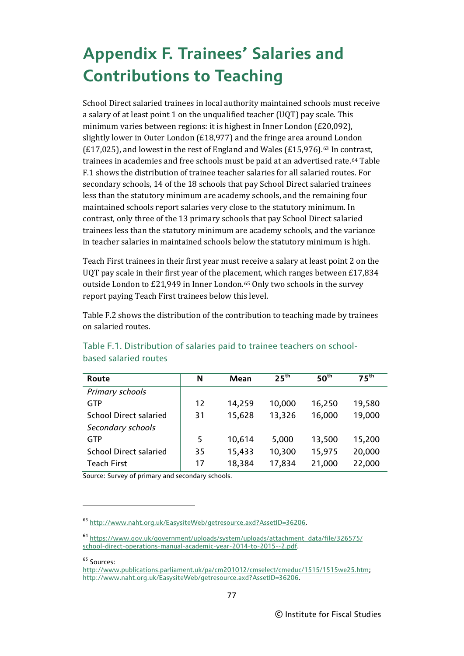# **Appendix F. Trainees' Salaries and Contributions to Teaching**

School Direct salaried trainees in local authority maintained schools must receive a salary of at least point 1 on the unqualified teacher (UQT) pay scale. This minimum varies between regions: it is highest in Inner London (£20,092), slightly lower in Outer London (£18,977) and the fringe area arou[nd](#page-81-0) London (£17,025), and lowest in the rest of England and Wales ( $£15,976$ ).<sup>63</sup> In contrast, trainees in academies and free schools must be paid at an advertised rate.[64](#page-81-1) Table F.1 shows the distribution of trainee teacher salaries for all salaried routes. For secondary schools, 14 of the 18 schools that pay School Direct salaried trainees less than the statutory minimum are academy schools, and the remaining four maintained schools report salaries very close to the statutory minimum. In contrast, only three of the 13 primary schools that pay School Direct salaried trainees less than the statutory minimum are academy schools, and the variance in teacher salaries in maintained schools below the statutory minimum is high.

Teach First trainees in their first year must receive a salary at least point 2 on the UQT pay scale in their first year of the placement, which ranges between £17,834 outside London to £21,949 in Inner London.[65](#page-81-2) Only two schools in the survey report paying Teach First trainees below this level.

Table F.2 shows the distribution of the contribution to teaching made by trainees on salaried routes.

| Route                         | N  | Mean   | 25 <sup>th</sup> | 50 <sup>th</sup> | $75^{\text{th}}$ |
|-------------------------------|----|--------|------------------|------------------|------------------|
| Primary schools               |    |        |                  |                  |                  |
| <b>GTP</b>                    | 12 | 14,259 | 10,000           | 16,250           | 19,580           |
| <b>School Direct salaried</b> | 31 | 15,628 | 13,326           | 16,000           | 19,000           |
| Secondary schools             |    |        |                  |                  |                  |
| <b>GTP</b>                    | 5  | 10,614 | 5,000            | 13,500           | 15,200           |
| <b>School Direct salaried</b> | 35 | 15,433 | 10,300           | 15,975           | 20,000           |
| <b>Teach First</b>            | 17 | 18,384 | 17,834           | 21,000           | 22,000           |

### Table F.1. Distribution of salaries paid to trainee teachers on schoolbased salaried routes

Source: Survey of primary and secondary schools.

<sup>65</sup> Sources:

j

<span id="page-81-0"></span><sup>63</sup> [http://www.naht.org.uk/EasysiteWeb/getresource.axd?AssetID=36206.](http://www.naht.org.uk/EasysiteWeb/getresource.axd?AssetID=36206)

<span id="page-81-1"></span><sup>64</sup> [https://www.gov.uk/government/uploads/system/uploads/attachment\\_data/file/326575/](https://www.gov.uk/government/uploads/system/uploads/attachment_data/file/326575/school-direct-operations-manual-academic-year-2014-to-2015--2.pdf) [school-direct-operations-manual-academic-year-2014-to-2015--2.pdf.](https://www.gov.uk/government/uploads/system/uploads/attachment_data/file/326575/school-direct-operations-manual-academic-year-2014-to-2015--2.pdf)

<span id="page-81-2"></span>[http://www.publications.parliament.uk/pa/cm201012/cmselect/cmeduc/1515/1515we25.htm;](http://www.publications.parliament.uk/pa/cm201012/cmselect/cmeduc/1515/1515we25.htm) [http://www.naht.org.uk/EasysiteWeb/getresource.axd?AssetID=36206.](http://www.naht.org.uk/EasysiteWeb/getresource.axd?AssetID=36206)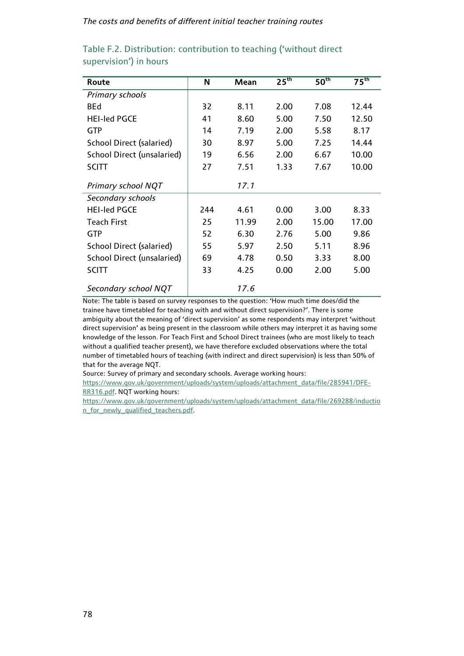| Route                             | N   | Mean  | 25 <sup>th</sup> | 50 <sup>th</sup> | $75^{\text{th}}$ |
|-----------------------------------|-----|-------|------------------|------------------|------------------|
| Primary schools                   |     |       |                  |                  |                  |
| <b>BEd</b>                        | 32  | 8.11  | 2.00             | 7.08             | 12.44            |
| <b>HEI-led PGCE</b>               | 41  | 8.60  | 5.00             | 7.50             | 12.50            |
| <b>GTP</b>                        | 14  | 7.19  | 2.00             | 5.58             | 8.17             |
| School Direct (salaried)          | 30  | 8.97  | 5.00             | 7.25             | 14.44            |
| <b>School Direct (unsalaried)</b> | 19  | 6.56  | 2.00             | 6.67             | 10.00            |
| <b>SCITT</b>                      | 27  | 7.51  | 1.33             | 7.67             | 10.00            |
| Primary school NQT                |     | 17.1  |                  |                  |                  |
| Secondary schools                 |     |       |                  |                  |                  |
| <b>HEI-led PGCE</b>               | 244 | 4.61  | 0.00             | 3.00             | 8.33             |
| <b>Teach First</b>                | 25  | 11.99 | 2.00             | 15.00            | 17.00            |
| <b>GTP</b>                        | 52  | 6.30  | 2.76             | 5.00             | 9.86             |
| School Direct (salaried)          | 55  | 5.97  | 2.50             | 5.11             | 8.96             |
| School Direct (unsalaried)        | 69  | 4.78  | 0.50             | 3.33             | 8.00             |
| <b>SCITT</b>                      | 33  | 4.25  | 0.00             | 2.00             | 5.00             |
| Secondary school NQT              |     | 17.6  |                  |                  |                  |

### Table F.2. Distribution: contribution to teaching ('without direct supervision') in hours

Note: The table is based on survey responses to the question: 'How much time does/did the trainee have timetabled for teaching with and without direct supervision?'. There is some ambiguity about the meaning of 'direct supervision' as some respondents may interpret 'without direct supervision' as being present in the classroom while others may interpret it as having some knowledge of the lesson. For Teach First and School Direct trainees (who are most likely to teach without a qualified teacher present), we have therefore excluded observations where the total number of timetabled hours of teaching (with indirect and direct supervision) is less than 50% of that for the average NQT.

Source: Survey of primary and secondary schools. Average working hours:

[https://www.gov.uk/government/uploads/system/uploads/attachment\\_data/file/285941/DFE-](https://www.gov.uk/government/uploads/system/uploads/attachment_data/file/285941/DFE-RR316.pdf)[RR316.pdf.](https://www.gov.uk/government/uploads/system/uploads/attachment_data/file/285941/DFE-RR316.pdf) NQT working hours:

[https://www.gov.uk/government/uploads/system/uploads/attachment\\_data/file/269288/inductio](https://www.gov.uk/government/uploads/system/uploads/attachment_data/file/269288/induction_for_newly_qualified_teachers.pdf) [n\\_for\\_newly\\_qualified\\_teachers.pdf.](https://www.gov.uk/government/uploads/system/uploads/attachment_data/file/269288/induction_for_newly_qualified_teachers.pdf)